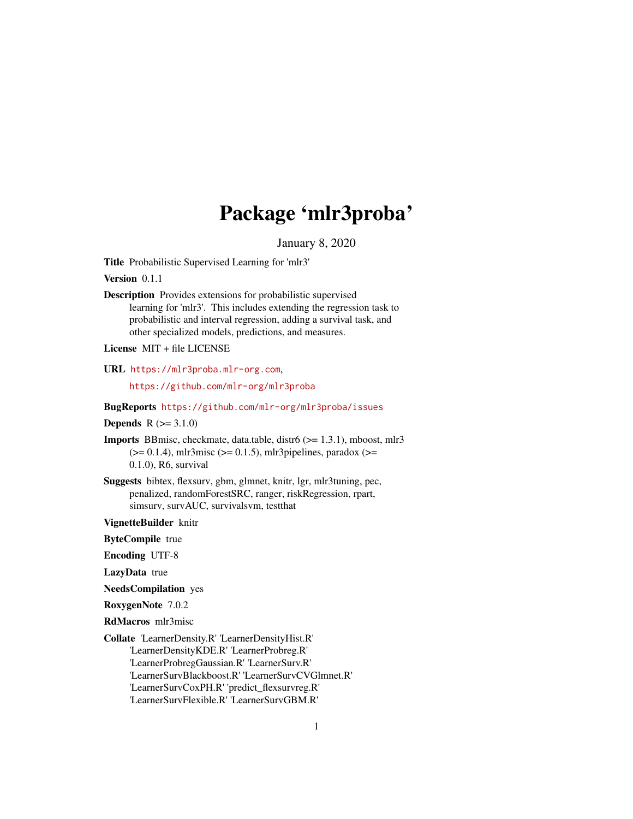# Package 'mlr3proba'

January 8, 2020

<span id="page-0-0"></span>Title Probabilistic Supervised Learning for 'mlr3'

Version 0.1.1

Description Provides extensions for probabilistic supervised learning for 'mlr3'. This includes extending the regression task to probabilistic and interval regression, adding a survival task, and other specialized models, predictions, and measures.

License MIT + file LICENSE

URL <https://mlr3proba.mlr-org.com>,

<https://github.com/mlr-org/mlr3proba>

BugReports <https://github.com/mlr-org/mlr3proba/issues>

**Depends**  $R (= 3.1.0)$ 

- Imports BBmisc, checkmate, data.table, distr6 (>= 1.3.1), mboost, mlr3  $(>= 0.1.4)$ , mlr3misc  $(>= 0.1.5)$ , mlr3pipelines, paradox  $(>= 0.1.4)$ 0.1.0), R6, survival
- Suggests bibtex, flexsurv, gbm, glmnet, knitr, lgr, mlr3tuning, pec, penalized, randomForestSRC, ranger, riskRegression, rpart, simsurv, survAUC, survivalsvm, testthat

VignetteBuilder knitr

ByteCompile true

Encoding UTF-8

LazyData true

NeedsCompilation yes

RoxygenNote 7.0.2

RdMacros mlr3misc

Collate 'LearnerDensity.R' 'LearnerDensityHist.R' 'LearnerDensityKDE.R' 'LearnerProbreg.R' 'LearnerProbregGaussian.R' 'LearnerSurv.R' 'LearnerSurvBlackboost.R' 'LearnerSurvCVGlmnet.R' 'LearnerSurvCoxPH.R' 'predict\_flexsurvreg.R' 'LearnerSurvFlexible.R' 'LearnerSurvGBM.R'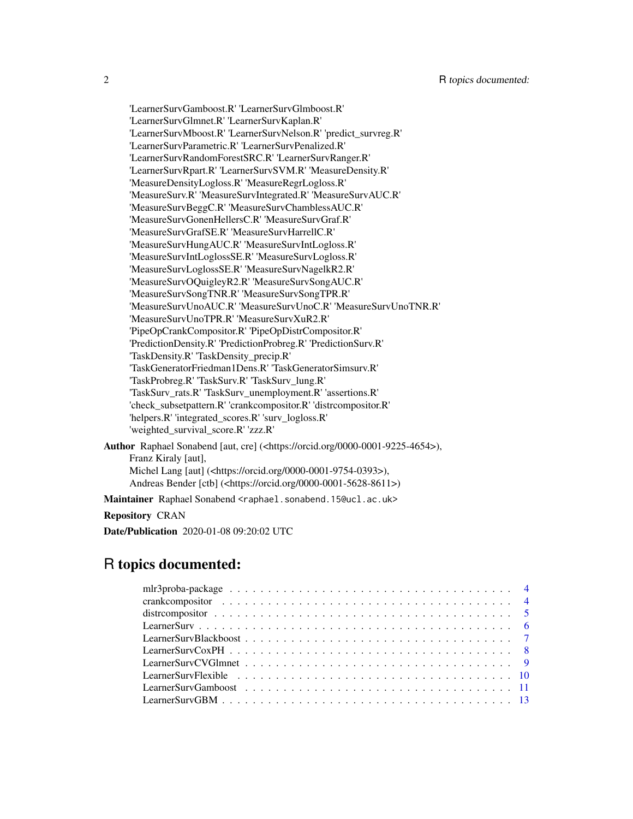'LearnerSurvGamboost.R' 'LearnerSurvGlmboost.R' 'LearnerSurvGlmnet.R' 'LearnerSurvKaplan.R' 'LearnerSurvMboost.R' 'LearnerSurvNelson.R' 'predict\_survreg.R' 'LearnerSurvParametric.R' 'LearnerSurvPenalized.R' 'LearnerSurvRandomForestSRC.R' 'LearnerSurvRanger.R' 'LearnerSurvRpart.R' 'LearnerSurvSVM.R' 'MeasureDensity.R' 'MeasureDensityLogloss.R' 'MeasureRegrLogloss.R' 'MeasureSurv.R' 'MeasureSurvIntegrated.R' 'MeasureSurvAUC.R' 'MeasureSurvBeggC.R' 'MeasureSurvChamblessAUC.R' 'MeasureSurvGonenHellersC.R' 'MeasureSurvGraf.R' 'MeasureSurvGrafSE.R' 'MeasureSurvHarrellC.R' 'MeasureSurvHungAUC.R' 'MeasureSurvIntLogloss.R' 'MeasureSurvIntLoglossSE.R' 'MeasureSurvLogloss.R' 'MeasureSurvLoglossSE.R' 'MeasureSurvNagelkR2.R' 'MeasureSurvOQuigleyR2.R' 'MeasureSurvSongAUC.R' 'MeasureSurvSongTNR.R' 'MeasureSurvSongTPR.R' 'MeasureSurvUnoAUC.R' 'MeasureSurvUnoC.R' 'MeasureSurvUnoTNR.R' 'MeasureSurvUnoTPR.R' 'MeasureSurvXuR2.R' 'PipeOpCrankCompositor.R' 'PipeOpDistrCompositor.R' 'PredictionDensity.R' 'PredictionProbreg.R' 'PredictionSurv.R' 'TaskDensity.R' 'TaskDensity\_precip.R' 'TaskGeneratorFriedman1Dens.R' 'TaskGeneratorSimsurv.R' 'TaskProbreg.R' 'TaskSurv.R' 'TaskSurv\_lung.R' 'TaskSurv\_rats.R' 'TaskSurv\_unemployment.R' 'assertions.R' 'check\_subsetpattern.R' 'crankcompositor.R' 'distrcompositor.R' 'helpers.R' 'integrated\_scores.R' 'surv\_logloss.R' 'weighted\_survival\_score.R' 'zzz.R' Author Raphael Sonabend [aut, cre] (<https://orcid.org/0000-0001-9225-4654>), Franz Kiraly [aut], Michel Lang [aut] (<https://orcid.org/0000-0001-9754-0393>),

Andreas Bender [ctb] (<https://orcid.org/0000-0001-5628-8611>)

Maintainer Raphael Sonabend <raphael.sonabend.15@ucl.ac.uk>

#### Repository CRAN

Date/Publication 2020-01-08 09:20:02 UTC

# R topics documented: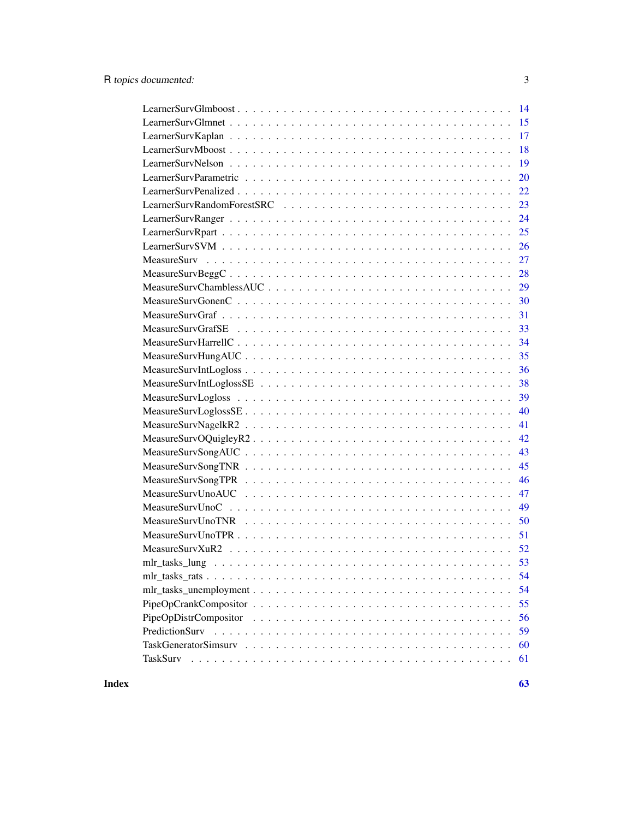| $\overline{14}$      |
|----------------------|
|                      |
|                      |
| 18                   |
| 19                   |
| 20                   |
| 22                   |
| 23                   |
|                      |
|                      |
|                      |
|                      |
|                      |
|                      |
|                      |
| 31                   |
|                      |
| 34                   |
| 35                   |
| 36                   |
| 38                   |
| 39                   |
| 40                   |
| 41                   |
| 42                   |
| 43                   |
| 45                   |
| 46                   |
| 47                   |
| 49                   |
| 50                   |
| 51                   |
|                      |
|                      |
| 54                   |
| 54                   |
| 55                   |
| 56                   |
| PredictionSurv<br>59 |
| 60                   |
| TaskSurv<br>61       |
|                      |

 $\blacksquare$  Index  $\blacksquare$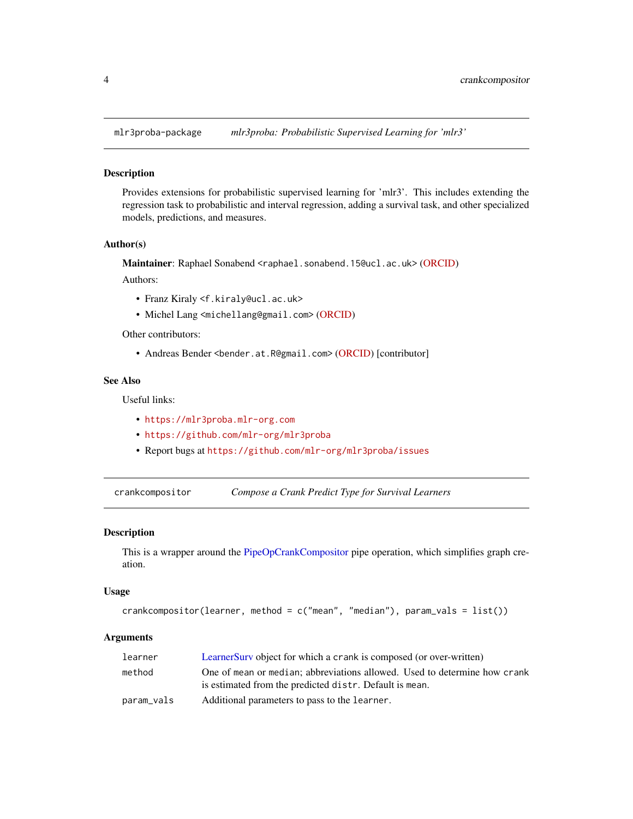<span id="page-3-0"></span>

#### Description

Provides extensions for probabilistic supervised learning for 'mlr3'. This includes extending the regression task to probabilistic and interval regression, adding a survival task, and other specialized models, predictions, and measures.

# Author(s)

Maintainer: Raphael Sonabend <raphael.sonabend.15@ucl.ac.uk> [\(ORCID\)](https://orcid.org/0000-0001-9225-4654)

Authors:

- Franz Kiraly <f.kiraly@ucl.ac.uk>
- Michel Lang <michellang@gmail.com> [\(ORCID\)](https://orcid.org/0000-0001-9754-0393)

Other contributors:

• Andreas Bender <bender.at.R@gmail.com> [\(ORCID\)](https://orcid.org/0000-0001-5628-8611) [contributor]

# See Also

Useful links:

- <https://mlr3proba.mlr-org.com>
- <https://github.com/mlr-org/mlr3proba>
- Report bugs at <https://github.com/mlr-org/mlr3proba/issues>

<span id="page-3-1"></span>crankcompositor *Compose a Crank Predict Type for Survival Learners*

#### Description

This is a wrapper around the [PipeOpCrankCompositor](#page-54-1) pipe operation, which simplifies graph creation.

#### Usage

```
crankcompositor(learner, method = c("mean", "median"), param_vals = list())
```
# Arguments

| learner    | Learner Surv object for which a crank is composed (or over-written)       |
|------------|---------------------------------------------------------------------------|
| method     | One of mean or median; abbreviations allowed. Used to determine how crank |
|            | is estimated from the predicted distr. Default is mean.                   |
| param_vals | Additional parameters to pass to the learner.                             |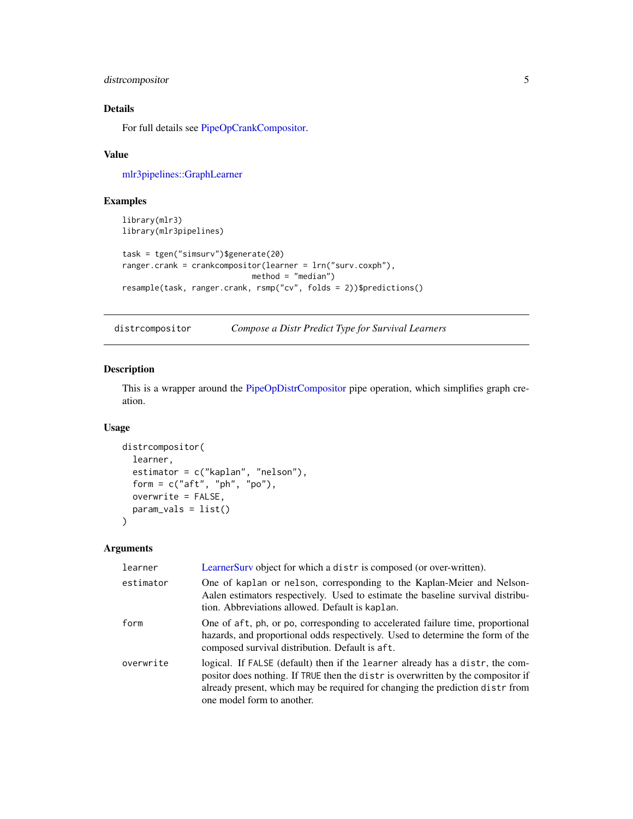# <span id="page-4-0"></span>distrcompositor 5

# Details

For full details see [PipeOpCrankCompositor.](#page-54-1)

# Value

[mlr3pipelines::GraphLearner](#page-0-0)

# Examples

```
library(mlr3)
library(mlr3pipelines)
task = tgen("simsurv")$generate(20)
ranger.crank = crankcompositor(learner = lrn("surv.coxph"),
                            method = "median")
resample(task, ranger.crank, rsmp("cv", folds = 2))$predictions()
```
<span id="page-4-1"></span>distrcompositor *Compose a Distr Predict Type for Survival Learners*

# Description

This is a wrapper around the [PipeOpDistrCompositor](#page-55-1) pipe operation, which simplifies graph creation.

#### Usage

```
distrcompositor(
  learner,
  estimator = c("kaplan", "nelson"),
 form = c("aft", "ph", "po"),
 overwrite = FALSE,
 param_vals = list()
\lambda
```
#### Arguments

| learner   | LearnerSurv object for which a distr is composed (or over-written).                                                                                                                                                                                                             |
|-----------|---------------------------------------------------------------------------------------------------------------------------------------------------------------------------------------------------------------------------------------------------------------------------------|
| estimator | One of kaplan or nelson, corresponding to the Kaplan-Meier and Nelson-<br>Aalen estimators respectively. Used to estimate the baseline survival distribu-<br>tion. Abbreviations allowed. Default is kaplan.                                                                    |
| form      | One of aft, ph, or po, corresponding to accelerated failure time, proportional<br>hazards, and proportional odds respectively. Used to determine the form of the<br>composed survival distribution. Default is aft.                                                             |
| overwrite | logical. If FALSE (default) then if the learner already has a distr, the com-<br>positor does nothing. If TRUE then the distris overwritten by the compositor if<br>already present, which may be required for changing the prediction distr from<br>one model form to another. |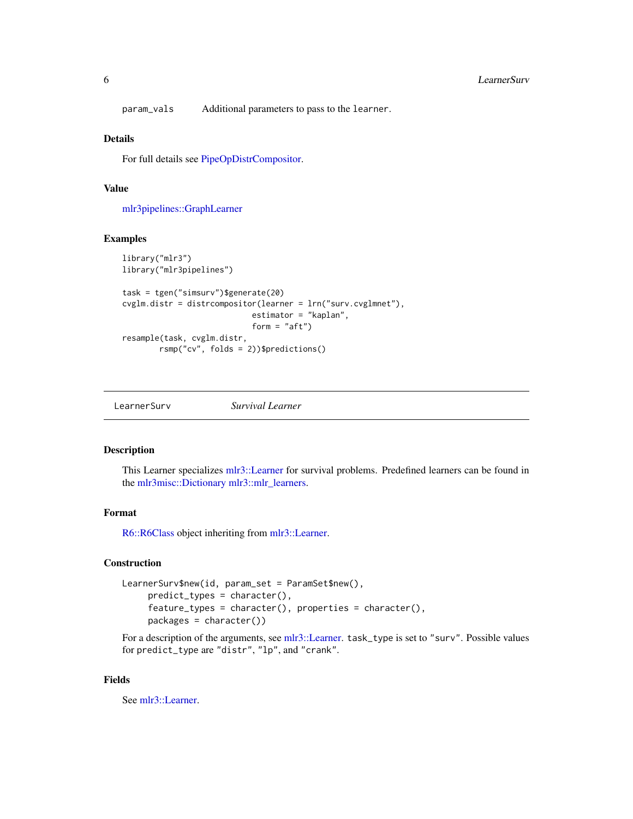<span id="page-5-0"></span>param\_vals Additional parameters to pass to the learner.

#### Details

For full details see [PipeOpDistrCompositor.](#page-55-1)

# Value

[mlr3pipelines::GraphLearner](#page-0-0)

# Examples

```
library("mlr3")
library("mlr3pipelines")
task = tgen("simsurv")$generate(20)
cvglm.distr = distrcompositor(learner = lrn("surv.cvglmnet"),
                            estimator = "kaplan",
                            form = "aff")resample(task, cvglm.distr,
       rsmp("cv", folds = 2))$predictions()
```
<span id="page-5-1"></span>LearnerSurv *Survival Learner*

#### Description

This Learner specializes [mlr3::Learner](#page-0-0) for survival problems. Predefined learners can be found in the [mlr3misc::Dictionary](#page-0-0) [mlr3::mlr\\_learners.](#page-0-0)

#### Format

[R6::R6Class](#page-0-0) object inheriting from [mlr3::Learner.](#page-0-0)

# Construction

```
LearnerSurv$new(id, param_set = ParamSet$new(),
     predict_types = character(),
     feature_types = character(), properties = character(),
     packages = character())
```
For a description of the arguments, see [mlr3::Learner.](#page-0-0) task\_type is set to "surv". Possible values for predict\_type are "distr", "lp", and "crank".

#### Fields

See [mlr3::Learner.](#page-0-0)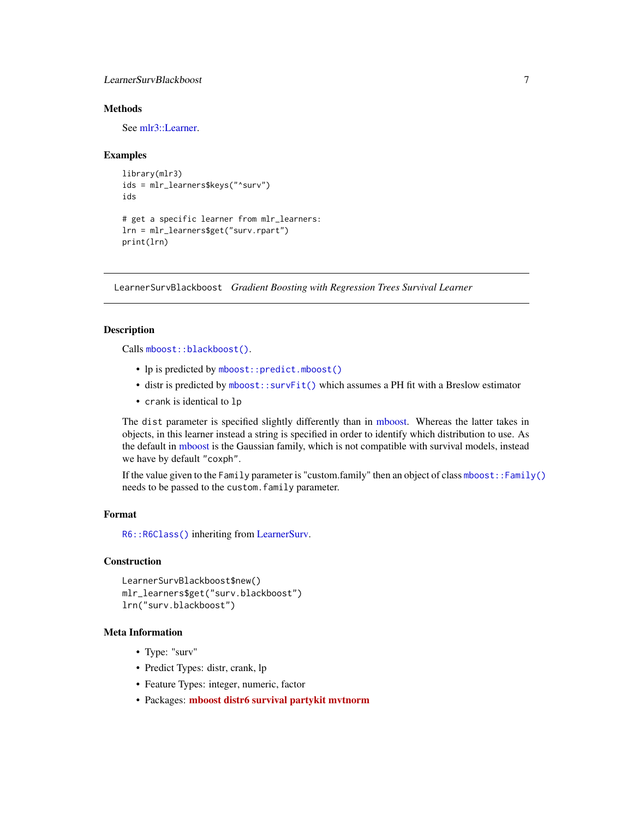# <span id="page-6-0"></span>LearnerSurvBlackboost 7

# **Methods**

See [mlr3::Learner.](#page-0-0)

#### Examples

```
library(mlr3)
ids = mlr_learners$keys("^surv")
ids
# get a specific learner from mlr_learners:
lrn = mlr_learners$get("surv.rpart")
print(lrn)
```
<span id="page-6-1"></span>LearnerSurvBlackboost *Gradient Boosting with Regression Trees Survival Learner*

# Description

Calls [mboost::blackboost\(\)](#page-0-0).

- lp is predicted by [mboost::predict.mboost\(\)](#page-0-0)
- distr is predicted by [mboost::survFit\(\)](#page-0-0) which assumes a PH fit with a Breslow estimator
- crank is identical to lp

The dist parameter is specified slightly differently than in [mboost.](#page-0-0) Whereas the latter takes in objects, in this learner instead a string is specified in order to identify which distribution to use. As the default in [mboost](#page-0-0) is the Gaussian family, which is not compatible with survival models, instead we have by default "coxph".

If the value given to the Family parameter is "custom.family" then an object of class [mboost::Family\(\)](#page-0-0) needs to be passed to the custom.family parameter.

#### Format

[R6::R6Class\(\)](#page-0-0) inheriting from [LearnerSurv.](#page-5-1)

#### Construction

```
LearnerSurvBlackboost$new()
mlr_learners$get("surv.blackboost")
lrn("surv.blackboost")
```
# Meta Information

- Type: "surv"
- Predict Types: distr, crank, lp
- Feature Types: integer, numeric, factor
- Packages: [mboost](https://CRAN.R-project.org/package=mboost) [distr6](https://CRAN.R-project.org/package=distr6) [survival](https://CRAN.R-project.org/package=survival) [partykit](https://CRAN.R-project.org/package=partykit) [mvtnorm](https://CRAN.R-project.org/package=mvtnorm)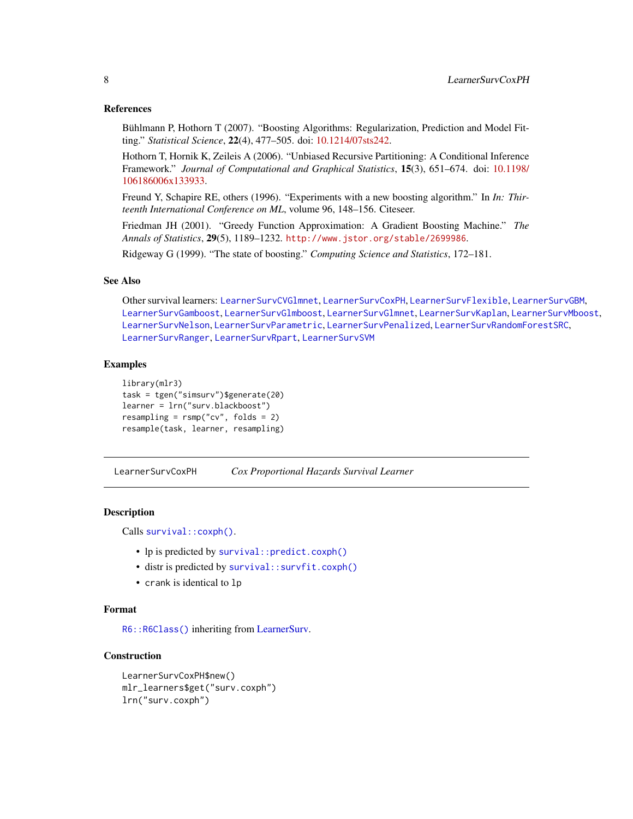#### <span id="page-7-0"></span>References

Bühlmann P, Hothorn T (2007). "Boosting Algorithms: Regularization, Prediction and Model Fitting." *Statistical Science*, 22(4), 477–505. doi: [10.1214/07sts242.](https://doi.org/10.1214/07-sts242)

Hothorn T, Hornik K, Zeileis A (2006). "Unbiased Recursive Partitioning: A Conditional Inference Framework." *Journal of Computational and Graphical Statistics*, 15(3), 651–674. doi: [10.1198/](https://doi.org/10.1198/106186006x133933) [106186006x133933.](https://doi.org/10.1198/106186006x133933)

Freund Y, Schapire RE, others (1996). "Experiments with a new boosting algorithm." In *In: Thirteenth International Conference on ML*, volume 96, 148–156. Citeseer.

Friedman JH (2001). "Greedy Function Approximation: A Gradient Boosting Machine." *The Annals of Statistics*, 29(5), 1189–1232. <http://www.jstor.org/stable/2699986>.

Ridgeway G (1999). "The state of boosting." *Computing Science and Statistics*, 172–181.

#### See Also

Other survival learners: [LearnerSurvCVGlmnet](#page-8-1), [LearnerSurvCoxPH](#page-7-1), [LearnerSurvFlexible](#page-9-1), [LearnerSurvGBM](#page-12-1), [LearnerSurvGamboost](#page-10-1), [LearnerSurvGlmboost](#page-13-1), [LearnerSurvGlmnet](#page-14-1), [LearnerSurvKaplan](#page-16-1), [LearnerSurvMboost](#page-17-1), [LearnerSurvNelson](#page-18-1), [LearnerSurvParametric](#page-19-1), [LearnerSurvPenalized](#page-21-1), [LearnerSurvRandomForestSRC](#page-22-1), [LearnerSurvRanger](#page-23-1), [LearnerSurvRpart](#page-24-1), [LearnerSurvSVM](#page-25-1)

# Examples

```
library(mlr3)
task = tgen("simsurv")$generate(20)
learner = lrn("surv.blackboost")
resampling = rsmp("cv", folds = 2)resample(task, learner, resampling)
```
<span id="page-7-1"></span>LearnerSurvCoxPH *Cox Proportional Hazards Survival Learner*

#### Description

Calls [survival::coxph\(\)](#page-0-0).

- lp is predicted by [survival::predict.coxph\(\)](#page-0-0)
- distr is predicted by survival:: survfit.coxph()
- crank is identical to lp

# Format

[R6::R6Class\(\)](#page-0-0) inheriting from [LearnerSurv.](#page-5-1)

# Construction

```
LearnerSurvCoxPH$new()
mlr_learners$get("surv.coxph")
lrn("surv.coxph")
```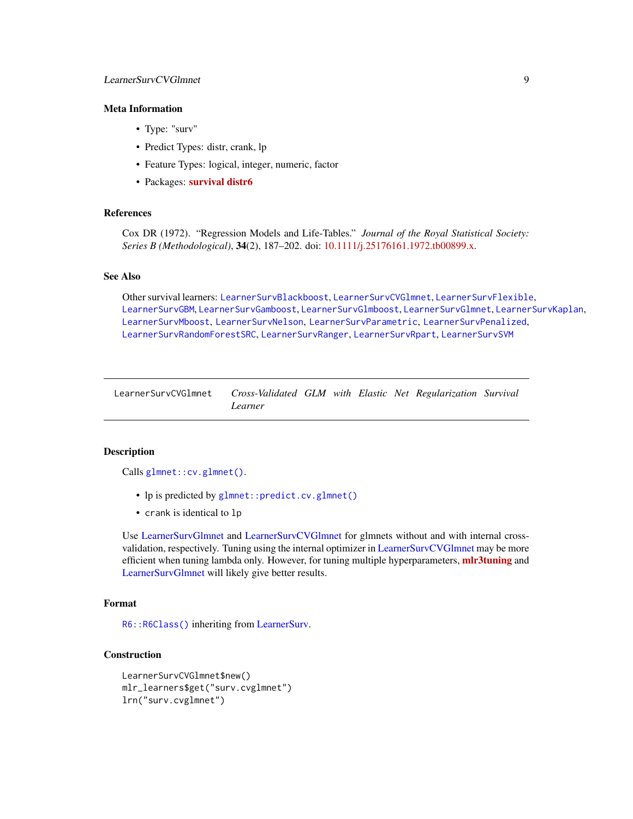# <span id="page-8-0"></span>Meta Information

- Type: "surv"
- Predict Types: distr, crank, lp
- Feature Types: logical, integer, numeric, factor
- Packages: [survival](https://CRAN.R-project.org/package=survival) [distr6](https://CRAN.R-project.org/package=distr6)

#### References

Cox DR (1972). "Regression Models and Life-Tables." *Journal of the Royal Statistical Society: Series B (Methodological)*, 34(2), 187–202. doi: [10.1111/j.25176161.1972.tb00899.x.](https://doi.org/10.1111/j.2517-6161.1972.tb00899.x)

#### See Also

Other survival learners: [LearnerSurvBlackboost](#page-6-1), [LearnerSurvCVGlmnet](#page-8-1), [LearnerSurvFlexible](#page-9-1), [LearnerSurvGBM](#page-12-1), [LearnerSurvGamboost](#page-10-1), [LearnerSurvGlmboost](#page-13-1), [LearnerSurvGlmnet](#page-14-1), [LearnerSurvKaplan](#page-16-1), [LearnerSurvMboost](#page-17-1), [LearnerSurvNelson](#page-18-1), [LearnerSurvParametric](#page-19-1), [LearnerSurvPenalized](#page-21-1), [LearnerSurvRandomForestSRC](#page-22-1), [LearnerSurvRanger](#page-23-1), [LearnerSurvRpart](#page-24-1), [LearnerSurvSVM](#page-25-1)

<span id="page-8-1"></span>

| LearnerSurvCVGlmnet | Cross-Validated GLM with Elastic Net Regularization Survival |  |  |  |
|---------------------|--------------------------------------------------------------|--|--|--|
|                     | Learner                                                      |  |  |  |

#### Description

Calls [glmnet::cv.glmnet\(\)](#page-0-0).

- lp is predicted by [glmnet::predict.cv.glmnet\(\)](#page-0-0)
- crank is identical to lp

Use [LearnerSurvGlmnet](#page-14-1) and [LearnerSurvCVGlmnet](#page-8-1) for glmnets without and with internal crossvalidation, respectively. Tuning using the internal optimizer in [LearnerSurvCVGlmnet](#page-8-1) may be more efficient when tuning lambda only. However, for tuning multiple hyperparameters, mir3tuning and [LearnerSurvGlmnet](#page-14-1) will likely give better results.

# Format

[R6::R6Class\(\)](#page-0-0) inheriting from [LearnerSurv.](#page-5-1)

# Construction

```
LearnerSurvCVGlmnet$new()
mlr_learners$get("surv.cvglmnet")
lrn("surv.cvglmnet")
```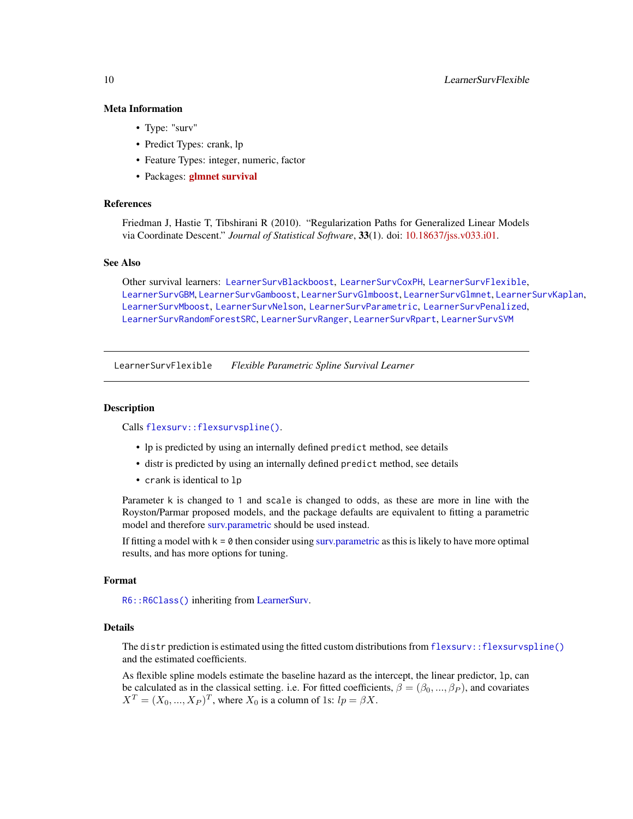# <span id="page-9-0"></span>Meta Information

- Type: "surv"
- Predict Types: crank, lp
- Feature Types: integer, numeric, factor
- Packages: [glmnet](https://CRAN.R-project.org/package=glmnet) [survival](https://CRAN.R-project.org/package=survival)

# References

Friedman J, Hastie T, Tibshirani R (2010). "Regularization Paths for Generalized Linear Models via Coordinate Descent." *Journal of Statistical Software*, 33(1). doi: [10.18637/jss.v033.i01.](https://doi.org/10.18637/jss.v033.i01)

# See Also

Other survival learners: [LearnerSurvBlackboost](#page-6-1), [LearnerSurvCoxPH](#page-7-1), [LearnerSurvFlexible](#page-9-1), [LearnerSurvGBM](#page-12-1), [LearnerSurvGamboost](#page-10-1), [LearnerSurvGlmboost](#page-13-1), [LearnerSurvGlmnet](#page-14-1), [LearnerSurvKaplan](#page-16-1), [LearnerSurvMboost](#page-17-1), [LearnerSurvNelson](#page-18-1), [LearnerSurvParametric](#page-19-1), [LearnerSurvPenalized](#page-21-1), [LearnerSurvRandomForestSRC](#page-22-1), [LearnerSurvRanger](#page-23-1), [LearnerSurvRpart](#page-24-1), [LearnerSurvSVM](#page-25-1)

<span id="page-9-1"></span>LearnerSurvFlexible *Flexible Parametric Spline Survival Learner*

#### Description

Calls [flexsurv::flexsurvspline\(\)](#page-0-0).

- lp is predicted by using an internally defined predict method, see details
- distr is predicted by using an internally defined predict method, see details
- crank is identical to lp

Parameter k is changed to 1 and scale is changed to odds, as these are more in line with the Royston/Parmar proposed models, and the package defaults are equivalent to fitting a parametric model and therefore [surv.parametric](#page-19-1) should be used instead.

If fitting a model with  $k = 0$  then consider using surv. parametric as this is likely to have more optimal results, and has more options for tuning.

#### Format

[R6::R6Class\(\)](#page-0-0) inheriting from [LearnerSurv.](#page-5-1)

#### Details

The distr prediction is estimated using the fitted custom distributions from [flexsurv::flexsurvspline\(\)](#page-0-0) and the estimated coefficients.

As flexible spline models estimate the baseline hazard as the intercept, the linear predictor, lp, can be calculated as in the classical setting. i.e. For fitted coefficients,  $\beta = (\beta_0, ..., \beta_P)$ , and covariates  $X^T = (X_0, ..., X_P)^T$ , where  $X_0$  is a column of 1s:  $lp = \beta X$ .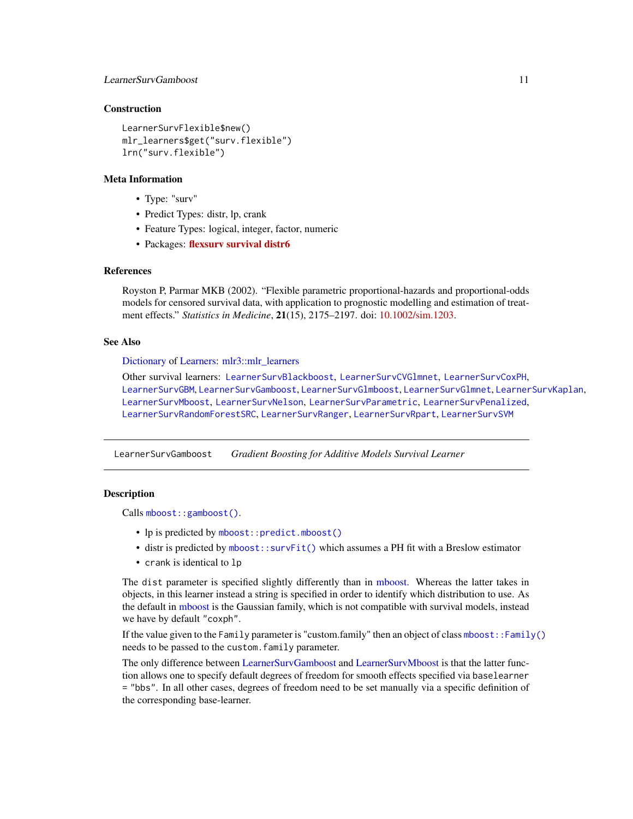# <span id="page-10-0"></span>LearnerSurvGamboost 11

#### **Construction**

```
LearnerSurvFlexible$new()
mlr_learners$get("surv.flexible")
lrn("surv.flexible")
```
#### Meta Information

- Type: "surv"
- Predict Types: distr, lp, crank
- Feature Types: logical, integer, factor, numeric
- Packages: [flexsurv](https://CRAN.R-project.org/package=flexsurv) [survival](https://CRAN.R-project.org/package=survival) [distr6](https://CRAN.R-project.org/package=distr6)

# References

Royston P, Parmar MKB (2002). "Flexible parametric proportional-hazards and proportional-odds models for censored survival data, with application to prognostic modelling and estimation of treatment effects." *Statistics in Medicine*, 21(15), 2175–2197. doi: [10.1002/sim.1203.](https://doi.org/10.1002/sim.1203)

#### See Also

[Dictionary](#page-0-0) of [Learners:](#page-0-0) [mlr3::mlr\\_learners](#page-0-0)

Other survival learners: [LearnerSurvBlackboost](#page-6-1), [LearnerSurvCVGlmnet](#page-8-1), [LearnerSurvCoxPH](#page-7-1), [LearnerSurvGBM](#page-12-1), [LearnerSurvGamboost](#page-10-1), [LearnerSurvGlmboost](#page-13-1), [LearnerSurvGlmnet](#page-14-1), [LearnerSurvKaplan](#page-16-1), [LearnerSurvMboost](#page-17-1), [LearnerSurvNelson](#page-18-1), [LearnerSurvParametric](#page-19-1), [LearnerSurvPenalized](#page-21-1), [LearnerSurvRandomForestSRC](#page-22-1), [LearnerSurvRanger](#page-23-1), [LearnerSurvRpart](#page-24-1), [LearnerSurvSVM](#page-25-1)

<span id="page-10-1"></span>LearnerSurvGamboost *Gradient Boosting for Additive Models Survival Learner*

### **Description**

Calls [mboost::gamboost\(\)](#page-0-0).

- lp is predicted by [mboost::predict.mboost\(\)](#page-0-0)
- distr is predicted by [mboost::survFit\(\)](#page-0-0) which assumes a PH fit with a Breslow estimator
- crank is identical to lp

The dist parameter is specified slightly differently than in [mboost.](#page-0-0) Whereas the latter takes in objects, in this learner instead a string is specified in order to identify which distribution to use. As the default in [mboost](#page-0-0) is the Gaussian family, which is not compatible with survival models, instead we have by default "coxph".

If the value given to the Family parameter is "custom.family" then an object of class [mboost::Family\(\)](#page-0-0) needs to be passed to the custom.family parameter.

The only difference between [LearnerSurvGamboost](#page-10-1) and [LearnerSurvMboost](#page-17-1) is that the latter function allows one to specify default degrees of freedom for smooth effects specified via baselearner = "bbs". In all other cases, degrees of freedom need to be set manually via a specific definition of the corresponding base-learner.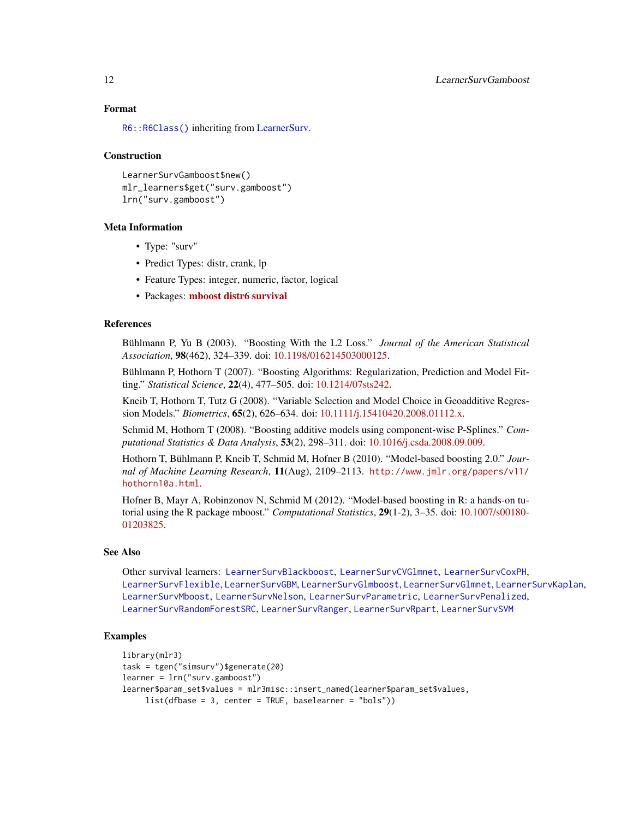# Format

[R6::R6Class\(\)](#page-0-0) inheriting from [LearnerSurv.](#page-5-1)

#### Construction

```
LearnerSurvGamboost$new()
mlr_learners$get("surv.gamboost")
lrn("surv.gamboost")
```
# Meta Information

- Type: "surv"
- Predict Types: distr, crank, lp
- Feature Types: integer, numeric, factor, logical
- Packages: [mboost](https://CRAN.R-project.org/package=mboost) [distr6](https://CRAN.R-project.org/package=distr6) [survival](https://CRAN.R-project.org/package=survival)

#### References

Bühlmann P, Yu B (2003). "Boosting With the L2 Loss." *Journal of the American Statistical Association*, 98(462), 324–339. doi: [10.1198/016214503000125.](https://doi.org/10.1198/016214503000125)

Bühlmann P, Hothorn T (2007). "Boosting Algorithms: Regularization, Prediction and Model Fitting." *Statistical Science*, 22(4), 477–505. doi: [10.1214/07sts242.](https://doi.org/10.1214/07-sts242)

Kneib T, Hothorn T, Tutz G (2008). "Variable Selection and Model Choice in Geoadditive Regression Models." *Biometrics*, 65(2), 626–634. doi: [10.1111/j.15410420.2008.01112.x.](https://doi.org/10.1111/j.1541-0420.2008.01112.x)

Schmid M, Hothorn T (2008). "Boosting additive models using component-wise P-Splines." *Computational Statistics & Data Analysis*, 53(2), 298–311. doi: [10.1016/j.csda.2008.09.009.](https://doi.org/10.1016/j.csda.2008.09.009)

Hothorn T, Bühlmann P, Kneib T, Schmid M, Hofner B (2010). "Model-based boosting 2.0." *Journal of Machine Learning Research*, 11(Aug), 2109–2113. [http://www.jmlr.org/papers/v11/](http://www.jmlr.org/papers/v11/hothorn10a.html) [hothorn10a.html](http://www.jmlr.org/papers/v11/hothorn10a.html).

Hofner B, Mayr A, Robinzonov N, Schmid M (2012). "Model-based boosting in R: a hands-on tutorial using the R package mboost." *Computational Statistics*, 29(1-2), 3–35. doi: [10.1007/s00180-](https://doi.org/10.1007/s00180-012-0382-5) [01203825.](https://doi.org/10.1007/s00180-012-0382-5)

# See Also

Other survival learners: [LearnerSurvBlackboost](#page-6-1), [LearnerSurvCVGlmnet](#page-8-1), [LearnerSurvCoxPH](#page-7-1), [LearnerSurvFlexible](#page-9-1), [LearnerSurvGBM](#page-12-1), [LearnerSurvGlmboost](#page-13-1), [LearnerSurvGlmnet](#page-14-1), [LearnerSurvKaplan](#page-16-1), [LearnerSurvMboost](#page-17-1), [LearnerSurvNelson](#page-18-1), [LearnerSurvParametric](#page-19-1), [LearnerSurvPenalized](#page-21-1), [LearnerSurvRandomForestSRC](#page-22-1), [LearnerSurvRanger](#page-23-1), [LearnerSurvRpart](#page-24-1), [LearnerSurvSVM](#page-25-1)

# Examples

```
library(mlr3)
task = tgen("simsurv")$generate(20)
learner = lrn("surv.gamboost")
learner$param_set$values = mlr3misc::insert_named(learner$param_set$values,
     list(dfbase = 3, center = TRUE, baselearner = "bols"))
```
<span id="page-11-0"></span>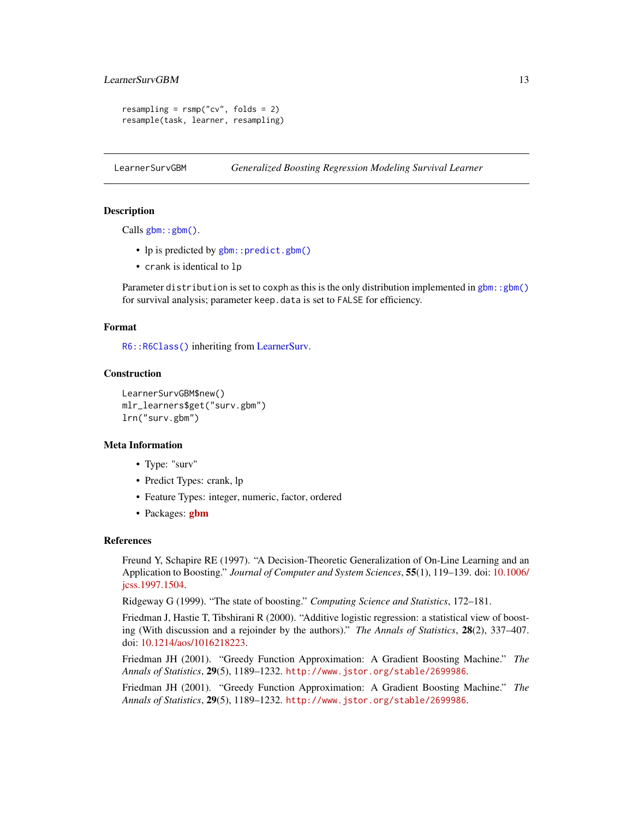# <span id="page-12-0"></span>LearnerSurvGBM 13

```
resampling = rsmp("cv", folds = 2)resample(task, learner, resampling)
```
<span id="page-12-1"></span>LearnerSurvGBM *Generalized Boosting Regression Modeling Survival Learner*

# Description

Calls [gbm::gbm\(\)](#page-0-0).

- lp is predicted by [gbm::predict.gbm\(\)](#page-0-0)
- crank is identical to lp

Parameter distribution is set to coxph as this is the only distribution implemented in gbm: : gbm() for survival analysis; parameter keep.data is set to FALSE for efficiency.

#### Format

[R6::R6Class\(\)](#page-0-0) inheriting from [LearnerSurv.](#page-5-1)

#### **Construction**

```
LearnerSurvGBM$new()
mlr_learners$get("surv.gbm")
lrn("surv.gbm")
```
#### Meta Information

- Type: "surv"
- Predict Types: crank, lp
- Feature Types: integer, numeric, factor, ordered
- Packages: [gbm](https://CRAN.R-project.org/package=gbm)

#### References

Freund Y, Schapire RE (1997). "A Decision-Theoretic Generalization of On-Line Learning and an Application to Boosting." *Journal of Computer and System Sciences*, 55(1), 119–139. doi: [10.1006/](https://doi.org/10.1006/jcss.1997.1504) [jcss.1997.1504.](https://doi.org/10.1006/jcss.1997.1504)

Ridgeway G (1999). "The state of boosting." *Computing Science and Statistics*, 172–181.

Friedman J, Hastie T, Tibshirani R (2000). "Additive logistic regression: a statistical view of boosting (With discussion and a rejoinder by the authors)." *The Annals of Statistics*, 28(2), 337–407. doi: [10.1214/aos/1016218223.](https://doi.org/10.1214/aos/1016218223)

Friedman JH (2001). "Greedy Function Approximation: A Gradient Boosting Machine." *The Annals of Statistics*, 29(5), 1189–1232. <http://www.jstor.org/stable/2699986>.

Friedman JH (2001). "Greedy Function Approximation: A Gradient Boosting Machine." *The Annals of Statistics*, 29(5), 1189–1232. <http://www.jstor.org/stable/2699986>.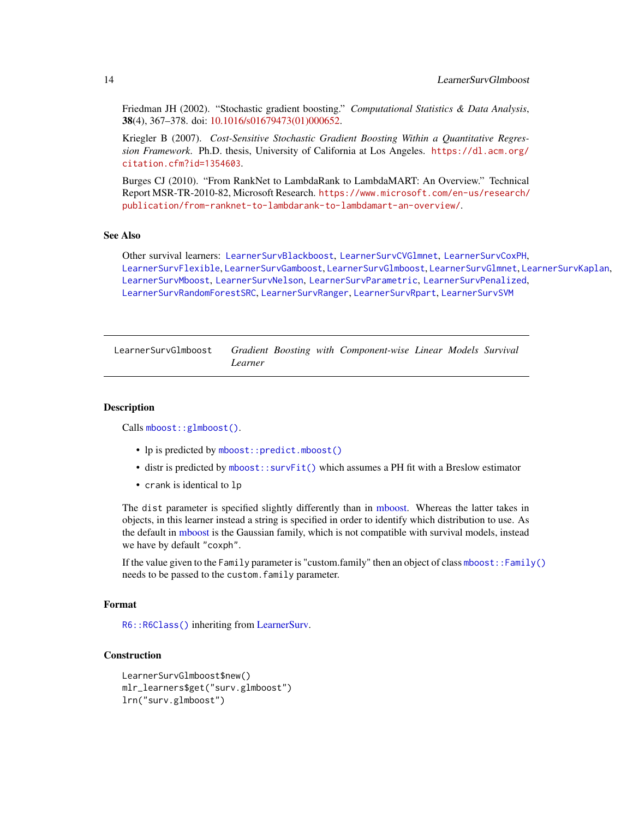<span id="page-13-0"></span>Friedman JH (2002). "Stochastic gradient boosting." *Computational Statistics & Data Analysis*, 38(4), 367–378. doi: [10.1016/s01679473\(01\)000652.](https://doi.org/10.1016/s0167-9473(01)00065-2)

Kriegler B (2007). *Cost-Sensitive Stochastic Gradient Boosting Within a Quantitative Regression Framework*. Ph.D. thesis, University of California at Los Angeles. [https://dl.acm.org/](https://dl.acm.org/citation.cfm?id=1354603) [citation.cfm?id=1354603](https://dl.acm.org/citation.cfm?id=1354603).

Burges CJ (2010). "From RankNet to LambdaRank to LambdaMART: An Overview." Technical Report MSR-TR-2010-82, Microsoft Research. [https://www.microsoft.com/en-us/research/](https://www.microsoft.com/en-us/research/publication/from-ranknet-to-lambdarank-to-lambdamart-an-overview/) [publication/from-ranknet-to-lambdarank-to-lambdamart-an-overview/](https://www.microsoft.com/en-us/research/publication/from-ranknet-to-lambdarank-to-lambdamart-an-overview/).

# See Also

Other survival learners: [LearnerSurvBlackboost](#page-6-1), [LearnerSurvCVGlmnet](#page-8-1), [LearnerSurvCoxPH](#page-7-1), [LearnerSurvFlexible](#page-9-1), [LearnerSurvGamboost](#page-10-1), [LearnerSurvGlmboost](#page-13-1), [LearnerSurvGlmnet](#page-14-1), [LearnerSurvKaplan](#page-16-1), [LearnerSurvMboost](#page-17-1), [LearnerSurvNelson](#page-18-1), [LearnerSurvParametric](#page-19-1), [LearnerSurvPenalized](#page-21-1), [LearnerSurvRandomForestSRC](#page-22-1), [LearnerSurvRanger](#page-23-1), [LearnerSurvRpart](#page-24-1), [LearnerSurvSVM](#page-25-1)

<span id="page-13-1"></span>LearnerSurvGlmboost *Gradient Boosting with Component-wise Linear Models Survival Learner*

#### Description

Calls [mboost::glmboost\(\)](#page-0-0).

- lp is predicted by [mboost::predict.mboost\(\)](#page-0-0)
- distr is predicted by [mboost::survFit\(\)](#page-0-0) which assumes a PH fit with a Breslow estimator
- crank is identical to lp

The dist parameter is specified slightly differently than in [mboost.](#page-0-0) Whereas the latter takes in objects, in this learner instead a string is specified in order to identify which distribution to use. As the default in [mboost](#page-0-0) is the Gaussian family, which is not compatible with survival models, instead we have by default "coxph".

If the value given to the Family parameter is "custom.family" then an object of class [mboost::Family\(\)](#page-0-0) needs to be passed to the custom.family parameter.

#### Format

[R6::R6Class\(\)](#page-0-0) inheriting from [LearnerSurv.](#page-5-1)

# Construction

```
LearnerSurvGlmboost$new()
mlr_learners$get("surv.glmboost")
lrn("surv.glmboost")
```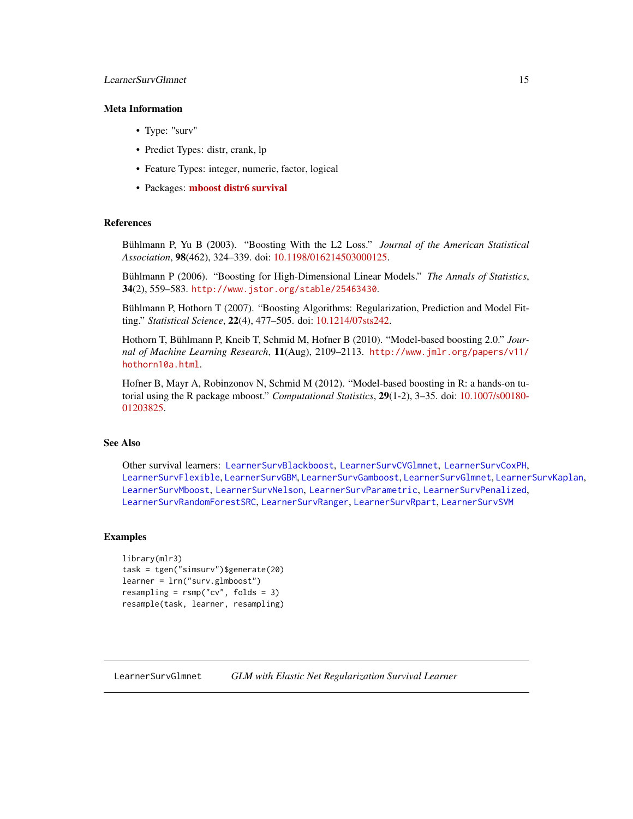# <span id="page-14-0"></span>LearnerSurvGlmnet 15

# Meta Information

- Type: "surv"
- Predict Types: distr, crank, lp
- Feature Types: integer, numeric, factor, logical
- Packages: [mboost](https://CRAN.R-project.org/package=mboost) [distr6](https://CRAN.R-project.org/package=distr6) [survival](https://CRAN.R-project.org/package=survival)

#### References

Bühlmann P, Yu B (2003). "Boosting With the L2 Loss." *Journal of the American Statistical Association*, 98(462), 324–339. doi: [10.1198/016214503000125.](https://doi.org/10.1198/016214503000125)

Bühlmann P (2006). "Boosting for High-Dimensional Linear Models." *The Annals of Statistics*, 34(2), 559–583. <http://www.jstor.org/stable/25463430>.

Bühlmann P, Hothorn T (2007). "Boosting Algorithms: Regularization, Prediction and Model Fitting." *Statistical Science*, 22(4), 477–505. doi: [10.1214/07sts242.](https://doi.org/10.1214/07-sts242)

Hothorn T, Bühlmann P, Kneib T, Schmid M, Hofner B (2010). "Model-based boosting 2.0." *Journal of Machine Learning Research*, 11(Aug), 2109–2113. [http://www.jmlr.org/papers/v11/](http://www.jmlr.org/papers/v11/hothorn10a.html) [hothorn10a.html](http://www.jmlr.org/papers/v11/hothorn10a.html).

Hofner B, Mayr A, Robinzonov N, Schmid M (2012). "Model-based boosting in R: a hands-on tutorial using the R package mboost." *Computational Statistics*, 29(1-2), 3–35. doi: [10.1007/s00180-](https://doi.org/10.1007/s00180-012-0382-5) [01203825.](https://doi.org/10.1007/s00180-012-0382-5)

# See Also

Other survival learners: [LearnerSurvBlackboost](#page-6-1), [LearnerSurvCVGlmnet](#page-8-1), [LearnerSurvCoxPH](#page-7-1), [LearnerSurvFlexible](#page-9-1), [LearnerSurvGBM](#page-12-1), [LearnerSurvGamboost](#page-10-1), [LearnerSurvGlmnet](#page-14-1), [LearnerSurvKaplan](#page-16-1), [LearnerSurvMboost](#page-17-1), [LearnerSurvNelson](#page-18-1), [LearnerSurvParametric](#page-19-1), [LearnerSurvPenalized](#page-21-1), [LearnerSurvRandomForestSRC](#page-22-1), [LearnerSurvRanger](#page-23-1), [LearnerSurvRpart](#page-24-1), [LearnerSurvSVM](#page-25-1)

#### Examples

```
library(mlr3)
task = tgen("simsurv")$generate(20)
learner = lrn("surv.glmboost")
resampling = rsmp("cv", folds = 3)
resample(task, learner, resampling)
```
<span id="page-14-1"></span>LearnerSurvGlmnet *GLM with Elastic Net Regularization Survival Learner*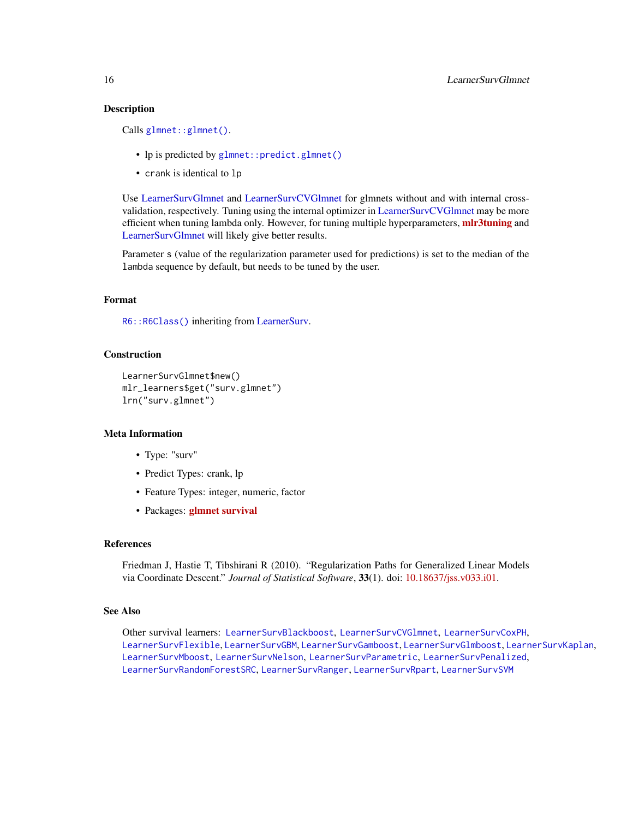#### Description

Calls [glmnet::glmnet\(\)](#page-0-0).

- lp is predicted by [glmnet::predict.glmnet\(\)](#page-0-0)
- crank is identical to lp

Use [LearnerSurvGlmnet](#page-14-1) and [LearnerSurvCVGlmnet](#page-8-1) for glmnets without and with internal crossvalidation, respectively. Tuning using the internal optimizer in [LearnerSurvCVGlmnet](#page-8-1) may be more efficient when tuning lambda only. However, for tuning multiple hyperparameters, mir3tuning and [LearnerSurvGlmnet](#page-14-1) will likely give better results.

Parameter s (value of the regularization parameter used for predictions) is set to the median of the lambda sequence by default, but needs to be tuned by the user.

#### Format

[R6::R6Class\(\)](#page-0-0) inheriting from [LearnerSurv.](#page-5-1)

# Construction

```
LearnerSurvGlmnet$new()
mlr_learners$get("surv.glmnet")
lrn("surv.glmnet")
```
# Meta Information

- Type: "surv"
- Predict Types: crank, lp
- Feature Types: integer, numeric, factor
- Packages: [glmnet](https://CRAN.R-project.org/package=glmnet) [survival](https://CRAN.R-project.org/package=survival)

#### References

Friedman J, Hastie T, Tibshirani R (2010). "Regularization Paths for Generalized Linear Models via Coordinate Descent." *Journal of Statistical Software*, 33(1). doi: [10.18637/jss.v033.i01.](https://doi.org/10.18637/jss.v033.i01)

# See Also

Other survival learners: [LearnerSurvBlackboost](#page-6-1), [LearnerSurvCVGlmnet](#page-8-1), [LearnerSurvCoxPH](#page-7-1), [LearnerSurvFlexible](#page-9-1), [LearnerSurvGBM](#page-12-1), [LearnerSurvGamboost](#page-10-1), [LearnerSurvGlmboost](#page-13-1), [LearnerSurvKaplan](#page-16-1), [LearnerSurvMboost](#page-17-1), [LearnerSurvNelson](#page-18-1), [LearnerSurvParametric](#page-19-1), [LearnerSurvPenalized](#page-21-1), [LearnerSurvRandomForestSRC](#page-22-1), [LearnerSurvRanger](#page-23-1), [LearnerSurvRpart](#page-24-1), [LearnerSurvSVM](#page-25-1)

<span id="page-15-0"></span>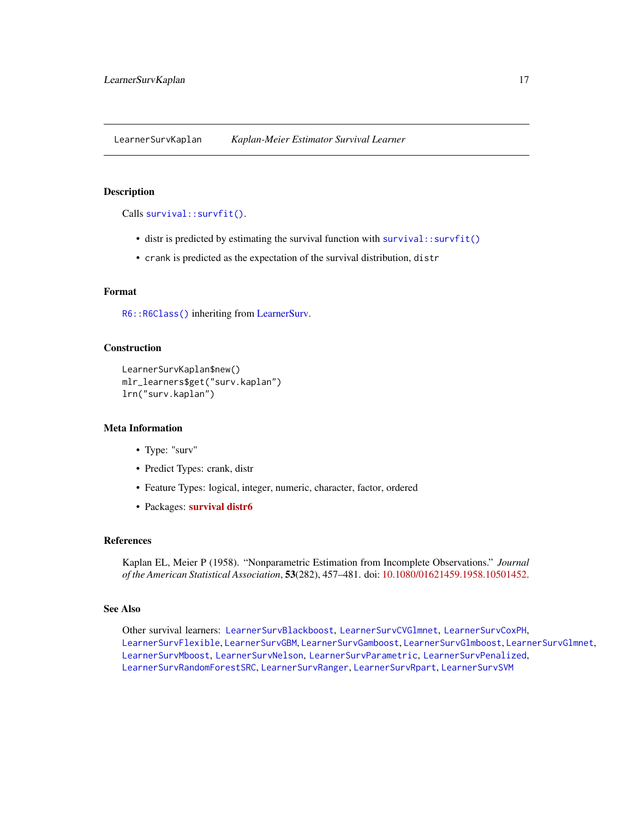<span id="page-16-1"></span><span id="page-16-0"></span>LearnerSurvKaplan *Kaplan-Meier Estimator Survival Learner*

#### Description

Calls [survival::survfit\(\)](#page-0-0).

- distr is predicted by estimating the survival function with [survival::survfit\(\)](#page-0-0)
- crank is predicted as the expectation of the survival distribution, distr

#### Format

[R6::R6Class\(\)](#page-0-0) inheriting from [LearnerSurv.](#page-5-1)

# Construction

```
LearnerSurvKaplan$new()
mlr_learners$get("surv.kaplan")
lrn("surv.kaplan")
```
#### Meta Information

- Type: "surv"
- Predict Types: crank, distr
- Feature Types: logical, integer, numeric, character, factor, ordered
- Packages: [survival](https://CRAN.R-project.org/package=survival) [distr6](https://CRAN.R-project.org/package=distr6)

#### References

Kaplan EL, Meier P (1958). "Nonparametric Estimation from Incomplete Observations." *Journal of the American Statistical Association*, 53(282), 457–481. doi: [10.1080/01621459.1958.10501452.](https://doi.org/10.1080/01621459.1958.10501452)

# See Also

Other survival learners: [LearnerSurvBlackboost](#page-6-1), [LearnerSurvCVGlmnet](#page-8-1), [LearnerSurvCoxPH](#page-7-1), [LearnerSurvFlexible](#page-9-1), [LearnerSurvGBM](#page-12-1), [LearnerSurvGamboost](#page-10-1), [LearnerSurvGlmboost](#page-13-1), [LearnerSurvGlmnet](#page-14-1), [LearnerSurvMboost](#page-17-1), [LearnerSurvNelson](#page-18-1), [LearnerSurvParametric](#page-19-1), [LearnerSurvPenalized](#page-21-1), [LearnerSurvRandomForestSRC](#page-22-1), [LearnerSurvRanger](#page-23-1), [LearnerSurvRpart](#page-24-1), [LearnerSurvSVM](#page-25-1)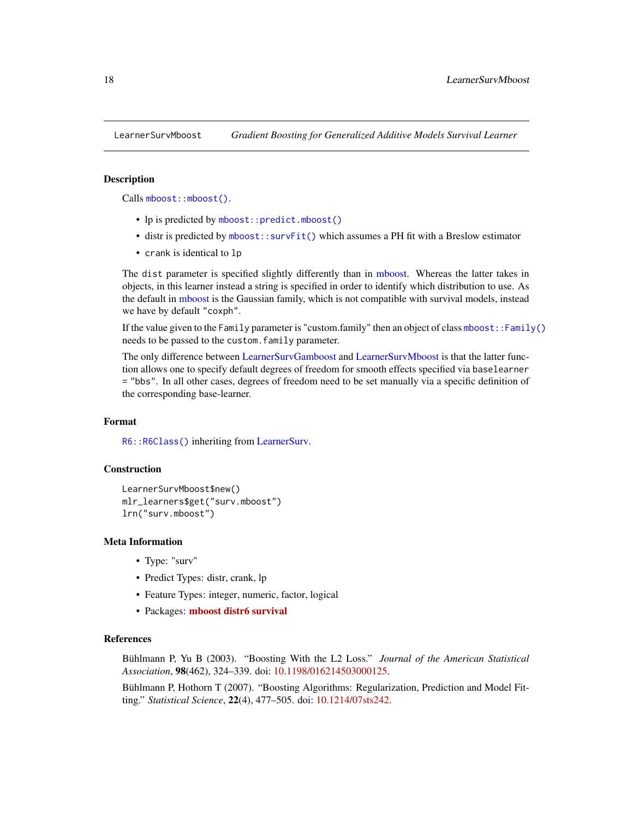<span id="page-17-1"></span><span id="page-17-0"></span>

# **Description**

Calls [mboost::mboost\(\)](#page-0-0).

- lp is predicted by [mboost::predict.mboost\(\)](#page-0-0)
- distr is predicted by [mboost::survFit\(\)](#page-0-0) which assumes a PH fit with a Breslow estimator
- crank is identical to lp

The dist parameter is specified slightly differently than in [mboost.](#page-0-0) Whereas the latter takes in objects, in this learner instead a string is specified in order to identify which distribution to use. As the default in [mboost](#page-0-0) is the Gaussian family, which is not compatible with survival models, instead we have by default "coxph".

If the value given to the Family parameter is "custom.family" then an object of class [mboost::Family\(\)](#page-0-0) needs to be passed to the custom.family parameter.

The only difference between [LearnerSurvGamboost](#page-10-1) and [LearnerSurvMboost](#page-17-1) is that the latter function allows one to specify default degrees of freedom for smooth effects specified via baselearner = "bbs". In all other cases, degrees of freedom need to be set manually via a specific definition of the corresponding base-learner.

# Format

[R6::R6Class\(\)](#page-0-0) inheriting from [LearnerSurv.](#page-5-1)

# Construction

```
LearnerSurvMboost$new()
mlr_learners$get("surv.mboost")
lrn("surv.mboost")
```
#### Meta Information

- Type: "surv"
- Predict Types: distr, crank, lp
- Feature Types: integer, numeric, factor, logical
- Packages: [mboost](https://CRAN.R-project.org/package=mboost) [distr6](https://CRAN.R-project.org/package=distr6) [survival](https://CRAN.R-project.org/package=survival)

# References

Bühlmann P, Yu B (2003). "Boosting With the L2 Loss." *Journal of the American Statistical Association*, 98(462), 324–339. doi: [10.1198/016214503000125.](https://doi.org/10.1198/016214503000125)

Bühlmann P, Hothorn T (2007). "Boosting Algorithms: Regularization, Prediction and Model Fitting." *Statistical Science*, 22(4), 477–505. doi: [10.1214/07sts242.](https://doi.org/10.1214/07-sts242)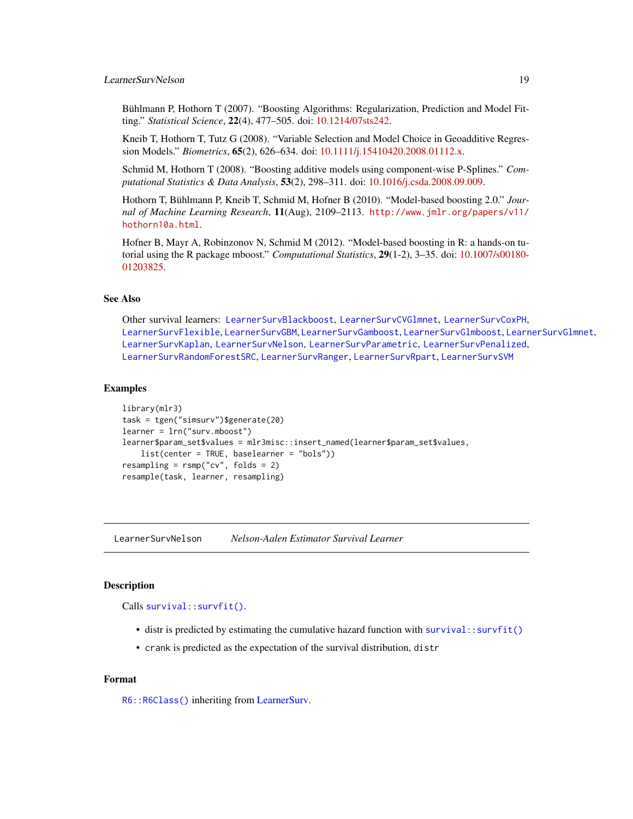# <span id="page-18-0"></span>LearnerSurvNelson 19

Bühlmann P, Hothorn T (2007). "Boosting Algorithms: Regularization, Prediction and Model Fitting." *Statistical Science*, 22(4), 477–505. doi: [10.1214/07sts242.](https://doi.org/10.1214/07-sts242)

Kneib T, Hothorn T, Tutz G (2008). "Variable Selection and Model Choice in Geoadditive Regression Models." *Biometrics*, 65(2), 626–634. doi: [10.1111/j.15410420.2008.01112.x.](https://doi.org/10.1111/j.1541-0420.2008.01112.x)

Schmid M, Hothorn T (2008). "Boosting additive models using component-wise P-Splines." *Computational Statistics & Data Analysis*, 53(2), 298–311. doi: [10.1016/j.csda.2008.09.009.](https://doi.org/10.1016/j.csda.2008.09.009)

Hothorn T, Bühlmann P, Kneib T, Schmid M, Hofner B (2010). "Model-based boosting 2.0." *Journal of Machine Learning Research*, 11(Aug), 2109–2113. [http://www.jmlr.org/papers/v11/](http://www.jmlr.org/papers/v11/hothorn10a.html) [hothorn10a.html](http://www.jmlr.org/papers/v11/hothorn10a.html).

Hofner B, Mayr A, Robinzonov N, Schmid M (2012). "Model-based boosting in R: a hands-on tutorial using the R package mboost." *Computational Statistics*, 29(1-2), 3–35. doi: [10.1007/s00180-](https://doi.org/10.1007/s00180-012-0382-5) [01203825.](https://doi.org/10.1007/s00180-012-0382-5)

# See Also

Other survival learners: [LearnerSurvBlackboost](#page-6-1), [LearnerSurvCVGlmnet](#page-8-1), [LearnerSurvCoxPH](#page-7-1), [LearnerSurvFlexible](#page-9-1), [LearnerSurvGBM](#page-12-1), [LearnerSurvGamboost](#page-10-1), [LearnerSurvGlmboost](#page-13-1), [LearnerSurvGlmnet](#page-14-1), [LearnerSurvKaplan](#page-16-1), [LearnerSurvNelson](#page-18-1), [LearnerSurvParametric](#page-19-1), [LearnerSurvPenalized](#page-21-1), [LearnerSurvRandomForestSRC](#page-22-1), [LearnerSurvRanger](#page-23-1), [LearnerSurvRpart](#page-24-1), [LearnerSurvSVM](#page-25-1)

#### Examples

```
library(mlr3)
task = tgen("simsurv")$generate(20)
learner = lrn("surv.mboost")
learner$param_set$values = mlr3misc::insert_named(learner$param_set$values,
    list(center = TRUE, baselearner = "bols"))
resampling = rsmp("cv", folds = 2)
resample(task, learner, resampling)
```
<span id="page-18-1"></span>LearnerSurvNelson *Nelson-Aalen Estimator Survival Learner*

# Description

Calls [survival::survfit\(\)](#page-0-0).

- distr is predicted by estimating the cumulative hazard function with [survival::survfit\(\)](#page-0-0)
- crank is predicted as the expectation of the survival distribution, distr

#### Format

[R6::R6Class\(\)](#page-0-0) inheriting from [LearnerSurv.](#page-5-1)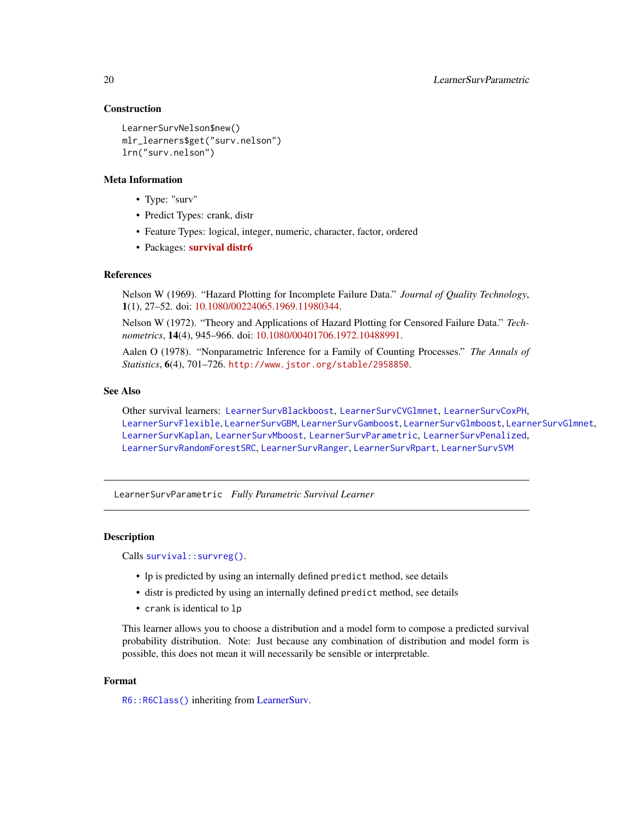#### Construction

```
LearnerSurvNelson$new()
mlr_learners$get("surv.nelson")
lrn("surv.nelson")
```
#### Meta Information

- Type: "surv"
- Predict Types: crank, distr
- Feature Types: logical, integer, numeric, character, factor, ordered
- Packages: [survival](https://CRAN.R-project.org/package=survival) [distr6](https://CRAN.R-project.org/package=distr6)

#### References

Nelson W (1969). "Hazard Plotting for Incomplete Failure Data." *Journal of Quality Technology*, 1(1), 27–52. doi: [10.1080/00224065.1969.11980344.](https://doi.org/10.1080/00224065.1969.11980344)

Nelson W (1972). "Theory and Applications of Hazard Plotting for Censored Failure Data." *Technometrics*, 14(4), 945–966. doi: [10.1080/00401706.1972.10488991.](https://doi.org/10.1080/00401706.1972.10488991)

Aalen O (1978). "Nonparametric Inference for a Family of Counting Processes." *The Annals of Statistics*, 6(4), 701–726. <http://www.jstor.org/stable/2958850>.

# See Also

Other survival learners: [LearnerSurvBlackboost](#page-6-1), [LearnerSurvCVGlmnet](#page-8-1), [LearnerSurvCoxPH](#page-7-1), [LearnerSurvFlexible](#page-9-1), [LearnerSurvGBM](#page-12-1), [LearnerSurvGamboost](#page-10-1), [LearnerSurvGlmboost](#page-13-1), [LearnerSurvGlmnet](#page-14-1), [LearnerSurvKaplan](#page-16-1), [LearnerSurvMboost](#page-17-1), [LearnerSurvParametric](#page-19-1), [LearnerSurvPenalized](#page-21-1), [LearnerSurvRandomForestSRC](#page-22-1), [LearnerSurvRanger](#page-23-1), [LearnerSurvRpart](#page-24-1), [LearnerSurvSVM](#page-25-1)

<span id="page-19-1"></span>LearnerSurvParametric *Fully Parametric Survival Learner*

#### **Description**

Calls [survival::survreg\(\)](#page-0-0).

- lp is predicted by using an internally defined predict method, see details
- distr is predicted by using an internally defined predict method, see details
- crank is identical to lp

This learner allows you to choose a distribution and a model form to compose a predicted survival probability distribution. Note: Just because any combination of distribution and model form is possible, this does not mean it will necessarily be sensible or interpretable.

#### Format

[R6::R6Class\(\)](#page-0-0) inheriting from [LearnerSurv.](#page-5-1)

<span id="page-19-0"></span>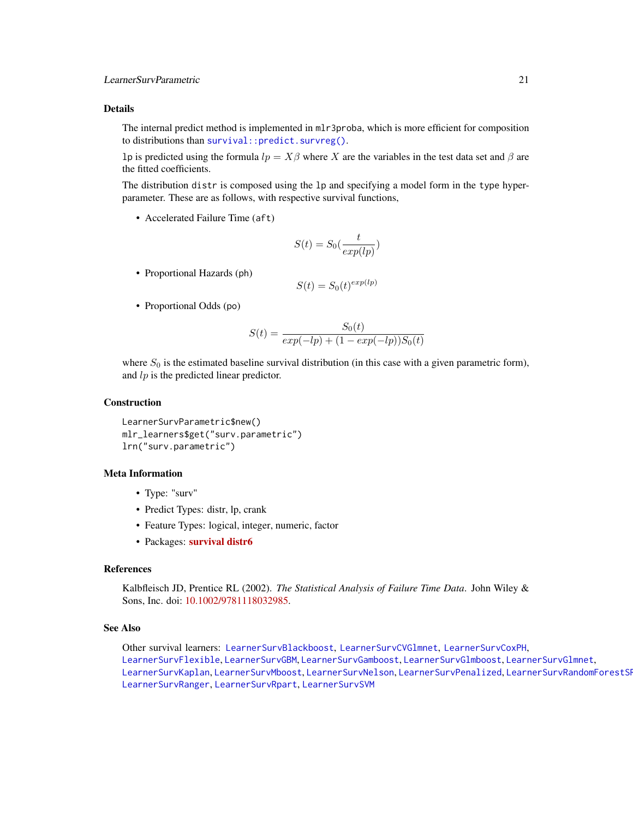<span id="page-20-0"></span>The internal predict method is implemented in mlr3proba, which is more efficient for composition to distributions than survival:: predict.survreg().

lp is predicted using the formula  $lp = X\beta$  where X are the variables in the test data set and  $\beta$  are the fitted coefficients.

The distribution distr is composed using the lp and specifying a model form in the type hyperparameter. These are as follows, with respective survival functions,

• Accelerated Failure Time (aft)

$$
S(t) = S_0(\frac{t}{exp(lp)})
$$

• Proportional Hazards (ph)

$$
S(t) = S_0(t)^{exp(lp)}
$$

• Proportional Odds (po)

$$
S(t) = \frac{S_0(t)}{exp(-lp) + (1 - exp(-lp))S_0(t)}
$$

where  $S_0$  is the estimated baseline survival distribution (in this case with a given parametric form), and  $lp$  is the predicted linear predictor.

# Construction

```
LearnerSurvParametric$new()
mlr_learners$get("surv.parametric")
lrn("surv.parametric")
```
# Meta Information

- Type: "surv"
- Predict Types: distr, lp, crank
- Feature Types: logical, integer, numeric, factor
- Packages: [survival](https://CRAN.R-project.org/package=survival) [distr6](https://CRAN.R-project.org/package=distr6)

# References

Kalbfleisch JD, Prentice RL (2002). *The Statistical Analysis of Failure Time Data*. John Wiley & Sons, Inc. doi: [10.1002/9781118032985.](https://doi.org/10.1002/9781118032985)

#### See Also

Other survival learners: [LearnerSurvBlackboost](#page-6-1), [LearnerSurvCVGlmnet](#page-8-1), [LearnerSurvCoxPH](#page-7-1), [LearnerSurvFlexible](#page-9-1), [LearnerSurvGBM](#page-12-1), [LearnerSurvGamboost](#page-10-1), [LearnerSurvGlmboost](#page-13-1), [LearnerSurvGlmnet](#page-14-1), [LearnerSurvKaplan](#page-16-1), [LearnerSurvMboost](#page-17-1), [LearnerSurvNelson](#page-18-1), [LearnerSurvPenalized](#page-21-1), LearnerSurvRandomForestSR [LearnerSurvRanger](#page-23-1), [LearnerSurvRpart](#page-24-1), [LearnerSurvSVM](#page-25-1)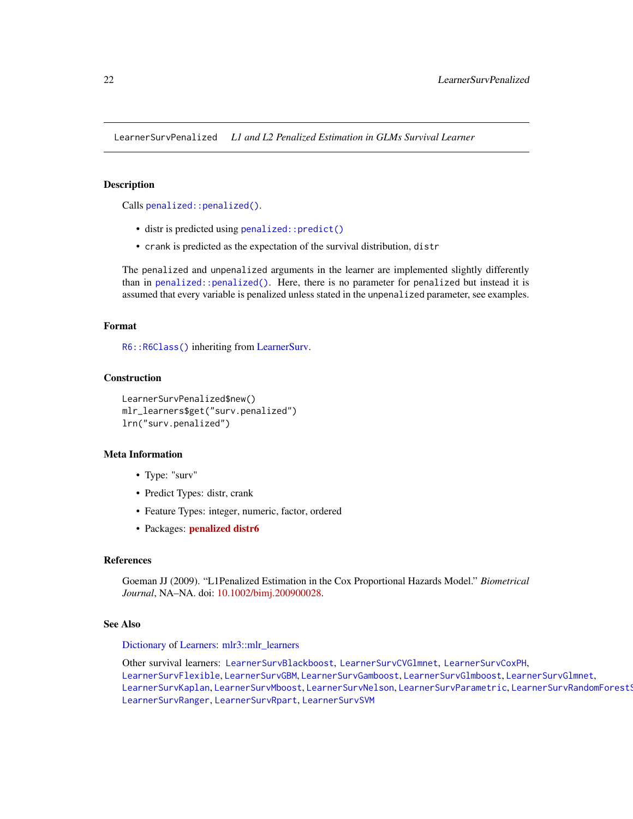<span id="page-21-1"></span><span id="page-21-0"></span>LearnerSurvPenalized *L1 and L2 Penalized Estimation in GLMs Survival Learner*

#### Description

Calls [penalized::penalized\(\)](#page-0-0).

- distr is predicted using penalized:: predict()
- crank is predicted as the expectation of the survival distribution, distr

The penalized and unpenalized arguments in the learner are implemented slightly differently than in [penalized::penalized\(\)](#page-0-0). Here, there is no parameter for penalized but instead it is assumed that every variable is penalized unless stated in the unpenalized parameter, see examples.

#### Format

[R6::R6Class\(\)](#page-0-0) inheriting from [LearnerSurv.](#page-5-1)

# Construction

```
LearnerSurvPenalized$new()
mlr_learners$get("surv.penalized")
lrn("surv.penalized")
```
# Meta Information

- Type: "surv"
- Predict Types: distr, crank
- Feature Types: integer, numeric, factor, ordered
- Packages: [penalized](https://CRAN.R-project.org/package=penalized) [distr6](https://CRAN.R-project.org/package=distr6)

#### References

Goeman JJ (2009). "L1Penalized Estimation in the Cox Proportional Hazards Model." *Biometrical Journal*, NA–NA. doi: [10.1002/bimj.200900028.](https://doi.org/10.1002/bimj.200900028)

#### See Also

[Dictionary](#page-0-0) of [Learners:](#page-0-0) [mlr3::mlr\\_learners](#page-0-0)

Other survival learners: [LearnerSurvBlackboost](#page-6-1), [LearnerSurvCVGlmnet](#page-8-1), [LearnerSurvCoxPH](#page-7-1), [LearnerSurvFlexible](#page-9-1), [LearnerSurvGBM](#page-12-1), [LearnerSurvGamboost](#page-10-1), [LearnerSurvGlmboost](#page-13-1), [LearnerSurvGlmnet](#page-14-1), [LearnerSurvKaplan](#page-16-1), [LearnerSurvMboost](#page-17-1), [LearnerSurvNelson](#page-18-1), [LearnerSurvParametric](#page-19-1), LearnerSurvRandomForest! [LearnerSurvRanger](#page-23-1), [LearnerSurvRpart](#page-24-1), [LearnerSurvSVM](#page-25-1)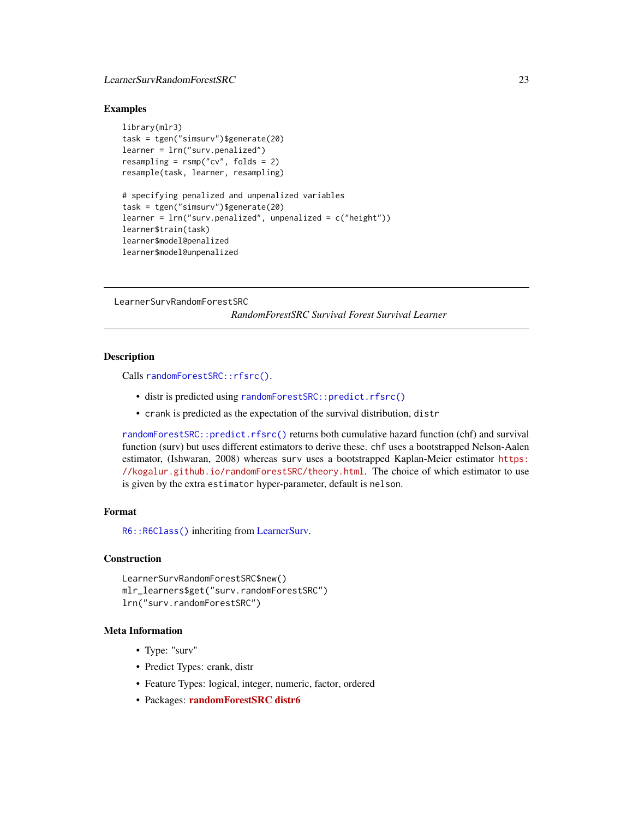# <span id="page-22-0"></span>LearnerSurvRandomForestSRC 23

#### Examples

```
library(mlr3)
task = tgen("simsurv")$generate(20)
learner = lrn("surv.penalized")
resampling = rsmp("cv", folds = 2)resample(task, learner, resampling)
# specifying penalized and unpenalized variables
task = tgen("simsurv")$generate(20)
learner = lrn("surv.penalized", unpenalized = c("height"))
learner$train(task)
learner$model@penalized
learner$model@unpenalized
```
<span id="page-22-1"></span>LearnerSurvRandomForestSRC

*RandomForestSRC Survival Forest Survival Learner*

#### **Description**

Calls [randomForestSRC::rfsrc\(\)](#page-0-0).

- distr is predicted using [randomForestSRC::predict.rfsrc\(\)](#page-0-0)
- crank is predicted as the expectation of the survival distribution, distr

[randomForestSRC::predict.rfsrc\(\)](#page-0-0) returns both cumulative hazard function (chf) and survival function (surv) but uses different estimators to derive these. chf uses a bootstrapped Nelson-Aalen estimator, (Ishwaran, 2008) whereas surv uses a bootstrapped Kaplan-Meier estimator [https:](https://kogalur.github.io/randomForestSRC/theory.html) [//kogalur.github.io/randomForestSRC/theory.html](https://kogalur.github.io/randomForestSRC/theory.html). The choice of which estimator to use is given by the extra estimator hyper-parameter, default is nelson.

# Format

[R6::R6Class\(\)](#page-0-0) inheriting from [LearnerSurv.](#page-5-1)

#### Construction

```
LearnerSurvRandomForestSRC$new()
mlr_learners$get("surv.randomForestSRC")
lrn("surv.randomForestSRC")
```
# Meta Information

- Type: "surv"
- Predict Types: crank, distr
- Feature Types: logical, integer, numeric, factor, ordered
- Packages: [randomForestSRC](https://CRAN.R-project.org/package=randomForestSRC) [distr6](https://CRAN.R-project.org/package=distr6)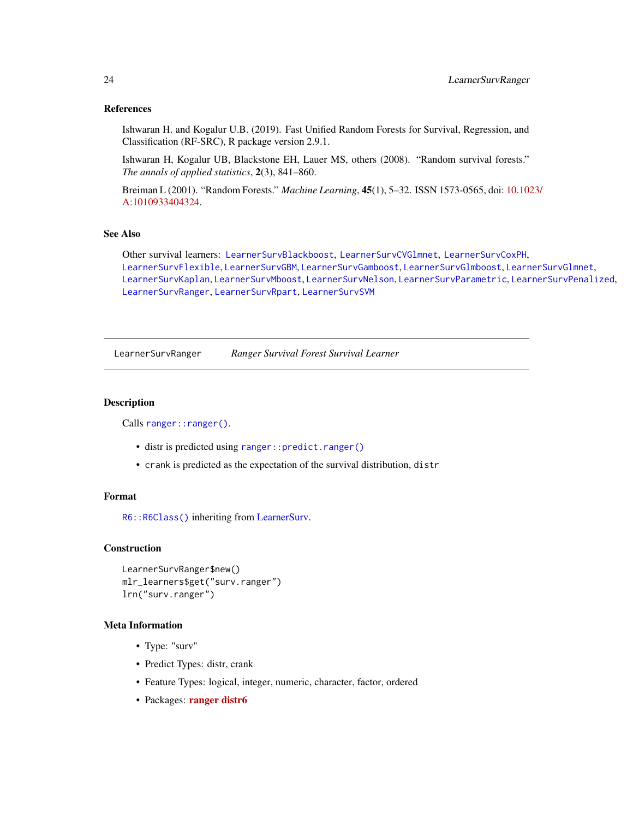#### References

Ishwaran H. and Kogalur U.B. (2019). Fast Unified Random Forests for Survival, Regression, and Classification (RF-SRC), R package version 2.9.1.

Ishwaran H, Kogalur UB, Blackstone EH, Lauer MS, others (2008). "Random survival forests." *The annals of applied statistics*, 2(3), 841–860.

Breiman L (2001). "Random Forests." *Machine Learning*, 45(1), 5–32. ISSN 1573-0565, doi: [10.102](https://doi.org/10.1023/A:1010933404324)3/ [A:1010933404324.](https://doi.org/10.1023/A:1010933404324)

# See Also

Other survival learners: [LearnerSurvBlackboost](#page-6-1), [LearnerSurvCVGlmnet](#page-8-1), [LearnerSurvCoxPH](#page-7-1), [LearnerSurvFlexible](#page-9-1), [LearnerSurvGBM](#page-12-1), [LearnerSurvGamboost](#page-10-1), [LearnerSurvGlmboost](#page-13-1), [LearnerSurvGlmnet](#page-14-1), [LearnerSurvKaplan](#page-16-1), [LearnerSurvMboost](#page-17-1), [LearnerSurvNelson](#page-18-1), [LearnerSurvParametric](#page-19-1), [LearnerSurvPenalized](#page-21-1), [LearnerSurvRanger](#page-23-1), [LearnerSurvRpart](#page-24-1), [LearnerSurvSVM](#page-25-1)

<span id="page-23-1"></span>LearnerSurvRanger *Ranger Survival Forest Survival Learner*

#### Description

Calls [ranger::ranger\(\)](#page-0-0).

- distr is predicted using [ranger::predict.ranger\(\)](#page-0-0)
- crank is predicted as the expectation of the survival distribution, distr

#### Format

[R6::R6Class\(\)](#page-0-0) inheriting from [LearnerSurv.](#page-5-1)

#### Construction

```
LearnerSurvRanger$new()
mlr_learners$get("surv.ranger")
lrn("surv.ranger")
```
# Meta Information

- Type: "surv"
- Predict Types: distr, crank
- Feature Types: logical, integer, numeric, character, factor, ordered
- Packages: [ranger](https://CRAN.R-project.org/package=ranger) [distr6](https://CRAN.R-project.org/package=distr6)

<span id="page-23-0"></span>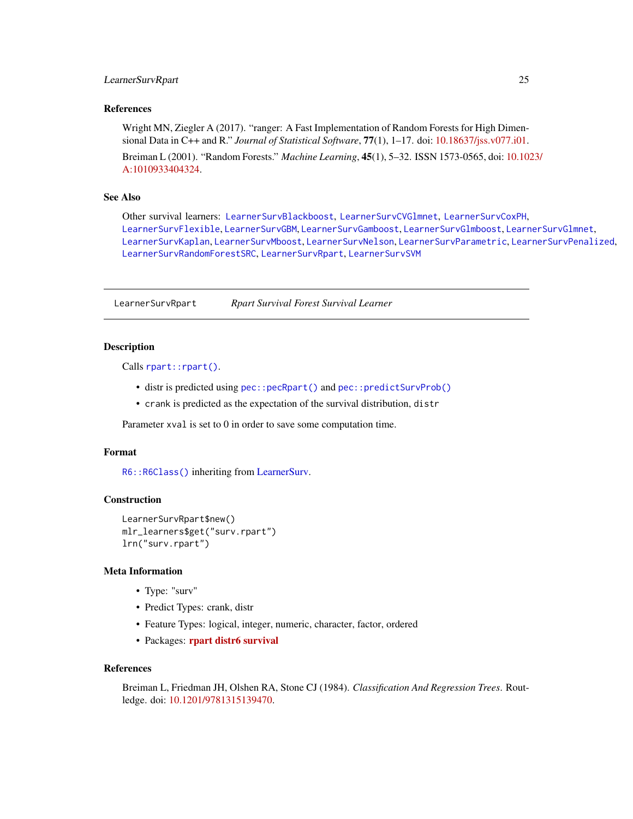# <span id="page-24-0"></span>LearnerSurvRpart 25

# References

Wright MN, Ziegler A (2017). "ranger: A Fast Implementation of Random Forests for High Dimensional Data in C++ and R." *Journal of Statistical Software*, 77(1), 1–17. doi: [10.18637/jss.v077.i01.](https://doi.org/10.18637/jss.v077.i01)

Breiman L (2001). "Random Forests." *Machine Learning*, 45(1), 5–32. ISSN 1573-0565, doi: [10.102](https://doi.org/10.1023/A:1010933404324)3/ [A:1010933404324.](https://doi.org/10.1023/A:1010933404324)

#### See Also

Other survival learners: [LearnerSurvBlackboost](#page-6-1), [LearnerSurvCVGlmnet](#page-8-1), [LearnerSurvCoxPH](#page-7-1), [LearnerSurvFlexible](#page-9-1), [LearnerSurvGBM](#page-12-1), [LearnerSurvGamboost](#page-10-1), [LearnerSurvGlmboost](#page-13-1), [LearnerSurvGlmnet](#page-14-1), [LearnerSurvKaplan](#page-16-1), [LearnerSurvMboost](#page-17-1), [LearnerSurvNelson](#page-18-1), [LearnerSurvParametric](#page-19-1), [LearnerSurvPenalized](#page-21-1), [LearnerSurvRandomForestSRC](#page-22-1), [LearnerSurvRpart](#page-24-1), [LearnerSurvSVM](#page-25-1)

<span id="page-24-1"></span>LearnerSurvRpart *Rpart Survival Forest Survival Learner*

# Description

Calls [rpart::rpart\(\)](#page-0-0).

- distr is predicted using [pec::pecRpart\(\)](#page-0-0) and [pec::predictSurvProb\(\)](#page-0-0)
- crank is predicted as the expectation of the survival distribution, distr

Parameter xval is set to 0 in order to save some computation time.

#### Format

[R6::R6Class\(\)](#page-0-0) inheriting from [LearnerSurv.](#page-5-1)

#### **Construction**

```
LearnerSurvRpart$new()
mlr_learners$get("surv.rpart")
lrn("surv.rpart")
```
# Meta Information

- Type: "surv"
- Predict Types: crank, distr
- Feature Types: logical, integer, numeric, character, factor, ordered
- Packages: [rpart](https://CRAN.R-project.org/package=rpart) [distr6](https://CRAN.R-project.org/package=distr6) [survival](https://CRAN.R-project.org/package=survival)

#### References

Breiman L, Friedman JH, Olshen RA, Stone CJ (1984). *Classification And Regression Trees*. Routledge. doi: [10.1201/9781315139470.](https://doi.org/10.1201/9781315139470)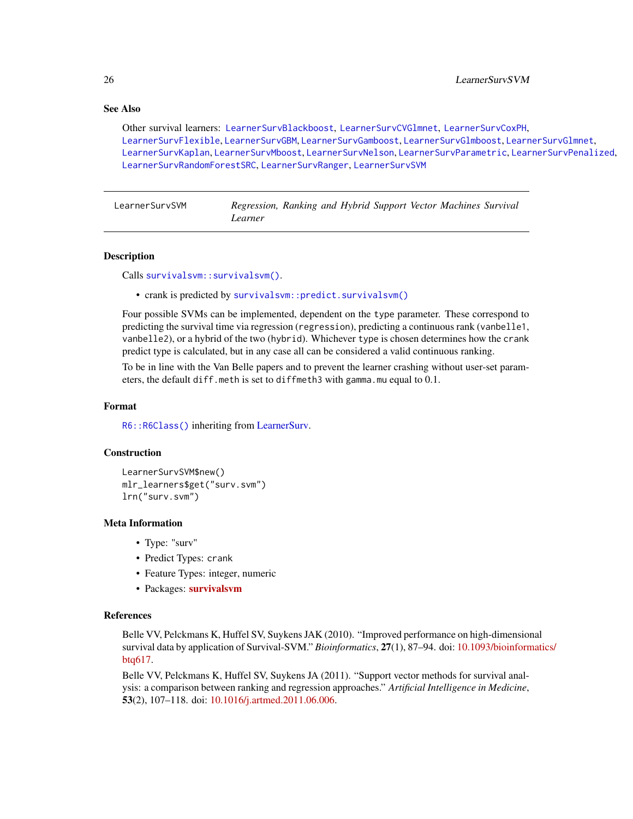# See Also

Other survival learners: [LearnerSurvBlackboost](#page-6-1), [LearnerSurvCVGlmnet](#page-8-1), [LearnerSurvCoxPH](#page-7-1), [LearnerSurvFlexible](#page-9-1), [LearnerSurvGBM](#page-12-1), [LearnerSurvGamboost](#page-10-1), [LearnerSurvGlmboost](#page-13-1), [LearnerSurvGlmnet](#page-14-1), [LearnerSurvKaplan](#page-16-1), [LearnerSurvMboost](#page-17-1), [LearnerSurvNelson](#page-18-1), [LearnerSurvParametric](#page-19-1), [LearnerSurvPenalized](#page-21-1), [LearnerSurvRandomForestSRC](#page-22-1), [LearnerSurvRanger](#page-23-1), [LearnerSurvSVM](#page-25-1)

<span id="page-25-1"></span>LearnerSurvSVM *Regression, Ranking and Hybrid Support Vector Machines Survival Learner*

#### Description

Calls [survivalsvm::survivalsvm\(\)](#page-0-0).

• crank is predicted by [survivalsvm::predict.survivalsvm\(\)](#page-0-0)

Four possible SVMs can be implemented, dependent on the type parameter. These correspond to predicting the survival time via regression (regression), predicting a continuous rank (vanbelle1, vanbelle2), or a hybrid of the two (hybrid). Whichever type is chosen determines how the crank predict type is calculated, but in any case all can be considered a valid continuous ranking.

To be in line with the Van Belle papers and to prevent the learner crashing without user-set parameters, the default diff.meth is set to diffmeth3 with gamma.mu equal to 0.1.

#### Format

[R6::R6Class\(\)](#page-0-0) inheriting from [LearnerSurv.](#page-5-1)

#### **Construction**

```
LearnerSurvSVM$new()
mlr_learners$get("surv.svm")
lrn("surv.svm")
```
# Meta Information

- Type: "surv"
- Predict Types: crank
- Feature Types: integer, numeric
- Packages: [survivalsvm](https://CRAN.R-project.org/package=survivalsvm)

# References

Belle VV, Pelckmans K, Huffel SV, Suykens JAK (2010). "Improved performance on high-dimensional survival data by application of Survival-SVM." *Bioinformatics*, 27(1), 87–94. doi: [10.1093/bioinform](https://doi.org/10.1093/bioinformatics/btq617)atics/ [btq617.](https://doi.org/10.1093/bioinformatics/btq617)

Belle VV, Pelckmans K, Huffel SV, Suykens JA (2011). "Support vector methods for survival analysis: a comparison between ranking and regression approaches." *Artificial Intelligence in Medicine*, 53(2), 107–118. doi: [10.1016/j.artmed.2011.06.006.](https://doi.org/10.1016/j.artmed.2011.06.006)

<span id="page-25-0"></span>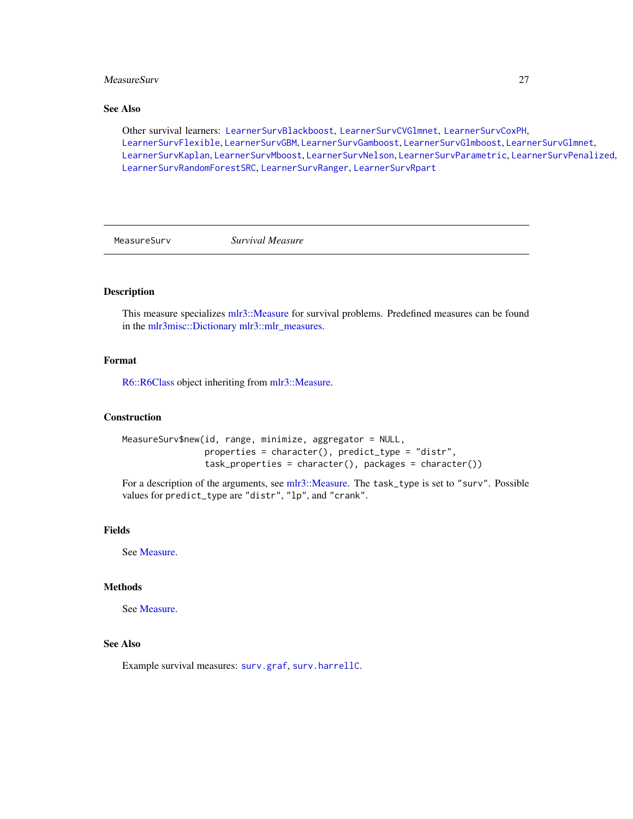#### <span id="page-26-0"></span>MeasureSurv 27

# See Also

Other survival learners: [LearnerSurvBlackboost](#page-6-1), [LearnerSurvCVGlmnet](#page-8-1), [LearnerSurvCoxPH](#page-7-1), [LearnerSurvFlexible](#page-9-1), [LearnerSurvGBM](#page-12-1), [LearnerSurvGamboost](#page-10-1), [LearnerSurvGlmboost](#page-13-1), [LearnerSurvGlmnet](#page-14-1), [LearnerSurvKaplan](#page-16-1), [LearnerSurvMboost](#page-17-1), [LearnerSurvNelson](#page-18-1), [LearnerSurvParametric](#page-19-1), [LearnerSurvPenalized](#page-21-1), [LearnerSurvRandomForestSRC](#page-22-1), [LearnerSurvRanger](#page-23-1), [LearnerSurvRpart](#page-24-1)

<span id="page-26-1"></span>

MeasureSurv *Survival Measure*

# Description

This measure specializes [mlr3::Measure](#page-0-0) for survival problems. Predefined measures can be found in the [mlr3misc::Dictionary](#page-0-0) [mlr3::mlr\\_measures.](#page-0-0)

# Format

[R6::R6Class](#page-0-0) object inheriting from [mlr3::Measure.](#page-0-0)

#### Construction

```
MeasureSurv$new(id, range, minimize, aggregator = NULL,
                properties = character(), predict_type = "distr",
                task_properties = character(), packages = character())
```
For a description of the arguments, see [mlr3::Measure.](#page-0-0) The task\_type is set to "surv". Possible values for predict\_type are "distr", "lp", and "crank".

# Fields

See [Measure.](#page-0-0)

# Methods

See [Measure.](#page-0-0)

# See Also

Example survival measures: [surv.graf](#page-30-1), [surv.harrellC](#page-33-1).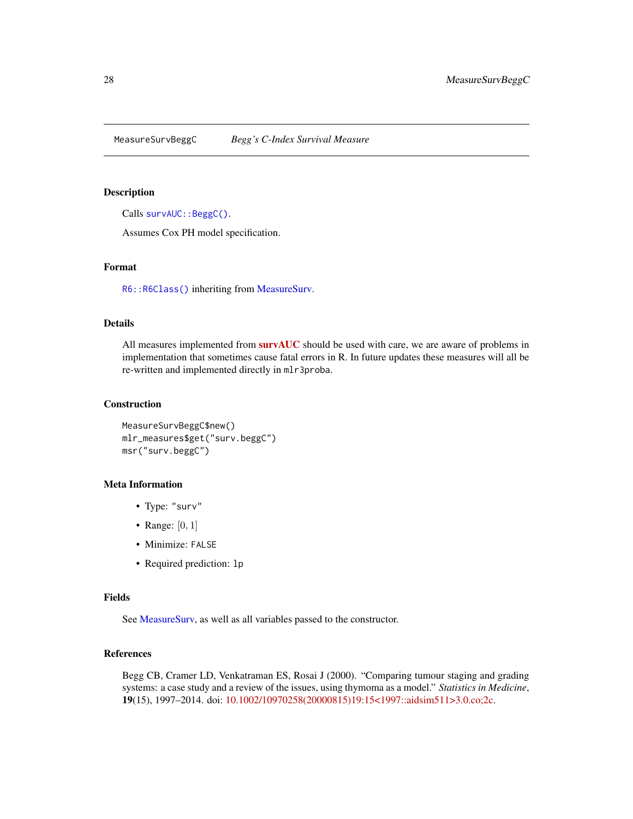<span id="page-27-1"></span><span id="page-27-0"></span>MeasureSurvBeggC *Begg's C-Index Survival Measure*

#### Description

Calls [survAUC::BeggC\(\)](#page-0-0).

Assumes Cox PH model specification.

# Format

[R6::R6Class\(\)](#page-0-0) inheriting from [MeasureSurv.](#page-26-1)

# Details

All measures implemented from [survAUC](https://CRAN.R-project.org/package=survAUC) should be used with care, we are aware of problems in implementation that sometimes cause fatal errors in R. In future updates these measures will all be re-written and implemented directly in mlr3proba.

# **Construction**

MeasureSurvBeggC\$new() mlr\_measures\$get("surv.beggC") msr("surv.beggC")

# Meta Information

- Type: "surv"
- Range:  $[0, 1]$
- Minimize: FALSE
- Required prediction: lp

#### Fields

See [MeasureSurv,](#page-26-1) as well as all variables passed to the constructor.

# References

Begg CB, Cramer LD, Venkatraman ES, Rosai J (2000). "Comparing tumour staging and grading systems: a case study and a review of the issues, using thymoma as a model." *Statistics in Medicine*, 19(15), 1997–2014. doi: [10.1002/10970258\(20000815\)19:15<1997::aidsim511>3.0.co;2c.](https://doi.org/10.1002/1097-0258(20000815)19:15<1997::aid-sim511>3.0.co;2-c)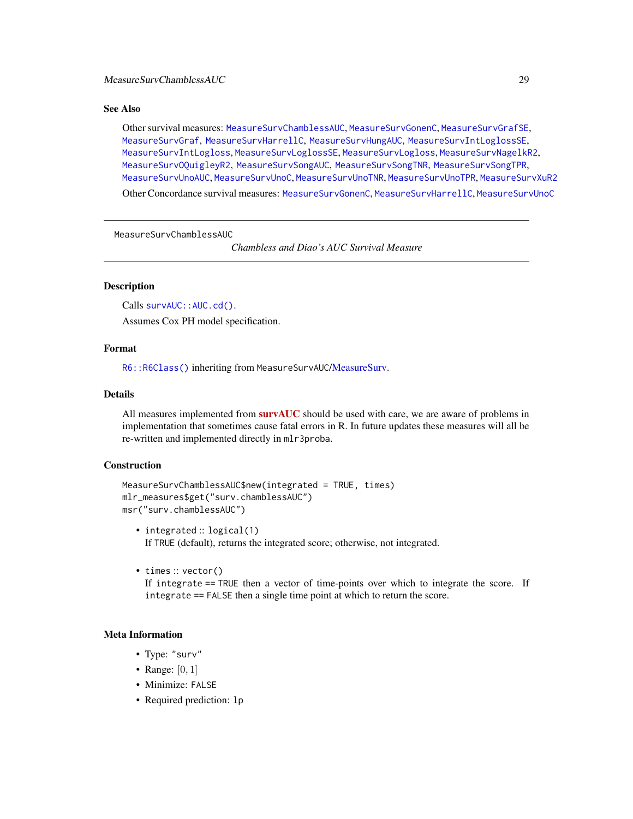# <span id="page-28-0"></span>See Also

Other survival measures: [MeasureSurvChamblessAUC](#page-28-1), [MeasureSurvGonenC](#page-29-1), [MeasureSurvGrafSE](#page-32-1), [MeasureSurvGraf](#page-30-1), [MeasureSurvHarrellC](#page-33-1), [MeasureSurvHungAUC](#page-34-1), [MeasureSurvIntLoglossSE](#page-37-1), [MeasureSurvIntLogloss](#page-35-1), [MeasureSurvLoglossSE](#page-39-1), [MeasureSurvLogloss](#page-38-1), [MeasureSurvNagelkR2](#page-40-1), [MeasureSurvOQuigleyR2](#page-41-1), [MeasureSurvSongAUC](#page-42-1), [MeasureSurvSongTNR](#page-44-1), [MeasureSurvSongTPR](#page-45-1), [MeasureSurvUnoAUC](#page-46-1), [MeasureSurvUnoC](#page-48-1), [MeasureSurvUnoTNR](#page-49-1), [MeasureSurvUnoTPR](#page-50-1), [MeasureSurvXuR2](#page-51-1)

Other Concordance survival measures: [MeasureSurvGonenC](#page-29-1), [MeasureSurvHarrellC](#page-33-1), [MeasureSurvUnoC](#page-48-1)

<span id="page-28-1"></span>MeasureSurvChamblessAUC

*Chambless and Diao's AUC Survival Measure*

# Description

Calls survAUC:: AUC.cd().

Assumes Cox PH model specification.

# Format

[R6::R6Class\(\)](#page-0-0) inheriting from MeasureSurvAUC[/MeasureSurv.](#page-26-1)

# Details

All measures implemented from **[survAUC](https://CRAN.R-project.org/package=survAUC)** should be used with care, we are aware of problems in implementation that sometimes cause fatal errors in R. In future updates these measures will all be re-written and implemented directly in mlr3proba.

# Construction

```
MeasureSurvChamblessAUC$new(integrated = TRUE, times)
mlr_measures$get("surv.chamblessAUC")
msr("surv.chamblessAUC")
```
- integrated :: logical(1) If TRUE (default), returns the integrated score; otherwise, not integrated.
- times :: vector()

If integrate == TRUE then a vector of time-points over which to integrate the score. If integrate == FALSE then a single time point at which to return the score.

# Meta Information

- Type: "surv"
- Range:  $[0, 1]$
- Minimize: FALSE
- Required prediction: lp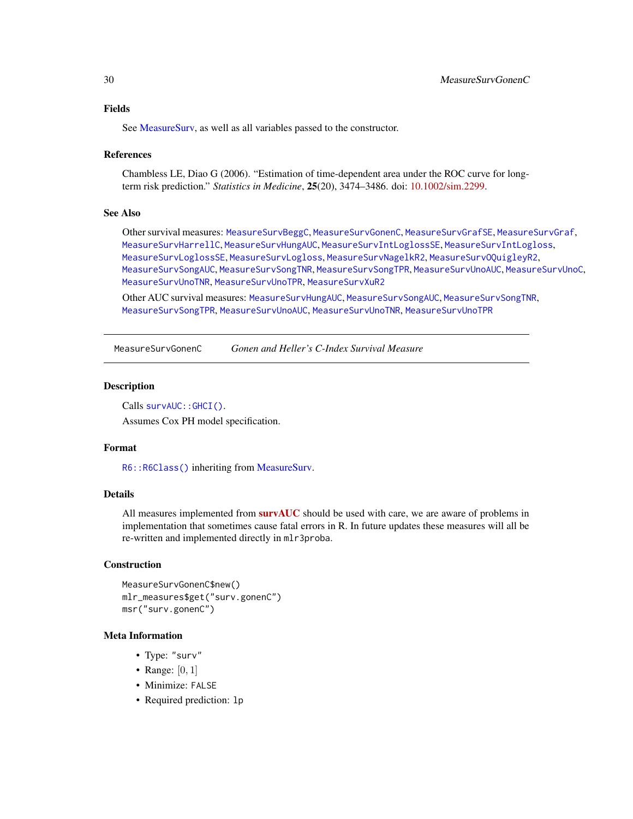<span id="page-29-0"></span>See MeasureSury, as well as all variables passed to the constructor.

#### References

Chambless LE, Diao G (2006). "Estimation of time-dependent area under the ROC curve for longterm risk prediction." *Statistics in Medicine*, 25(20), 3474–3486. doi: [10.1002/sim.2299.](https://doi.org/10.1002/sim.2299)

#### See Also

Other survival measures: [MeasureSurvBeggC](#page-27-1), [MeasureSurvGonenC](#page-29-1), [MeasureSurvGrafSE](#page-32-1), [MeasureSurvGraf](#page-30-1), [MeasureSurvHarrellC](#page-33-1), [MeasureSurvHungAUC](#page-34-1), [MeasureSurvIntLoglossSE](#page-37-1), [MeasureSurvIntLogloss](#page-35-1), [MeasureSurvLoglossSE](#page-39-1), [MeasureSurvLogloss](#page-38-1), [MeasureSurvNagelkR2](#page-40-1), [MeasureSurvOQuigleyR2](#page-41-1), [MeasureSurvSongAUC](#page-42-1), [MeasureSurvSongTNR](#page-44-1), [MeasureSurvSongTPR](#page-45-1), [MeasureSurvUnoAUC](#page-46-1), [MeasureSurvUnoC](#page-48-1), [MeasureSurvUnoTNR](#page-49-1), [MeasureSurvUnoTPR](#page-50-1), [MeasureSurvXuR2](#page-51-1)

Other AUC survival measures: [MeasureSurvHungAUC](#page-34-1), [MeasureSurvSongAUC](#page-42-1), [MeasureSurvSongTNR](#page-44-1), [MeasureSurvSongTPR](#page-45-1), [MeasureSurvUnoAUC](#page-46-1), [MeasureSurvUnoTNR](#page-49-1), [MeasureSurvUnoTPR](#page-50-1)

<span id="page-29-1"></span>MeasureSurvGonenC *Gonen and Heller's C-Index Survival Measure*

# Description

Calls survAUC:: GHCI().

Assumes Cox PH model specification.

#### Format

[R6::R6Class\(\)](#page-0-0) inheriting from [MeasureSurv.](#page-26-1)

#### Details

All measures implemented from  $survAUC$  should be used with care, we are aware of problems in implementation that sometimes cause fatal errors in R. In future updates these measures will all be re-written and implemented directly in mlr3proba.

#### Construction

```
MeasureSurvGonenC$new()
mlr_measures$get("surv.gonenC")
msr("surv.gonenC")
```
# Meta Information

- Type: "surv"
- Range:  $[0, 1]$
- Minimize: FALSE
- Required prediction: lp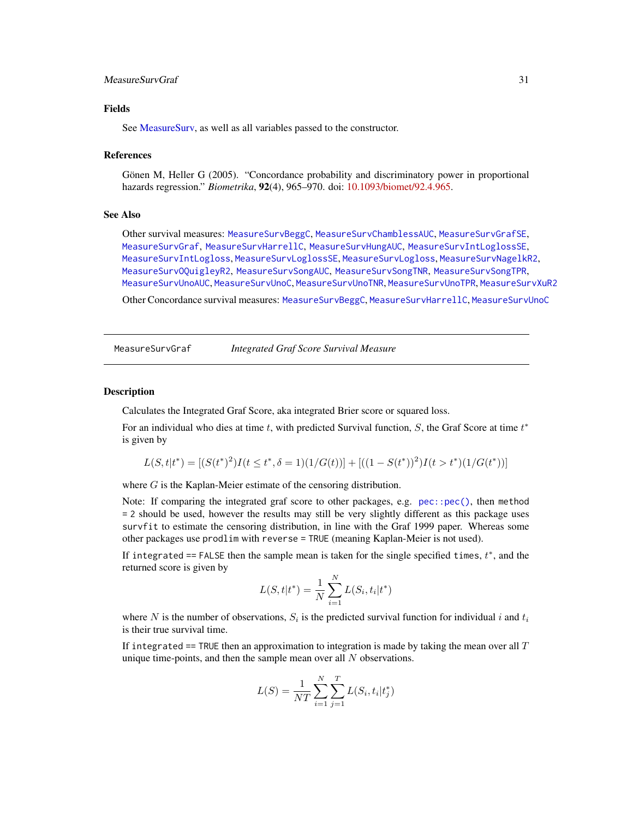# <span id="page-30-0"></span>MeasureSurvGraf 31

# Fields

See MeasureSury, as well as all variables passed to the constructor.

#### References

Gönen M, Heller G (2005). "Concordance probability and discriminatory power in proportional hazards regression." *Biometrika*, 92(4), 965–970. doi: [10.1093/biomet/92.4.965.](https://doi.org/10.1093/biomet/92.4.965)

#### See Also

Other survival measures: [MeasureSurvBeggC](#page-27-1), [MeasureSurvChamblessAUC](#page-28-1), [MeasureSurvGrafSE](#page-32-1), [MeasureSurvGraf](#page-30-1), [MeasureSurvHarrellC](#page-33-1), [MeasureSurvHungAUC](#page-34-1), [MeasureSurvIntLoglossSE](#page-37-1), [MeasureSurvIntLogloss](#page-35-1), [MeasureSurvLoglossSE](#page-39-1), [MeasureSurvLogloss](#page-38-1), [MeasureSurvNagelkR2](#page-40-1), [MeasureSurvOQuigleyR2](#page-41-1), [MeasureSurvSongAUC](#page-42-1), [MeasureSurvSongTNR](#page-44-1), [MeasureSurvSongTPR](#page-45-1), [MeasureSurvUnoAUC](#page-46-1), [MeasureSurvUnoC](#page-48-1), [MeasureSurvUnoTNR](#page-49-1), [MeasureSurvUnoTPR](#page-50-1), [MeasureSurvXuR2](#page-51-1)

Other Concordance survival measures: [MeasureSurvBeggC](#page-27-1), [MeasureSurvHarrellC](#page-33-1), [MeasureSurvUnoC](#page-48-1)

<span id="page-30-1"></span>MeasureSurvGraf *Integrated Graf Score Survival Measure*

#### <span id="page-30-2"></span>Description

Calculates the Integrated Graf Score, aka integrated Brier score or squared loss.

For an individual who dies at time  $t$ , with predicted Survival function,  $S$ , the Graf Score at time  $t^*$ is given by

$$
L(S, t|t^*) = [(S(t^*)^2)I(t \le t^*, \delta = 1)(1/G(t))] + [(1 - S(t^*))^2)I(t > t^*)(1/G(t^*))]
$$

where G is the Kaplan-Meier estimate of the censoring distribution.

Note: If comparing the integrated graf score to other packages, e.g. [pec::pec\(\)](#page-0-0), then method = 2 should be used, however the results may still be very slightly different as this package uses survfit to estimate the censoring distribution, in line with the Graf 1999 paper. Whereas some other packages use prodlim with reverse = TRUE (meaning Kaplan-Meier is not used).

If integrated == FALSE then the sample mean is taken for the single specified times,  $t^*$ , and the returned score is given by

$$
L(S, t|t^*) = \frac{1}{N} \sum_{i=1}^{N} L(S_i, t_i|t^*)
$$

where N is the number of observations,  $S_i$  is the predicted survival function for individual i and  $t_i$ is their true survival time.

If integrated  $=$  TRUE then an approximation to integration is made by taking the mean over all  $T$ unique time-points, and then the sample mean over all  $N$  observations.

$$
L(S) = \frac{1}{NT} \sum_{i=1}^{N} \sum_{j=1}^{T} L(S_i, t_i | t_j^*)
$$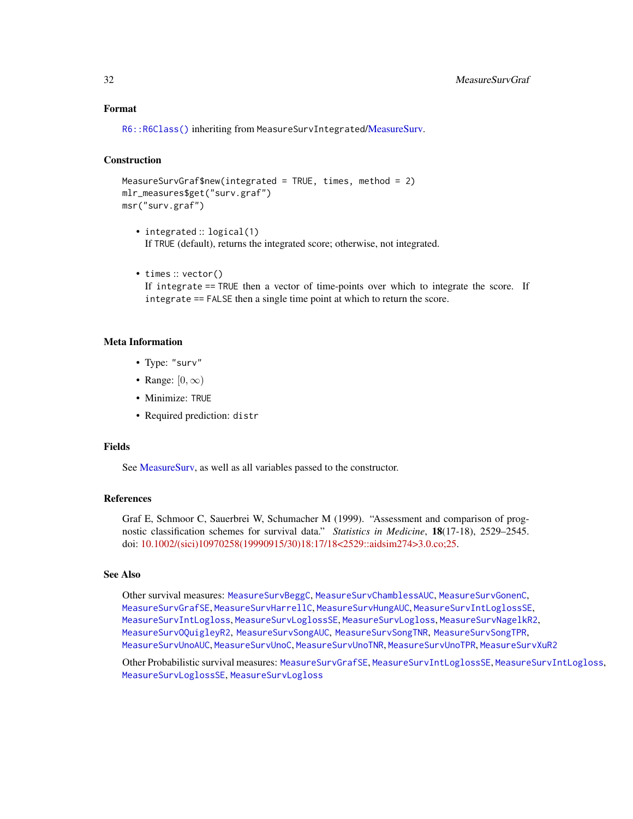# <span id="page-31-0"></span>Format

[R6::R6Class\(\)](#page-0-0) inheriting from MeasureSurvIntegrated[/MeasureSurv.](#page-26-1)

# Construction

```
MeasureSurvGraf$new(integrated = TRUE, times, method = 2)
mlr_measures$get("surv.graf")
msr("surv.graf")
```
- integrated :: logical(1) If TRUE (default), returns the integrated score; otherwise, not integrated.
- times :: vector()

If integrate == TRUE then a vector of time-points over which to integrate the score. If integrate == FALSE then a single time point at which to return the score.

# Meta Information

- Type: "surv"
- Range:  $[0, \infty)$
- Minimize: TRUE
- Required prediction: distr

#### Fields

See [MeasureSurv,](#page-26-1) as well as all variables passed to the constructor.

#### References

Graf E, Schmoor C, Sauerbrei W, Schumacher M (1999). "Assessment and comparison of prognostic classification schemes for survival data." *Statistics in Medicine*, 18(17-18), 2529–2545. doi: [10.1002/\(sici\)10970258\(19990915/30\)18:17/18<2529::aidsim274>3.0.co;25.](https://doi.org/10.1002/(sici)1097-0258(19990915/30)18:17/18<2529::aid-sim274>3.0.co;2-5)

# See Also

Other survival measures: [MeasureSurvBeggC](#page-27-1), [MeasureSurvChamblessAUC](#page-28-1), [MeasureSurvGonenC](#page-29-1), [MeasureSurvGrafSE](#page-32-1), [MeasureSurvHarrellC](#page-33-1), [MeasureSurvHungAUC](#page-34-1), [MeasureSurvIntLoglossSE](#page-37-1), [MeasureSurvIntLogloss](#page-35-1), [MeasureSurvLoglossSE](#page-39-1), [MeasureSurvLogloss](#page-38-1), [MeasureSurvNagelkR2](#page-40-1), [MeasureSurvOQuigleyR2](#page-41-1), [MeasureSurvSongAUC](#page-42-1), [MeasureSurvSongTNR](#page-44-1), [MeasureSurvSongTPR](#page-45-1), [MeasureSurvUnoAUC](#page-46-1), [MeasureSurvUnoC](#page-48-1), [MeasureSurvUnoTNR](#page-49-1), [MeasureSurvUnoTPR](#page-50-1), [MeasureSurvXuR2](#page-51-1)

Other Probabilistic survival measures: [MeasureSurvGrafSE](#page-32-1), [MeasureSurvIntLoglossSE](#page-37-1), [MeasureSurvIntLogloss](#page-35-1), [MeasureSurvLoglossSE](#page-39-1), [MeasureSurvLogloss](#page-38-1)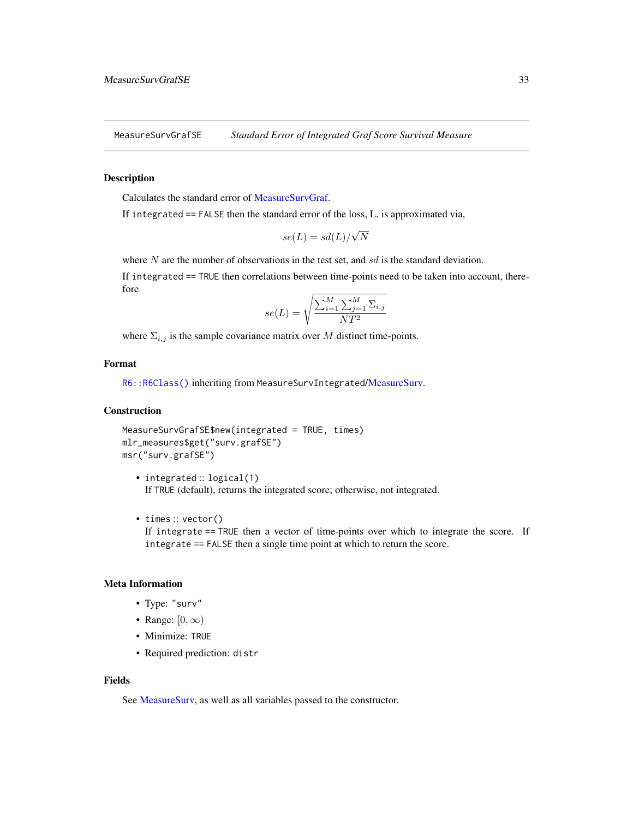<span id="page-32-1"></span><span id="page-32-0"></span>MeasureSurvGrafSE *Standard Error of Integrated Graf Score Survival Measure*

#### Description

Calculates the standard error of [MeasureSurvGraf.](#page-30-1)

If integrated == FALSE then the standard error of the loss, L, is approximated via,

$$
se(L) = sd(L)/\sqrt{N}
$$

where  $N$  are the number of observations in the test set, and  $sd$  is the standard deviation.

If integrated == TRUE then correlations between time-points need to be taken into account, therefore

$$
se(L) = \sqrt{\frac{\sum_{i=1}^{M} \sum_{j=1}^{M} \Sigma_{i,j}}{NT^2}}
$$

where  $\Sigma_{i,j}$  is the sample covariance matrix over M distinct time-points.

# Format

[R6::R6Class\(\)](#page-0-0) inheriting from MeasureSurvIntegrated[/MeasureSurv.](#page-26-1)

# **Construction**

MeasureSurvGrafSE\$new(integrated = TRUE, times) mlr\_measures\$get("surv.grafSE") msr("surv.grafSE")

• integrated :: logical(1) If TRUE (default), returns the integrated score; otherwise, not integrated.

• times :: vector() If integrate == TRUE then a vector of time-points over which to integrate the score. If integrate == FALSE then a single time point at which to return the score.

## Meta Information

- Type: "surv"
- Range:  $[0, \infty)$
- Minimize: TRUE
- Required prediction: distr

#### Fields

See [MeasureSurv,](#page-26-1) as well as all variables passed to the constructor.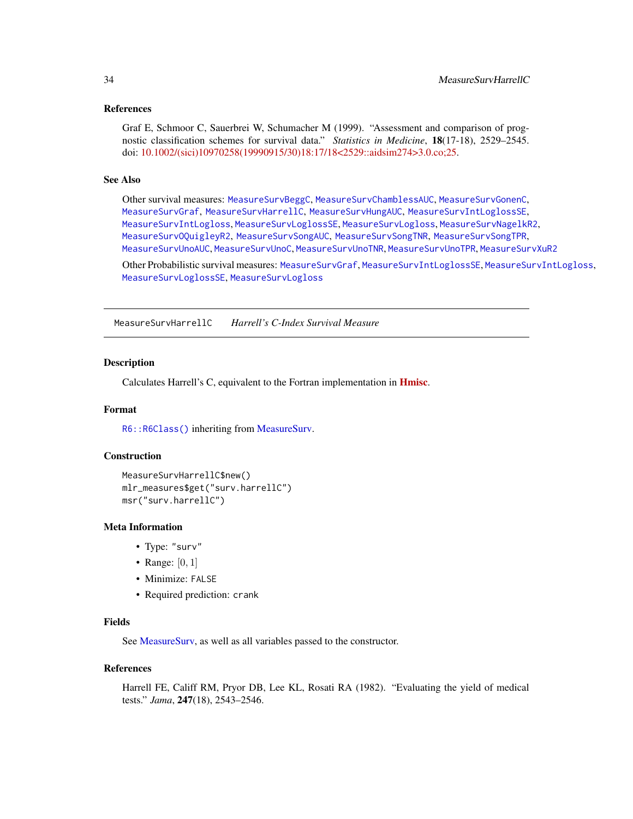#### <span id="page-33-0"></span>References

Graf E, Schmoor C, Sauerbrei W, Schumacher M (1999). "Assessment and comparison of prognostic classification schemes for survival data." *Statistics in Medicine*, 18(17-18), 2529–2545. doi: [10.1002/\(sici\)10970258\(19990915/30\)18:17/18<2529::aidsim274>3.0.co;25.](https://doi.org/10.1002/(sici)1097-0258(19990915/30)18:17/18<2529::aid-sim274>3.0.co;2-5)

#### See Also

Other survival measures: [MeasureSurvBeggC](#page-27-1), [MeasureSurvChamblessAUC](#page-28-1), [MeasureSurvGonenC](#page-29-1), [MeasureSurvGraf](#page-30-1), [MeasureSurvHarrellC](#page-33-1), [MeasureSurvHungAUC](#page-34-1), [MeasureSurvIntLoglossSE](#page-37-1), [MeasureSurvIntLogloss](#page-35-1), [MeasureSurvLoglossSE](#page-39-1), [MeasureSurvLogloss](#page-38-1), [MeasureSurvNagelkR2](#page-40-1), [MeasureSurvOQuigleyR2](#page-41-1), [MeasureSurvSongAUC](#page-42-1), [MeasureSurvSongTNR](#page-44-1), [MeasureSurvSongTPR](#page-45-1), [MeasureSurvUnoAUC](#page-46-1), [MeasureSurvUnoC](#page-48-1), [MeasureSurvUnoTNR](#page-49-1), [MeasureSurvUnoTPR](#page-50-1), [MeasureSurvXuR2](#page-51-1)

Other Probabilistic survival measures: [MeasureSurvGraf](#page-30-1), [MeasureSurvIntLoglossSE](#page-37-1), [MeasureSurvIntLogloss](#page-35-1), [MeasureSurvLoglossSE](#page-39-1), [MeasureSurvLogloss](#page-38-1)

<span id="page-33-1"></span>MeasureSurvHarrellC *Harrell's C-Index Survival Measure*

#### <span id="page-33-2"></span>Description

Calculates Harrell's C, equivalent to the Fortran implementation in [Hmisc](https://CRAN.R-project.org/package=Hmisc).

#### Format

[R6::R6Class\(\)](#page-0-0) inheriting from [MeasureSurv.](#page-26-1)

## **Construction**

```
MeasureSurvHarrellC$new()
mlr_measures$get("surv.harrellC")
msr("surv.harrellC")
```
#### Meta Information

- Type: "surv"
- Range:  $[0, 1]$
- Minimize: FALSE
- Required prediction: crank

# Fields

See [MeasureSurv,](#page-26-1) as well as all variables passed to the constructor.

#### References

Harrell FE, Califf RM, Pryor DB, Lee KL, Rosati RA (1982). "Evaluating the yield of medical tests." *Jama*, 247(18), 2543–2546.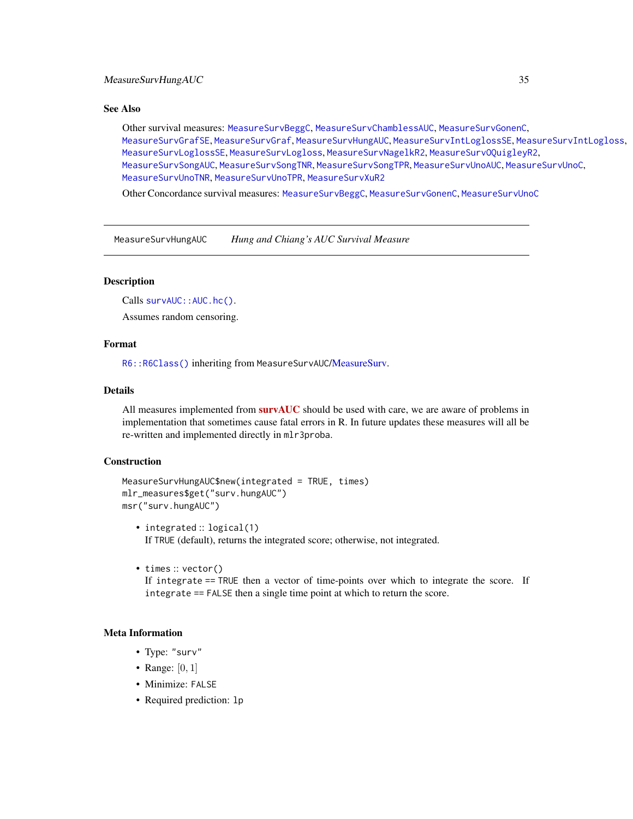#### <span id="page-34-0"></span>See Also

Other survival measures: [MeasureSurvBeggC](#page-27-1), [MeasureSurvChamblessAUC](#page-28-1), [MeasureSurvGonenC](#page-29-1), [MeasureSurvGrafSE](#page-32-1), [MeasureSurvGraf](#page-30-1), [MeasureSurvHungAUC](#page-34-1), [MeasureSurvIntLoglossSE](#page-37-1), [MeasureSurvIntLogloss](#page-35-1), [MeasureSurvLoglossSE](#page-39-1), [MeasureSurvLogloss](#page-38-1), [MeasureSurvNagelkR2](#page-40-1), [MeasureSurvOQuigleyR2](#page-41-1), [MeasureSurvSongAUC](#page-42-1), [MeasureSurvSongTNR](#page-44-1), [MeasureSurvSongTPR](#page-45-1), [MeasureSurvUnoAUC](#page-46-1), [MeasureSurvUnoC](#page-48-1), [MeasureSurvUnoTNR](#page-49-1), [MeasureSurvUnoTPR](#page-50-1), [MeasureSurvXuR2](#page-51-1)

Other Concordance survival measures: [MeasureSurvBeggC](#page-27-1), [MeasureSurvGonenC](#page-29-1), [MeasureSurvUnoC](#page-48-1)

<span id="page-34-1"></span>MeasureSurvHungAUC *Hung and Chiang's AUC Survival Measure*

# **Description**

Calls survAUC:: AUC.hc().

Assumes random censoring.

# Format

[R6::R6Class\(\)](#page-0-0) inheriting from MeasureSurvAUC[/MeasureSurv.](#page-26-1)

# Details

All measures implemented from [survAUC](https://CRAN.R-project.org/package=survAUC) should be used with care, we are aware of problems in implementation that sometimes cause fatal errors in R. In future updates these measures will all be re-written and implemented directly in mlr3proba.

# Construction

```
MeasureSurvHungAUC$new(integrated = TRUE, times)
mlr_measures$get("surv.hungAUC")
msr("surv.hungAUC")
```
- integrated :: logical(1) If TRUE (default), returns the integrated score; otherwise, not integrated.
- times :: vector()

If integrate == TRUE then a vector of time-points over which to integrate the score. If integrate == FALSE then a single time point at which to return the score.

# Meta Information

- Type: "surv"
- Range:  $[0, 1]$
- Minimize: FALSE
- Required prediction: lp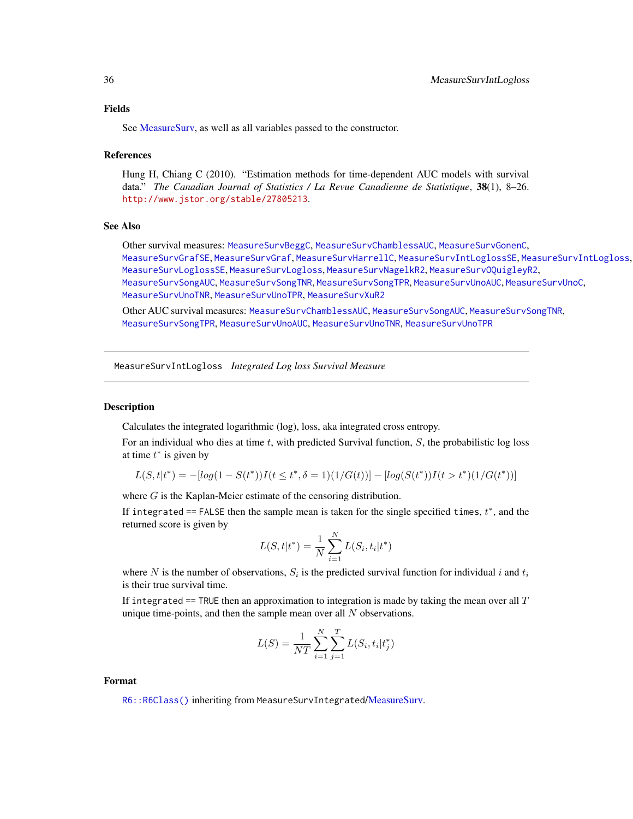<span id="page-35-0"></span>See MeasureSury, as well as all variables passed to the constructor.

#### References

Hung H, Chiang C (2010). "Estimation methods for time-dependent AUC models with survival data." *The Canadian Journal of Statistics / La Revue Canadienne de Statistique*, 38(1), 8–26. <http://www.jstor.org/stable/27805213>.

#### See Also

Other survival measures: [MeasureSurvBeggC](#page-27-1), [MeasureSurvChamblessAUC](#page-28-1), [MeasureSurvGonenC](#page-29-1), [MeasureSurvGrafSE](#page-32-1), [MeasureSurvGraf](#page-30-1), [MeasureSurvHarrellC](#page-33-1), [MeasureSurvIntLoglossSE](#page-37-1), [MeasureSurvIntLogloss](#page-35-1), [MeasureSurvLoglossSE](#page-39-1), [MeasureSurvLogloss](#page-38-1), [MeasureSurvNagelkR2](#page-40-1), [MeasureSurvOQuigleyR2](#page-41-1), [MeasureSurvSongAUC](#page-42-1), [MeasureSurvSongTNR](#page-44-1), [MeasureSurvSongTPR](#page-45-1), [MeasureSurvUnoAUC](#page-46-1), [MeasureSurvUnoC](#page-48-1), [MeasureSurvUnoTNR](#page-49-1), [MeasureSurvUnoTPR](#page-50-1), [MeasureSurvXuR2](#page-51-1)

Other AUC survival measures: [MeasureSurvChamblessAUC](#page-28-1), [MeasureSurvSongAUC](#page-42-1), [MeasureSurvSongTNR](#page-44-1), [MeasureSurvSongTPR](#page-45-1), [MeasureSurvUnoAUC](#page-46-1), [MeasureSurvUnoTNR](#page-49-1), [MeasureSurvUnoTPR](#page-50-1)

<span id="page-35-1"></span>MeasureSurvIntLogloss *Integrated Log loss Survival Measure*

#### **Description**

Calculates the integrated logarithmic (log), loss, aka integrated cross entropy.

For an individual who dies at time  $t$ , with predicted Survival function,  $S$ , the probabilistic log loss at time  $t^*$  is given by

$$
L(S, t | t^*) = -[log(1 - S(t^*))I(t \le t^*, \delta = 1)(1/G(t))] - [log(S(t^*))I(t > t^*)(1/G(t^*))]
$$

where G is the Kaplan-Meier estimate of the censoring distribution.

If integrated == FALSE then the sample mean is taken for the single specified times,  $t^*$ , and the returned score is given by

$$
L(S, t | t^*) = \frac{1}{N} \sum_{i=1}^{N} L(S_i, t_i | t^*)
$$

where N is the number of observations,  $S_i$  is the predicted survival function for individual i and  $t_i$ is their true survival time.

If integrated  $==$  TRUE then an approximation to integration is made by taking the mean over all  $T$ unique time-points, and then the sample mean over all  $N$  observations.

$$
L(S) = \frac{1}{NT} \sum_{i=1}^{N} \sum_{j=1}^{T} L(S_i, t_i | t_j^*)
$$

#### Format

[R6::R6Class\(\)](#page-0-0) inheriting from MeasureSurvIntegrated[/MeasureSurv.](#page-26-1)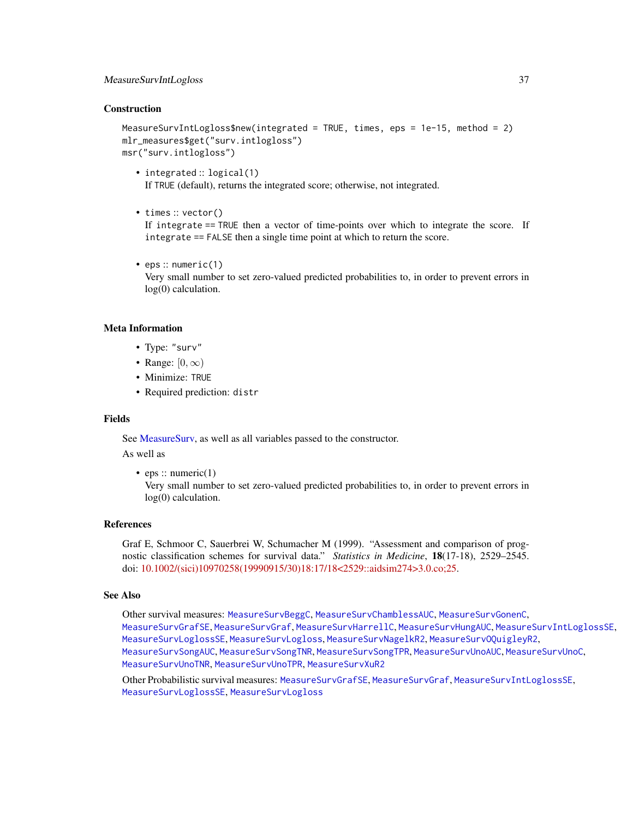#### <span id="page-36-0"></span>Construction

MeasureSurvIntLogloss\$new(integrated = TRUE, times, eps = 1e-15, method = 2) mlr\_measures\$get("surv.intlogloss") msr("surv.intlogloss")

- integrated :: logical(1) If TRUE (default), returns the integrated score; otherwise, not integrated.
- times :: vector()

If integrate == TRUE then a vector of time-points over which to integrate the score. If integrate == FALSE then a single time point at which to return the score.

• eps :: numeric(1)

Very small number to set zero-valued predicted probabilities to, in order to prevent errors in log(0) calculation.

#### Meta Information

- Type: "surv"
- Range:  $[0, \infty)$
- Minimize: TRUE
- Required prediction: distr

#### Fields

See [MeasureSurv,](#page-26-1) as well as all variables passed to the constructor.

As well as

• eps :: numeric $(1)$ 

Very small number to set zero-valued predicted probabilities to, in order to prevent errors in log(0) calculation.

# References

Graf E, Schmoor C, Sauerbrei W, Schumacher M (1999). "Assessment and comparison of prognostic classification schemes for survival data." *Statistics in Medicine*, 18(17-18), 2529–2545. doi: [10.1002/\(sici\)10970258\(19990915/30\)18:17/18<2529::aidsim274>3.0.co;25.](https://doi.org/10.1002/(sici)1097-0258(19990915/30)18:17/18<2529::aid-sim274>3.0.co;2-5)

#### See Also

Other survival measures: [MeasureSurvBeggC](#page-27-1), [MeasureSurvChamblessAUC](#page-28-1), [MeasureSurvGonenC](#page-29-1), [MeasureSurvGrafSE](#page-32-1), [MeasureSurvGraf](#page-30-1), [MeasureSurvHarrellC](#page-33-1), [MeasureSurvHungAUC](#page-34-1), [MeasureSurvIntLoglossSE](#page-37-1), [MeasureSurvLoglossSE](#page-39-1), [MeasureSurvLogloss](#page-38-1), [MeasureSurvNagelkR2](#page-40-1), [MeasureSurvOQuigleyR2](#page-41-1), [MeasureSurvSongAUC](#page-42-1), [MeasureSurvSongTNR](#page-44-1), [MeasureSurvSongTPR](#page-45-1), [MeasureSurvUnoAUC](#page-46-1), [MeasureSurvUnoC](#page-48-1), [MeasureSurvUnoTNR](#page-49-1), [MeasureSurvUnoTPR](#page-50-1), [MeasureSurvXuR2](#page-51-1)

Other Probabilistic survival measures: [MeasureSurvGrafSE](#page-32-1), [MeasureSurvGraf](#page-30-1), [MeasureSurvIntLoglossSE](#page-37-1), [MeasureSurvLoglossSE](#page-39-1), [MeasureSurvLogloss](#page-38-1)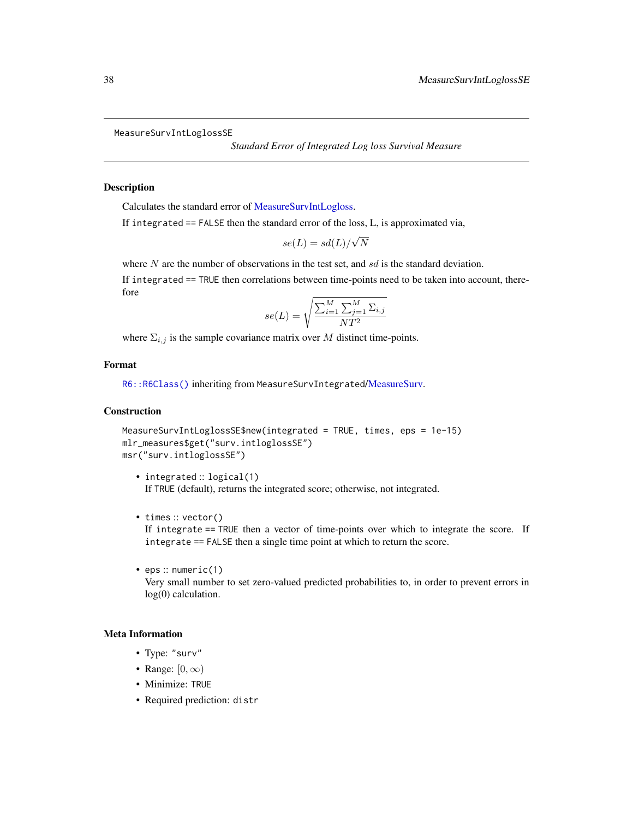```
MeasureSurvIntLoglossSE
```
*Standard Error of Integrated Log loss Survival Measure*

# **Description**

Calculates the standard error of [MeasureSurvIntLogloss.](#page-35-1)

If integrated == FALSE then the standard error of the loss, L, is approximated via,

$$
se(L) = sd(L)/\sqrt{N}
$$

where  $N$  are the number of observations in the test set, and  $sd$  is the standard deviation.

If integrated == TRUE then correlations between time-points need to be taken into account, therefore

$$
se(L) = \sqrt{\frac{\sum_{i=1}^{M} \sum_{j=1}^{M} \Sigma_{i,j}}{NT^2}}
$$

where  $\Sigma_{i,j}$  is the sample covariance matrix over M distinct time-points.

# Format

[R6::R6Class\(\)](#page-0-0) inheriting from MeasureSurvIntegrated[/MeasureSurv.](#page-26-1)

# **Construction**

```
MeasureSurvIntLoglossSE$new(integrated = TRUE, times, eps = 1e-15)
mlr_measures$get("surv.intloglossSE")
msr("surv.intloglossSE")
```
- integrated :: logical(1) If TRUE (default), returns the integrated score; otherwise, not integrated.
- times :: vector()

If integrate == TRUE then a vector of time-points over which to integrate the score. If integrate == FALSE then a single time point at which to return the score.

• eps :: numeric(1) Very small number to set zero-valued predicted probabilities to, in order to prevent errors in log(0) calculation.

# Meta Information

- Type: "surv"
- Range:  $[0, \infty)$
- Minimize: TRUE
- Required prediction: distr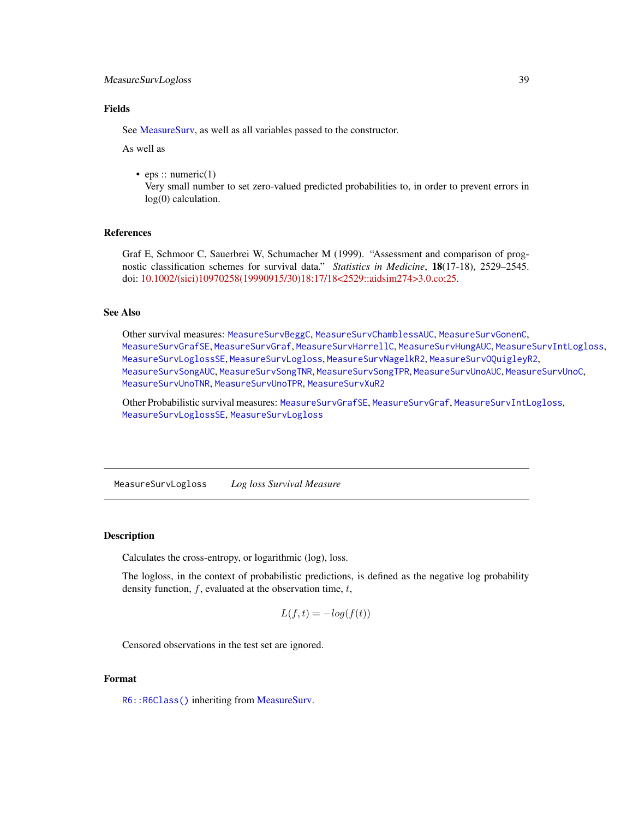# <span id="page-38-0"></span>MeasureSurvLogloss 39

# Fields

See [MeasureSurv,](#page-26-1) as well as all variables passed to the constructor.

As well as

• eps :: numeric(1)

Very small number to set zero-valued predicted probabilities to, in order to prevent errors in log(0) calculation.

# References

Graf E, Schmoor C, Sauerbrei W, Schumacher M (1999). "Assessment and comparison of prognostic classification schemes for survival data." *Statistics in Medicine*, 18(17-18), 2529–2545. doi: [10.1002/\(sici\)10970258\(19990915/30\)18:17/18<2529::aidsim274>3.0.co;25.](https://doi.org/10.1002/(sici)1097-0258(19990915/30)18:17/18<2529::aid-sim274>3.0.co;2-5)

# See Also

Other survival measures: [MeasureSurvBeggC](#page-27-1), [MeasureSurvChamblessAUC](#page-28-1), [MeasureSurvGonenC](#page-29-1), [MeasureSurvGrafSE](#page-32-1), [MeasureSurvGraf](#page-30-1), [MeasureSurvHarrellC](#page-33-1), [MeasureSurvHungAUC](#page-34-1), [MeasureSurvIntLogloss](#page-35-1), [MeasureSurvLoglossSE](#page-39-1), [MeasureSurvLogloss](#page-38-1), [MeasureSurvNagelkR2](#page-40-1), [MeasureSurvOQuigleyR2](#page-41-1), [MeasureSurvSongAUC](#page-42-1), [MeasureSurvSongTNR](#page-44-1), [MeasureSurvSongTPR](#page-45-1), [MeasureSurvUnoAUC](#page-46-1), [MeasureSurvUnoC](#page-48-1), [MeasureSurvUnoTNR](#page-49-1), [MeasureSurvUnoTPR](#page-50-1), [MeasureSurvXuR2](#page-51-1)

Other Probabilistic survival measures: [MeasureSurvGrafSE](#page-32-1), [MeasureSurvGraf](#page-30-1), [MeasureSurvIntLogloss](#page-35-1), [MeasureSurvLoglossSE](#page-39-1), [MeasureSurvLogloss](#page-38-1)

<span id="page-38-1"></span>MeasureSurvLogloss *Log loss Survival Measure*

# **Description**

Calculates the cross-entropy, or logarithmic (log), loss.

The logloss, in the context of probabilistic predictions, is defined as the negative log probability density function,  $f$ , evaluated at the observation time,  $t$ ,

$$
L(f, t) = -\log(f(t))
$$

Censored observations in the test set are ignored.

# Format

[R6::R6Class\(\)](#page-0-0) inheriting from [MeasureSurv.](#page-26-1)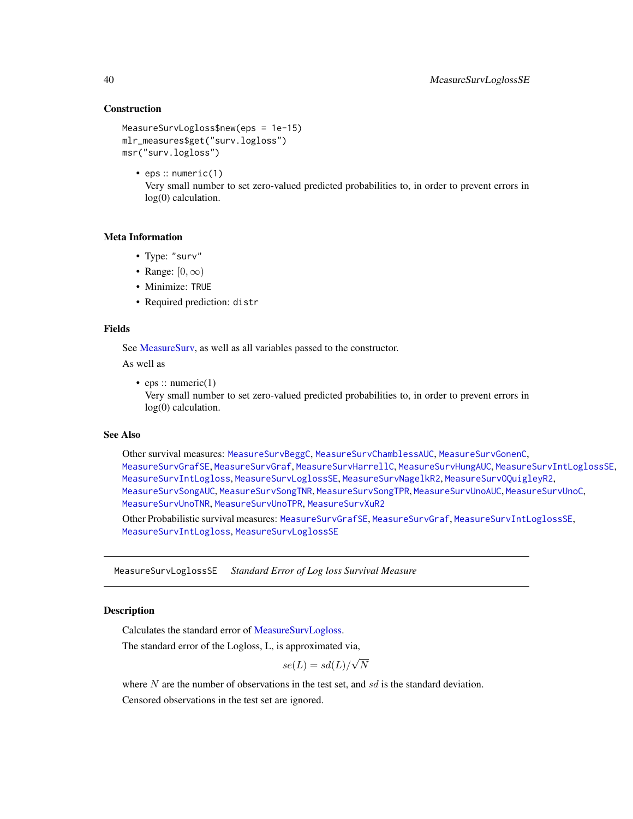# **Construction**

```
MeasureSurvLogloss$new(eps = 1e-15)
mlr_measures$get("surv.logloss")
msr("surv.logloss")
```
• eps :: numeric(1) Very small number to set zero-valued predicted probabilities to, in order to prevent errors in log(0) calculation.

#### Meta Information

- Type: "surv"
- Range:  $[0, \infty)$
- Minimize: TRUE
- Required prediction: distr

# Fields

See [MeasureSurv,](#page-26-1) as well as all variables passed to the constructor.

As well as

• eps :: numeric $(1)$ 

Very small number to set zero-valued predicted probabilities to, in order to prevent errors in log(0) calculation.

# See Also

Other survival measures: [MeasureSurvBeggC](#page-27-1), [MeasureSurvChamblessAUC](#page-28-1), [MeasureSurvGonenC](#page-29-1), [MeasureSurvGrafSE](#page-32-1), [MeasureSurvGraf](#page-30-1), [MeasureSurvHarrellC](#page-33-1), [MeasureSurvHungAUC](#page-34-1), [MeasureSurvIntLoglossSE](#page-37-1), [MeasureSurvIntLogloss](#page-35-1), [MeasureSurvLoglossSE](#page-39-1), [MeasureSurvNagelkR2](#page-40-1), [MeasureSurvOQuigleyR2](#page-41-1), [MeasureSurvSongAUC](#page-42-1), [MeasureSurvSongTNR](#page-44-1), [MeasureSurvSongTPR](#page-45-1), [MeasureSurvUnoAUC](#page-46-1), [MeasureSurvUnoC](#page-48-1), [MeasureSurvUnoTNR](#page-49-1), [MeasureSurvUnoTPR](#page-50-1), [MeasureSurvXuR2](#page-51-1)

Other Probabilistic survival measures: [MeasureSurvGrafSE](#page-32-1), [MeasureSurvGraf](#page-30-1), [MeasureSurvIntLoglossSE](#page-37-1), [MeasureSurvIntLogloss](#page-35-1), [MeasureSurvLoglossSE](#page-39-1)

<span id="page-39-1"></span>MeasureSurvLoglossSE *Standard Error of Log loss Survival Measure*

# **Description**

Calculates the standard error of [MeasureSurvLogloss.](#page-38-1)

The standard error of the Logloss, L, is approximated via,

$$
se(L) = sd(L)/\sqrt{N}
$$

where  $N$  are the number of observations in the test set, and  $sd$  is the standard deviation. Censored observations in the test set are ignored.

<span id="page-39-0"></span>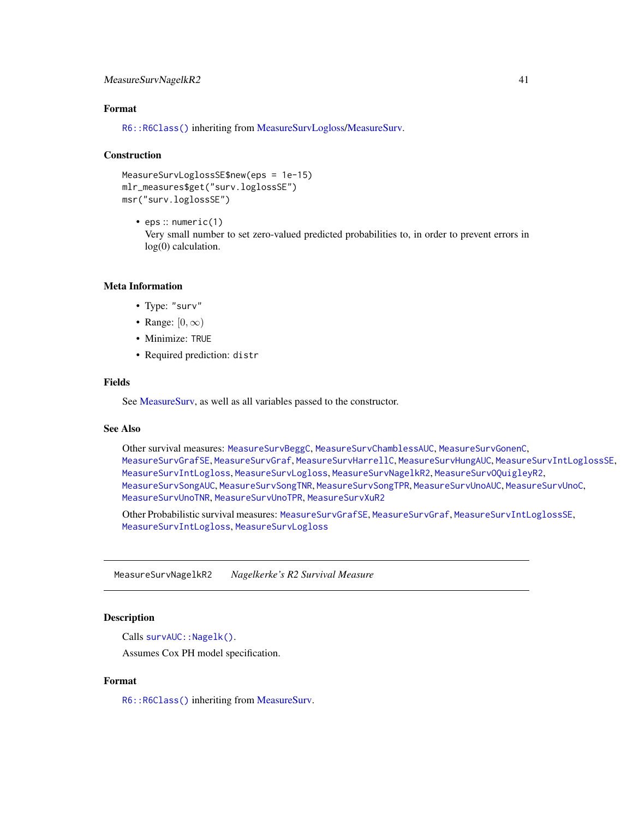# <span id="page-40-0"></span>MeasureSurvNagelkR2 41

#### Format

[R6::R6Class\(\)](#page-0-0) inheriting from [MeasureSurvLogloss](#page-38-1)[/MeasureSurv.](#page-26-1)

#### Construction

```
MeasureSurvLoglossSE$new(eps = 1e-15)
mlr_measures$get("surv.loglossSE")
msr("surv.loglossSE")
```
• eps :: numeric(1) Very small number to set zero-valued predicted probabilities to, in order to prevent errors in log(0) calculation.

#### Meta Information

- Type: "surv"
- Range:  $[0, \infty)$
- Minimize: TRUE
- Required prediction: distr

# Fields

See [MeasureSurv,](#page-26-1) as well as all variables passed to the constructor.

#### See Also

Other survival measures: [MeasureSurvBeggC](#page-27-1), [MeasureSurvChamblessAUC](#page-28-1), [MeasureSurvGonenC](#page-29-1), [MeasureSurvGrafSE](#page-32-1), [MeasureSurvGraf](#page-30-1), [MeasureSurvHarrellC](#page-33-1), [MeasureSurvHungAUC](#page-34-1), [MeasureSurvIntLoglossSE](#page-37-1), [MeasureSurvIntLogloss](#page-35-1), [MeasureSurvLogloss](#page-38-1), [MeasureSurvNagelkR2](#page-40-1), [MeasureSurvOQuigleyR2](#page-41-1), [MeasureSurvSongAUC](#page-42-1), [MeasureSurvSongTNR](#page-44-1), [MeasureSurvSongTPR](#page-45-1), [MeasureSurvUnoAUC](#page-46-1), [MeasureSurvUnoC](#page-48-1), [MeasureSurvUnoTNR](#page-49-1), [MeasureSurvUnoTPR](#page-50-1), [MeasureSurvXuR2](#page-51-1)

Other Probabilistic survival measures: [MeasureSurvGrafSE](#page-32-1), [MeasureSurvGraf](#page-30-1), [MeasureSurvIntLoglossSE](#page-37-1), [MeasureSurvIntLogloss](#page-35-1), [MeasureSurvLogloss](#page-38-1)

<span id="page-40-1"></span>MeasureSurvNagelkR2 *Nagelkerke's R2 Survival Measure*

# Description

Calls survAUC:: Nagelk().

Assumes Cox PH model specification.

# Format

[R6::R6Class\(\)](#page-0-0) inheriting from [MeasureSurv.](#page-26-1)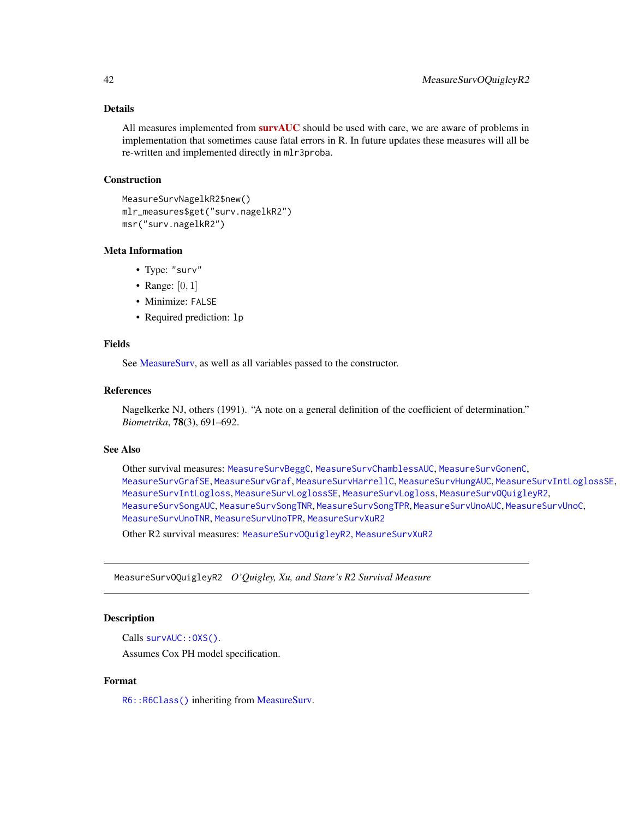<span id="page-41-0"></span>All measures implemented from  $survAUC$  should be used with care, we are aware of problems in implementation that sometimes cause fatal errors in R. In future updates these measures will all be re-written and implemented directly in mlr3proba.

#### Construction

```
MeasureSurvNagelkR2$new()
mlr_measures$get("surv.nagelkR2")
msr("surv.nagelkR2")
```
## Meta Information

- Type: "surv"
- Range:  $[0, 1]$
- Minimize: FALSE
- Required prediction: lp

# Fields

See [MeasureSurv,](#page-26-1) as well as all variables passed to the constructor.

# References

Nagelkerke NJ, others (1991). "A note on a general definition of the coefficient of determination." *Biometrika*, 78(3), 691–692.

#### See Also

Other survival measures: [MeasureSurvBeggC](#page-27-1), [MeasureSurvChamblessAUC](#page-28-1), [MeasureSurvGonenC](#page-29-1), [MeasureSurvGrafSE](#page-32-1), [MeasureSurvGraf](#page-30-1), [MeasureSurvHarrellC](#page-33-1), [MeasureSurvHungAUC](#page-34-1), [MeasureSurvIntLoglossSE](#page-37-1), [MeasureSurvIntLogloss](#page-35-1), [MeasureSurvLoglossSE](#page-39-1), [MeasureSurvLogloss](#page-38-1), [MeasureSurvOQuigleyR2](#page-41-1), [MeasureSurvSongAUC](#page-42-1), [MeasureSurvSongTNR](#page-44-1), [MeasureSurvSongTPR](#page-45-1), [MeasureSurvUnoAUC](#page-46-1), [MeasureSurvUnoC](#page-48-1), [MeasureSurvUnoTNR](#page-49-1), [MeasureSurvUnoTPR](#page-50-1), [MeasureSurvXuR2](#page-51-1)

Other R2 survival measures: [MeasureSurvOQuigleyR2](#page-41-1), [MeasureSurvXuR2](#page-51-1)

<span id="page-41-1"></span>MeasureSurvOQuigleyR2 *O'Quigley, Xu, and Stare's R2 Survival Measure*

# Description

```
Calls survAUC:: 0XS().
```
Assumes Cox PH model specification.

#### Format

[R6::R6Class\(\)](#page-0-0) inheriting from [MeasureSurv.](#page-26-1)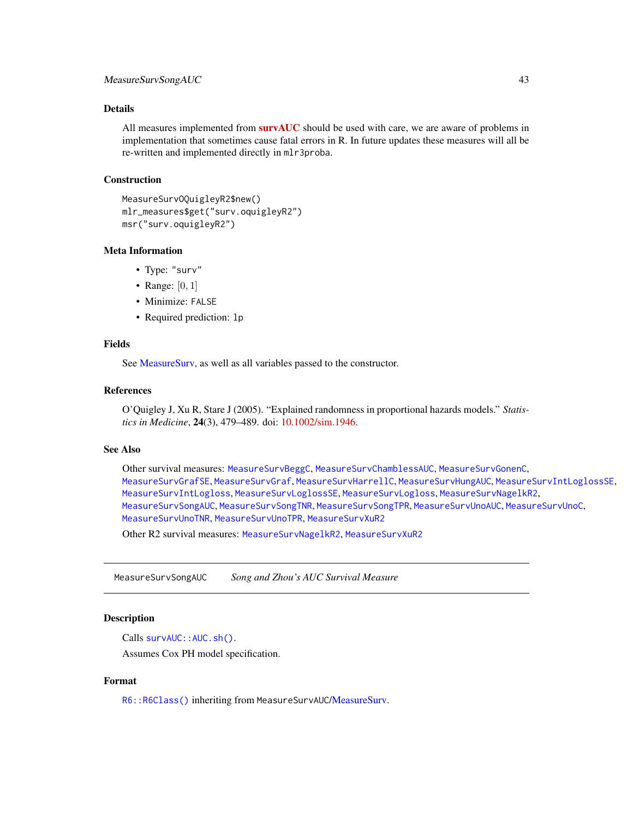<span id="page-42-0"></span>All measures implemented from  $survAUC$  should be used with care, we are aware of problems in implementation that sometimes cause fatal errors in R. In future updates these measures will all be re-written and implemented directly in mlr3proba.

# Construction

```
MeasureSurvOQuigleyR2$new()
mlr_measures$get("surv.oquigleyR2")
msr("surv.oquigleyR2")
```
## Meta Information

- Type: "surv"
- Range:  $[0, 1]$
- Minimize: FALSE
- Required prediction: lp

# Fields

See [MeasureSurv,](#page-26-1) as well as all variables passed to the constructor.

# References

O'Quigley J, Xu R, Stare J (2005). "Explained randomness in proportional hazards models." *Statistics in Medicine*, 24(3), 479–489. doi: [10.1002/sim.1946.](https://doi.org/10.1002/sim.1946)

#### See Also

Other survival measures: [MeasureSurvBeggC](#page-27-1), [MeasureSurvChamblessAUC](#page-28-1), [MeasureSurvGonenC](#page-29-1), [MeasureSurvGrafSE](#page-32-1), [MeasureSurvGraf](#page-30-1), [MeasureSurvHarrellC](#page-33-1), [MeasureSurvHungAUC](#page-34-1), [MeasureSurvIntLoglossSE](#page-37-1), [MeasureSurvIntLogloss](#page-35-1), [MeasureSurvLoglossSE](#page-39-1), [MeasureSurvLogloss](#page-38-1), [MeasureSurvNagelkR2](#page-40-1), [MeasureSurvSongAUC](#page-42-1), [MeasureSurvSongTNR](#page-44-1), [MeasureSurvSongTPR](#page-45-1), [MeasureSurvUnoAUC](#page-46-1), [MeasureSurvUnoC](#page-48-1), [MeasureSurvUnoTNR](#page-49-1), [MeasureSurvUnoTPR](#page-50-1), [MeasureSurvXuR2](#page-51-1)

Other R2 survival measures: [MeasureSurvNagelkR2](#page-40-1), [MeasureSurvXuR2](#page-51-1)

<span id="page-42-1"></span>MeasureSurvSongAUC *Song and Zhou's AUC Survival Measure*

#### Description

Calls survAUC:: AUC.sh().

Assumes Cox PH model specification.

# Format

[R6::R6Class\(\)](#page-0-0) inheriting from MeasureSurvAUC[/MeasureSurv.](#page-26-1)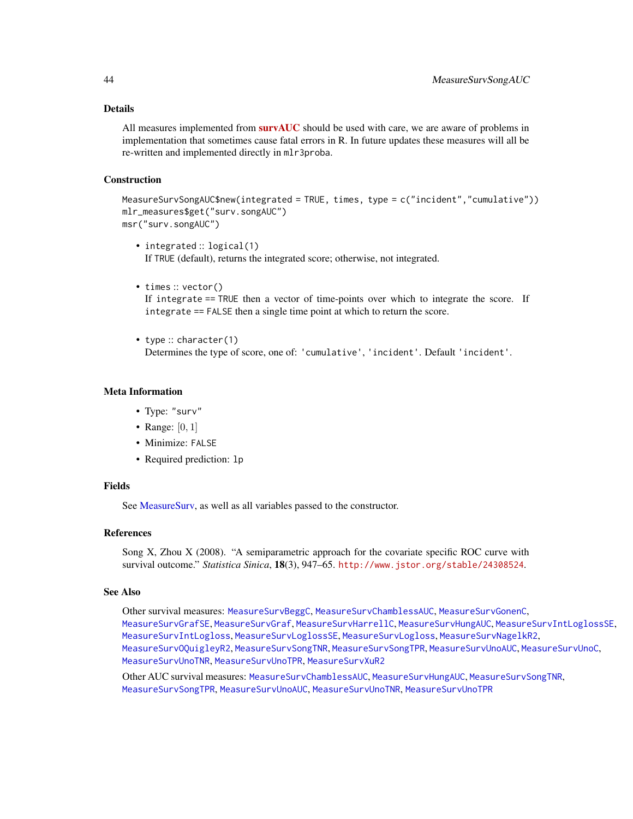<span id="page-43-0"></span>All measures implemented from  $survAUC$  should be used with care, we are aware of problems in implementation that sometimes cause fatal errors in R. In future updates these measures will all be re-written and implemented directly in mlr3proba.

#### **Construction**

```
MeasureSurvSongAUC$new(integrated = TRUE, times, type = c("incident","cumulative"))
mlr_measures$get("surv.songAUC")
msr("surv.songAUC")
```
- integrated :: logical(1) If TRUE (default), returns the integrated score; otherwise, not integrated.
- times :: vector()

If integrate == TRUE then a vector of time-points over which to integrate the score. If integrate == FALSE then a single time point at which to return the score.

• type :: character(1) Determines the type of score, one of: 'cumulative', 'incident'. Default 'incident'.

# Meta Information

- Type: "surv"
- Range:  $[0, 1]$
- Minimize: FALSE
- Required prediction: lp

#### Fields

See [MeasureSurv,](#page-26-1) as well as all variables passed to the constructor.

## References

Song X, Zhou X (2008). "A semiparametric approach for the covariate specific ROC curve with survival outcome." *Statistica Sinica*, 18(3), 947–65. <http://www.jstor.org/stable/24308524>.

#### See Also

Other survival measures: [MeasureSurvBeggC](#page-27-1), [MeasureSurvChamblessAUC](#page-28-1), [MeasureSurvGonenC](#page-29-1), [MeasureSurvGrafSE](#page-32-1), [MeasureSurvGraf](#page-30-1), [MeasureSurvHarrellC](#page-33-1), [MeasureSurvHungAUC](#page-34-1), [MeasureSurvIntLoglossSE](#page-37-1), [MeasureSurvIntLogloss](#page-35-1), [MeasureSurvLoglossSE](#page-39-1), [MeasureSurvLogloss](#page-38-1), [MeasureSurvNagelkR2](#page-40-1), [MeasureSurvOQuigleyR2](#page-41-1), [MeasureSurvSongTNR](#page-44-1), [MeasureSurvSongTPR](#page-45-1), [MeasureSurvUnoAUC](#page-46-1), [MeasureSurvUnoC](#page-48-1), [MeasureSurvUnoTNR](#page-49-1), [MeasureSurvUnoTPR](#page-50-1), [MeasureSurvXuR2](#page-51-1)

Other AUC survival measures: [MeasureSurvChamblessAUC](#page-28-1), [MeasureSurvHungAUC](#page-34-1), [MeasureSurvSongTNR](#page-44-1), [MeasureSurvSongTPR](#page-45-1), [MeasureSurvUnoAUC](#page-46-1), [MeasureSurvUnoTNR](#page-49-1), [MeasureSurvUnoTPR](#page-50-1)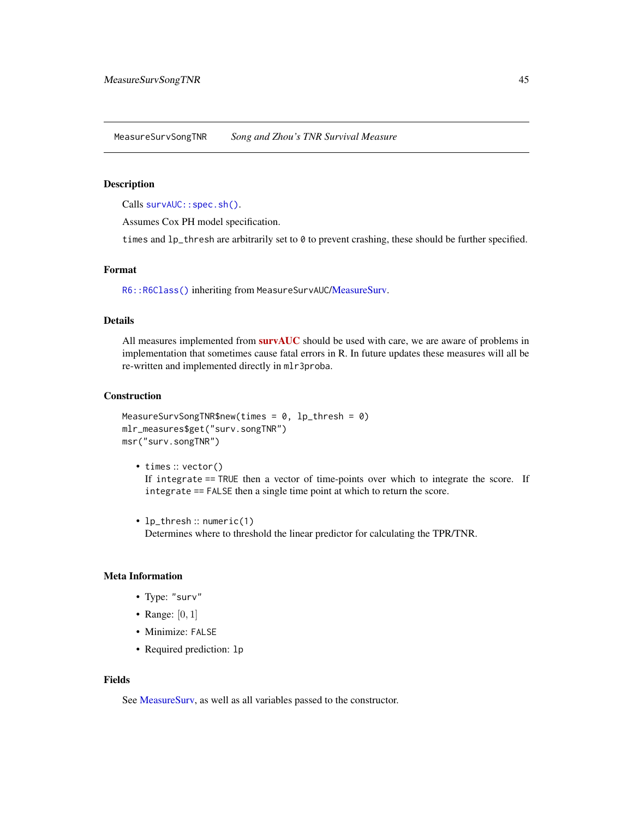<span id="page-44-1"></span><span id="page-44-0"></span>MeasureSurvSongTNR *Song and Zhou's TNR Survival Measure*

#### Description

Calls survAUC:: spec.sh().

Assumes Cox PH model specification.

times and 1p\_thresh are arbitrarily set to 0 to prevent crashing, these should be further specified.

#### Format

[R6::R6Class\(\)](#page-0-0) inheriting from MeasureSurvAUC[/MeasureSurv.](#page-26-1)

#### Details

All measures implemented from [survAUC](https://CRAN.R-project.org/package=survAUC) should be used with care, we are aware of problems in implementation that sometimes cause fatal errors in R. In future updates these measures will all be re-written and implemented directly in mlr3proba.

#### Construction

```
MeasureSurvSongTNR$new(times = 0, lp_thresh = 0)
mlr_measures$get("surv.songTNR")
msr("surv.songTNR")
```
- times :: vector() If integrate == TRUE then a vector of time-points over which to integrate the score. If integrate == FALSE then a single time point at which to return the score.
- lp\_thresh :: numeric(1) Determines where to threshold the linear predictor for calculating the TPR/TNR.

# Meta Information

- Type: "surv"
- Range:  $[0, 1]$
- Minimize: FALSE
- Required prediction: lp

#### Fields

See [MeasureSurv,](#page-26-1) as well as all variables passed to the constructor.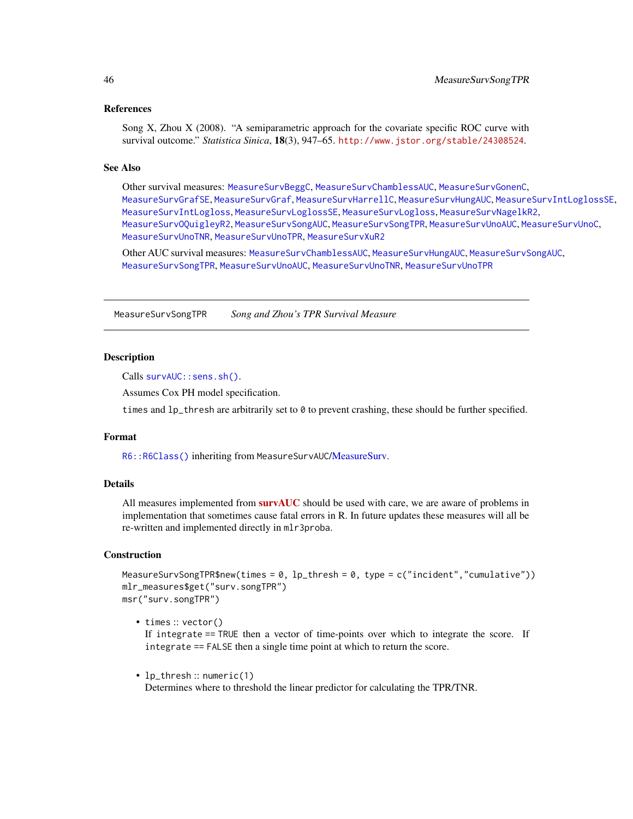# <span id="page-45-0"></span>References

Song X, Zhou X (2008). "A semiparametric approach for the covariate specific ROC curve with survival outcome." *Statistica Sinica*, 18(3), 947–65. <http://www.jstor.org/stable/24308524>.

# See Also

Other survival measures: [MeasureSurvBeggC](#page-27-1), [MeasureSurvChamblessAUC](#page-28-1), [MeasureSurvGonenC](#page-29-1), [MeasureSurvGrafSE](#page-32-1), [MeasureSurvGraf](#page-30-1), [MeasureSurvHarrellC](#page-33-1), [MeasureSurvHungAUC](#page-34-1), [MeasureSurvIntLoglossSE](#page-37-1), [MeasureSurvIntLogloss](#page-35-1), [MeasureSurvLoglossSE](#page-39-1), [MeasureSurvLogloss](#page-38-1), [MeasureSurvNagelkR2](#page-40-1), [MeasureSurvOQuigleyR2](#page-41-1), [MeasureSurvSongAUC](#page-42-1), [MeasureSurvSongTPR](#page-45-1), [MeasureSurvUnoAUC](#page-46-1), [MeasureSurvUnoC](#page-48-1), [MeasureSurvUnoTNR](#page-49-1), [MeasureSurvUnoTPR](#page-50-1), [MeasureSurvXuR2](#page-51-1)

Other AUC survival measures: [MeasureSurvChamblessAUC](#page-28-1), [MeasureSurvHungAUC](#page-34-1), [MeasureSurvSongAUC](#page-42-1), [MeasureSurvSongTPR](#page-45-1), [MeasureSurvUnoAUC](#page-46-1), [MeasureSurvUnoTNR](#page-49-1), [MeasureSurvUnoTPR](#page-50-1)

<span id="page-45-1"></span>MeasureSurvSongTPR *Song and Zhou's TPR Survival Measure*

#### **Description**

Calls [survAUC::sens.sh\(\)](#page-0-0).

Assumes Cox PH model specification.

times and  $lp_t$  thresh are arbitrarily set to  $\theta$  to prevent crashing, these should be further specified.

# Format

[R6::R6Class\(\)](#page-0-0) inheriting from MeasureSurvAUC[/MeasureSurv.](#page-26-1)

# Details

All measures implemented from **[survAUC](https://CRAN.R-project.org/package=survAUC)** should be used with care, we are aware of problems in implementation that sometimes cause fatal errors in R. In future updates these measures will all be re-written and implemented directly in mlr3proba.

#### Construction

MeasureSurvSongTPR\$new(times =  $0$ , lp\_thresh =  $0$ , type =  $c("incident", "cumulative")$ ) mlr\_measures\$get("surv.songTPR") msr("surv.songTPR")

• times :: vector()

If integrate == TRUE then a vector of time-points over which to integrate the score. If integrate == FALSE then a single time point at which to return the score.

• lp\_thresh :: numeric(1) Determines where to threshold the linear predictor for calculating the TPR/TNR.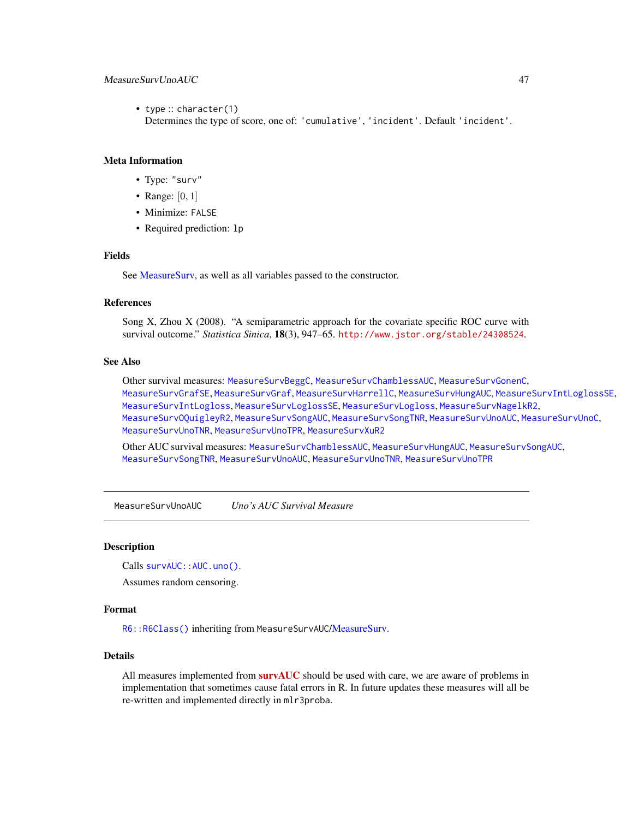# <span id="page-46-0"></span>MeasureSurvUnoAUC 47

• type :: character(1) Determines the type of score, one of: 'cumulative', 'incident'. Default 'incident'.

#### Meta Information

- Type: "surv"
- Range:  $[0, 1]$
- Minimize: FALSE
- Required prediction: lp

# Fields

See [MeasureSurv,](#page-26-1) as well as all variables passed to the constructor.

#### References

Song X, Zhou X (2008). "A semiparametric approach for the covariate specific ROC curve with survival outcome." *Statistica Sinica*, 18(3), 947–65. <http://www.jstor.org/stable/24308524>.

#### See Also

Other survival measures: [MeasureSurvBeggC](#page-27-1), [MeasureSurvChamblessAUC](#page-28-1), [MeasureSurvGonenC](#page-29-1), [MeasureSurvGrafSE](#page-32-1), [MeasureSurvGraf](#page-30-1), [MeasureSurvHarrellC](#page-33-1), [MeasureSurvHungAUC](#page-34-1), [MeasureSurvIntLoglossSE](#page-37-1), [MeasureSurvIntLogloss](#page-35-1), [MeasureSurvLoglossSE](#page-39-1), [MeasureSurvLogloss](#page-38-1), [MeasureSurvNagelkR2](#page-40-1), [MeasureSurvOQuigleyR2](#page-41-1), [MeasureSurvSongAUC](#page-42-1), [MeasureSurvSongTNR](#page-44-1), [MeasureSurvUnoAUC](#page-46-1), [MeasureSurvUnoC](#page-48-1), [MeasureSurvUnoTNR](#page-49-1), [MeasureSurvUnoTPR](#page-50-1), [MeasureSurvXuR2](#page-51-1)

Other AUC survival measures: [MeasureSurvChamblessAUC](#page-28-1), [MeasureSurvHungAUC](#page-34-1), [MeasureSurvSongAUC](#page-42-1), [MeasureSurvSongTNR](#page-44-1), [MeasureSurvUnoAUC](#page-46-1), [MeasureSurvUnoTNR](#page-49-1), [MeasureSurvUnoTPR](#page-50-1)

<span id="page-46-1"></span>MeasureSurvUnoAUC *Uno's AUC Survival Measure*

# **Description**

Calls survAUC:: AUC.uno().

Assumes random censoring.

# Format

[R6::R6Class\(\)](#page-0-0) inheriting from MeasureSurvAUC[/MeasureSurv.](#page-26-1)

# Details

All measures implemented from **[survAUC](https://CRAN.R-project.org/package=survAUC)** should be used with care, we are aware of problems in implementation that sometimes cause fatal errors in R. In future updates these measures will all be re-written and implemented directly in mlr3proba.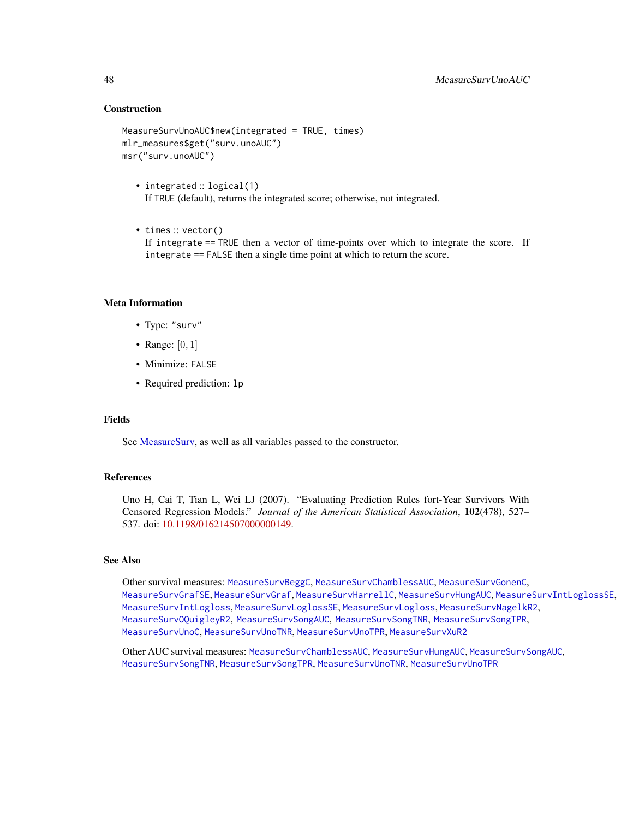# **Construction**

```
MeasureSurvUnoAUC$new(integrated = TRUE, times)
mlr_measures$get("surv.unoAUC")
msr("surv.unoAUC")
```
- integrated :: logical(1) If TRUE (default), returns the integrated score; otherwise, not integrated.
- times :: vector() If integrate == TRUE then a vector of time-points over which to integrate the score. If integrate == FALSE then a single time point at which to return the score.

#### Meta Information

- Type: "surv"
- Range:  $[0, 1]$
- Minimize: FALSE
- Required prediction: lp

#### Fields

See [MeasureSurv,](#page-26-1) as well as all variables passed to the constructor.

#### References

Uno H, Cai T, Tian L, Wei LJ (2007). "Evaluating Prediction Rules fort-Year Survivors With Censored Regression Models." *Journal of the American Statistical Association*, 102(478), 527– 537. doi: [10.1198/016214507000000149.](https://doi.org/10.1198/016214507000000149)

# See Also

Other survival measures: [MeasureSurvBeggC](#page-27-1), [MeasureSurvChamblessAUC](#page-28-1), [MeasureSurvGonenC](#page-29-1), [MeasureSurvGrafSE](#page-32-1), [MeasureSurvGraf](#page-30-1), [MeasureSurvHarrellC](#page-33-1), [MeasureSurvHungAUC](#page-34-1), [MeasureSurvIntLoglossSE](#page-37-1), [MeasureSurvIntLogloss](#page-35-1), [MeasureSurvLoglossSE](#page-39-1), [MeasureSurvLogloss](#page-38-1), [MeasureSurvNagelkR2](#page-40-1), [MeasureSurvOQuigleyR2](#page-41-1), [MeasureSurvSongAUC](#page-42-1), [MeasureSurvSongTNR](#page-44-1), [MeasureSurvSongTPR](#page-45-1), [MeasureSurvUnoC](#page-48-1), [MeasureSurvUnoTNR](#page-49-1), [MeasureSurvUnoTPR](#page-50-1), [MeasureSurvXuR2](#page-51-1)

Other AUC survival measures: [MeasureSurvChamblessAUC](#page-28-1), [MeasureSurvHungAUC](#page-34-1), [MeasureSurvSongAUC](#page-42-1), [MeasureSurvSongTNR](#page-44-1), [MeasureSurvSongTPR](#page-45-1), [MeasureSurvUnoTNR](#page-49-1), [MeasureSurvUnoTPR](#page-50-1)

<span id="page-47-0"></span>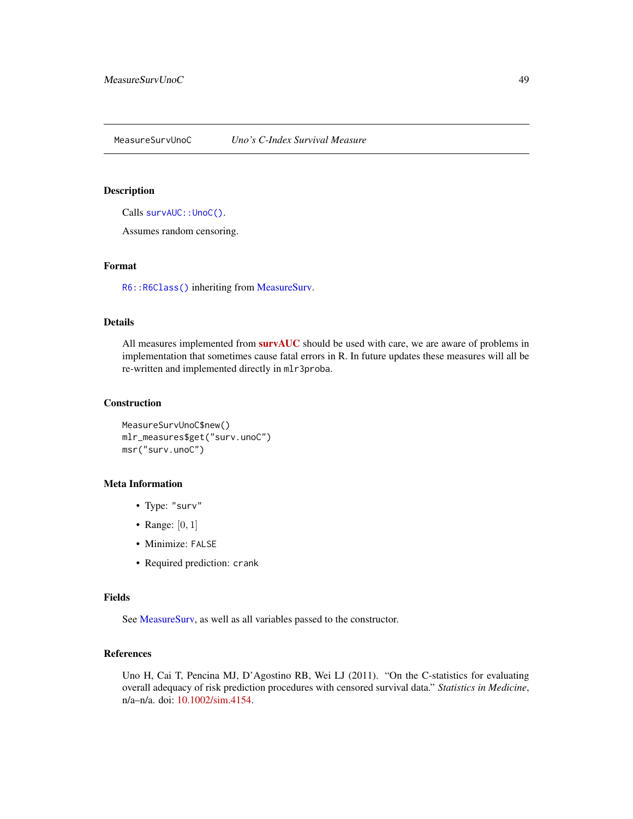#### <span id="page-48-1"></span><span id="page-48-0"></span>Description

Calls [survAUC::UnoC\(\)](#page-0-0).

Assumes random censoring.

# Format

[R6::R6Class\(\)](#page-0-0) inheriting from [MeasureSurv.](#page-26-1)

#### Details

All measures implemented from **[survAUC](https://CRAN.R-project.org/package=survAUC)** should be used with care, we are aware of problems in implementation that sometimes cause fatal errors in R. In future updates these measures will all be re-written and implemented directly in mlr3proba.

# Construction

MeasureSurvUnoC\$new() mlr\_measures\$get("surv.unoC") msr("surv.unoC")

# Meta Information

- Type: "surv"
- Range: [0, 1]
- Minimize: FALSE
- Required prediction: crank

# Fields

See [MeasureSurv,](#page-26-1) as well as all variables passed to the constructor.

# References

Uno H, Cai T, Pencina MJ, D'Agostino RB, Wei LJ (2011). "On the C-statistics for evaluating overall adequacy of risk prediction procedures with censored survival data." *Statistics in Medicine*, n/a–n/a. doi: [10.1002/sim.4154.](https://doi.org/10.1002/sim.4154)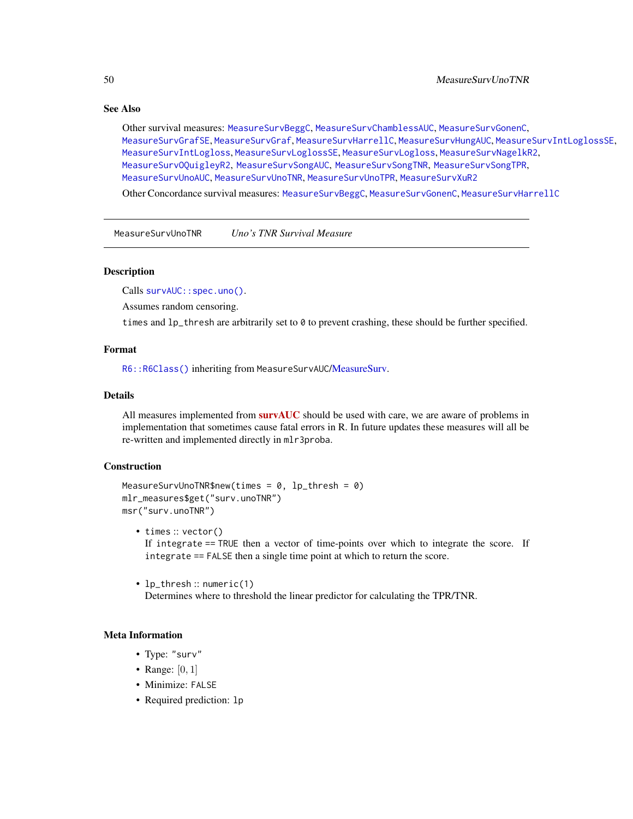# <span id="page-49-0"></span>See Also

Other survival measures: [MeasureSurvBeggC](#page-27-1), [MeasureSurvChamblessAUC](#page-28-1), [MeasureSurvGonenC](#page-29-1), [MeasureSurvGrafSE](#page-32-1), [MeasureSurvGraf](#page-30-1), [MeasureSurvHarrellC](#page-33-1), [MeasureSurvHungAUC](#page-34-1), [MeasureSurvIntLoglossSE](#page-37-1), [MeasureSurvIntLogloss](#page-35-1), [MeasureSurvLoglossSE](#page-39-1), [MeasureSurvLogloss](#page-38-1), [MeasureSurvNagelkR2](#page-40-1), [MeasureSurvOQuigleyR2](#page-41-1), [MeasureSurvSongAUC](#page-42-1), [MeasureSurvSongTNR](#page-44-1), [MeasureSurvSongTPR](#page-45-1), [MeasureSurvUnoAUC](#page-46-1), [MeasureSurvUnoTNR](#page-49-1), [MeasureSurvUnoTPR](#page-50-1), [MeasureSurvXuR2](#page-51-1)

Other Concordance survival measures: [MeasureSurvBeggC](#page-27-1), [MeasureSurvGonenC](#page-29-1), [MeasureSurvHarrellC](#page-33-1)

<span id="page-49-1"></span>MeasureSurvUnoTNR *Uno's TNR Survival Measure*

# Description

Calls [survAUC::spec.uno\(\)](#page-0-0).

Assumes random censoring.

times and 1p\_thresh are arbitrarily set to 0 to prevent crashing, these should be further specified.

# Format

[R6::R6Class\(\)](#page-0-0) inheriting from MeasureSurvAUC[/MeasureSurv.](#page-26-1)

#### Details

All measures implemented from **[survAUC](https://CRAN.R-project.org/package=survAUC)** should be used with care, we are aware of problems in implementation that sometimes cause fatal errors in R. In future updates these measures will all be re-written and implemented directly in mlr3proba.

# Construction

```
MeasureSurvUnoTNR$new(times = 0, lp_thresh = 0)
mlr_measures$get("surv.unoTNR")
msr("surv.unoTNR")
```
- times :: vector() If integrate == TRUE then a vector of time-points over which to integrate the score. If integrate == FALSE then a single time point at which to return the score.
- lp\_thresh :: numeric(1) Determines where to threshold the linear predictor for calculating the TPR/TNR.

# Meta Information

- Type: "surv"
- Range:  $[0, 1]$
- Minimize: FALSE
- Required prediction: lp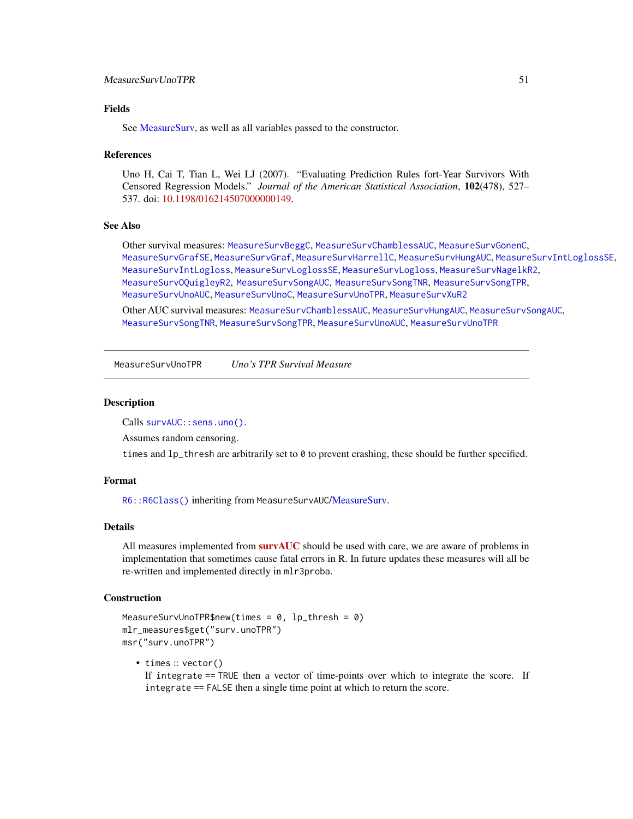# <span id="page-50-0"></span>MeasureSurvUnoTPR 51

# Fields

See MeasureSury, as well as all variables passed to the constructor.

#### References

Uno H, Cai T, Tian L, Wei LJ (2007). "Evaluating Prediction Rules fort-Year Survivors With Censored Regression Models." *Journal of the American Statistical Association*, 102(478), 527– 537. doi: [10.1198/016214507000000149.](https://doi.org/10.1198/016214507000000149)

# See Also

Other survival measures: [MeasureSurvBeggC](#page-27-1), [MeasureSurvChamblessAUC](#page-28-1), [MeasureSurvGonenC](#page-29-1), [MeasureSurvGrafSE](#page-32-1), [MeasureSurvGraf](#page-30-1), [MeasureSurvHarrellC](#page-33-1), [MeasureSurvHungAUC](#page-34-1), [MeasureSurvIntLoglossSE](#page-37-1), [MeasureSurvIntLogloss](#page-35-1), [MeasureSurvLoglossSE](#page-39-1), [MeasureSurvLogloss](#page-38-1), [MeasureSurvNagelkR2](#page-40-1), [MeasureSurvOQuigleyR2](#page-41-1), [MeasureSurvSongAUC](#page-42-1), [MeasureSurvSongTNR](#page-44-1), [MeasureSurvSongTPR](#page-45-1), [MeasureSurvUnoAUC](#page-46-1), [MeasureSurvUnoC](#page-48-1), [MeasureSurvUnoTPR](#page-50-1), [MeasureSurvXuR2](#page-51-1)

Other AUC survival measures: [MeasureSurvChamblessAUC](#page-28-1), [MeasureSurvHungAUC](#page-34-1), [MeasureSurvSongAUC](#page-42-1), [MeasureSurvSongTNR](#page-44-1), [MeasureSurvSongTPR](#page-45-1), [MeasureSurvUnoAUC](#page-46-1), [MeasureSurvUnoTPR](#page-50-1)

<span id="page-50-1"></span>MeasureSurvUnoTPR *Uno's TPR Survival Measure*

#### Description

Calls [survAUC::sens.uno\(\)](#page-0-0).

Assumes random censoring.

times and 1p\_thresh are arbitrarily set to 0 to prevent crashing, these should be further specified.

#### Format

[R6::R6Class\(\)](#page-0-0) inheriting from MeasureSurvAUC[/MeasureSurv.](#page-26-1)

# Details

All measures implemented from **[survAUC](https://CRAN.R-project.org/package=survAUC)** should be used with care, we are aware of problems in implementation that sometimes cause fatal errors in R. In future updates these measures will all be re-written and implemented directly in mlr3proba.

# Construction

```
MeasureSurvUnoTPR$new(times = 0, lp_thresh = 0)
mlr_measures$get("surv.unoTPR")
msr("surv.unoTPR")
```
• times :: vector() If integrate == TRUE then a vector of time-points over which to integrate the score. If integrate == FALSE then a single time point at which to return the score.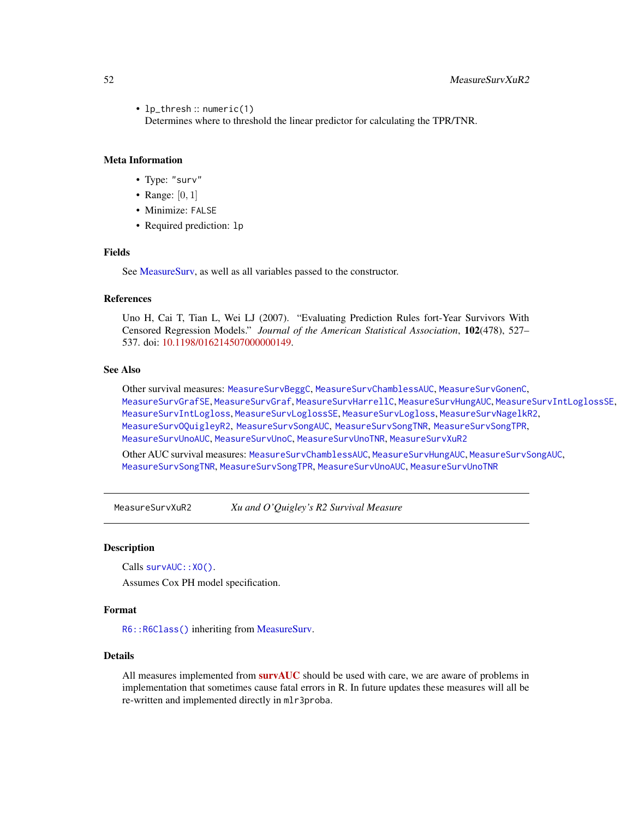<span id="page-51-0"></span>• lp\_thresh :: numeric(1)

Determines where to threshold the linear predictor for calculating the TPR/TNR.

# Meta Information

- Type: "surv"
- Range:  $[0, 1]$
- Minimize: FALSE
- Required prediction: lp

# Fields

See [MeasureSurv,](#page-26-1) as well as all variables passed to the constructor.

# **References**

Uno H, Cai T, Tian L, Wei LJ (2007). "Evaluating Prediction Rules fort-Year Survivors With Censored Regression Models." *Journal of the American Statistical Association*, 102(478), 527– 537. doi: [10.1198/016214507000000149.](https://doi.org/10.1198/016214507000000149)

# See Also

Other survival measures: [MeasureSurvBeggC](#page-27-1), [MeasureSurvChamblessAUC](#page-28-1), [MeasureSurvGonenC](#page-29-1), [MeasureSurvGrafSE](#page-32-1), [MeasureSurvGraf](#page-30-1), [MeasureSurvHarrellC](#page-33-1), [MeasureSurvHungAUC](#page-34-1), [MeasureSurvIntLoglossSE](#page-37-1), [MeasureSurvIntLogloss](#page-35-1), [MeasureSurvLoglossSE](#page-39-1), [MeasureSurvLogloss](#page-38-1), [MeasureSurvNagelkR2](#page-40-1), [MeasureSurvOQuigleyR2](#page-41-1), [MeasureSurvSongAUC](#page-42-1), [MeasureSurvSongTNR](#page-44-1), [MeasureSurvSongTPR](#page-45-1), [MeasureSurvUnoAUC](#page-46-1), [MeasureSurvUnoC](#page-48-1), [MeasureSurvUnoTNR](#page-49-1), [MeasureSurvXuR2](#page-51-1)

Other AUC survival measures: [MeasureSurvChamblessAUC](#page-28-1), [MeasureSurvHungAUC](#page-34-1), [MeasureSurvSongAUC](#page-42-1), [MeasureSurvSongTNR](#page-44-1), [MeasureSurvSongTPR](#page-45-1), [MeasureSurvUnoAUC](#page-46-1), [MeasureSurvUnoTNR](#page-49-1)

<span id="page-51-1"></span>MeasureSurvXuR2 *Xu and O'Quigley's R2 Survival Measure*

#### Description

Calls survAUC:: XO().

Assumes Cox PH model specification.

## Format

[R6::R6Class\(\)](#page-0-0) inheriting from [MeasureSurv.](#page-26-1)

# Details

All measures implemented from **[survAUC](https://CRAN.R-project.org/package=survAUC)** should be used with care, we are aware of problems in implementation that sometimes cause fatal errors in R. In future updates these measures will all be re-written and implemented directly in mlr3proba.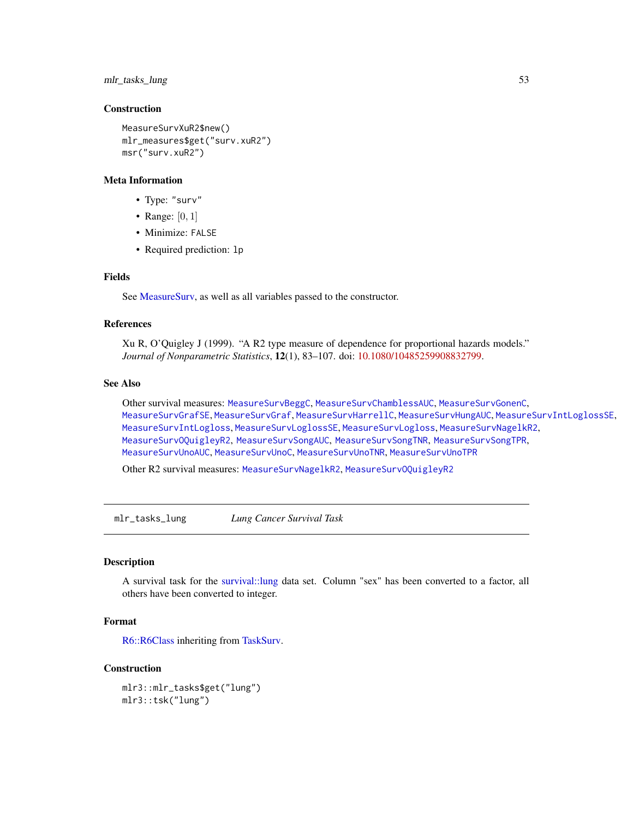# <span id="page-52-0"></span>mlr\_tasks\_lung 53

# Construction

```
MeasureSurvXuR2$new()
mlr_measures$get("surv.xuR2")
msr("surv.xuR2")
```
#### Meta Information

- Type: "surv"
- Range:  $[0, 1]$
- Minimize: FALSE
- Required prediction: lp

# Fields

See [MeasureSurv,](#page-26-1) as well as all variables passed to the constructor.

# References

Xu R, O'Quigley J (1999). "A R2 type measure of dependence for proportional hazards models." *Journal of Nonparametric Statistics*, 12(1), 83–107. doi: [10.1080/10485259908832799.](https://doi.org/10.1080/10485259908832799)

#### See Also

Other survival measures: [MeasureSurvBeggC](#page-27-1), [MeasureSurvChamblessAUC](#page-28-1), [MeasureSurvGonenC](#page-29-1), [MeasureSurvGrafSE](#page-32-1), [MeasureSurvGraf](#page-30-1), [MeasureSurvHarrellC](#page-33-1), [MeasureSurvHungAUC](#page-34-1), [MeasureSurvIntLoglossSE](#page-37-1), [MeasureSurvIntLogloss](#page-35-1), [MeasureSurvLoglossSE](#page-39-1), [MeasureSurvLogloss](#page-38-1), [MeasureSurvNagelkR2](#page-40-1), [MeasureSurvOQuigleyR2](#page-41-1), [MeasureSurvSongAUC](#page-42-1), [MeasureSurvSongTNR](#page-44-1), [MeasureSurvSongTPR](#page-45-1), [MeasureSurvUnoAUC](#page-46-1), [MeasureSurvUnoC](#page-48-1), [MeasureSurvUnoTNR](#page-49-1), [MeasureSurvUnoTPR](#page-50-1)

Other R2 survival measures: [MeasureSurvNagelkR2](#page-40-1), [MeasureSurvOQuigleyR2](#page-41-1)

mlr\_tasks\_lung *Lung Cancer Survival Task*

#### Description

A survival task for the [survival::lung](#page-0-0) data set. Column "sex" has been converted to a factor, all others have been converted to integer.

# Format

[R6::R6Class](#page-0-0) inheriting from [TaskSurv.](#page-60-1)

#### Construction

mlr3::mlr\_tasks\$get("lung") mlr3::tsk("lung")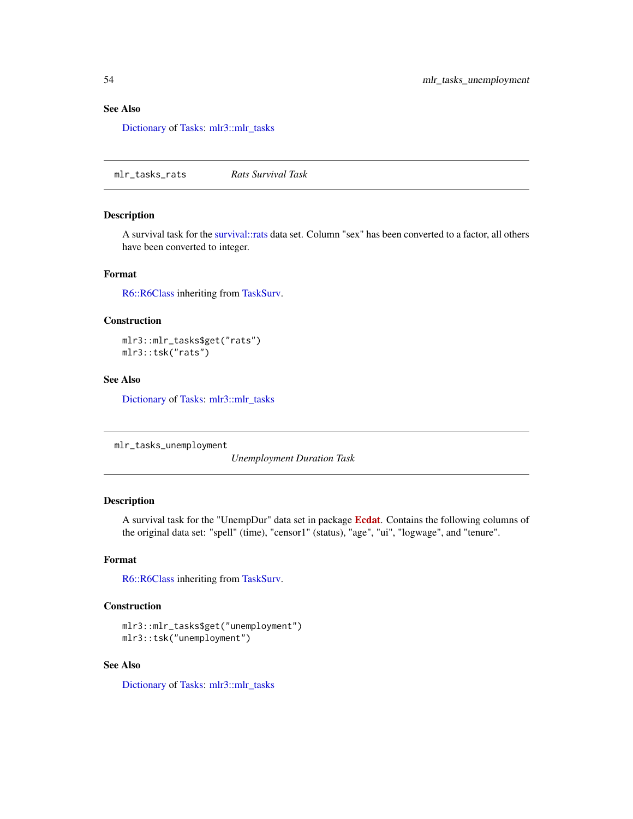# <span id="page-53-0"></span>See Also

[Dictionary](#page-0-0) of [Tasks:](#page-0-0) [mlr3::mlr\\_tasks](#page-0-0)

mlr\_tasks\_rats *Rats Survival Task*

# Description

A survival task for the [survival::rats](#page-0-0) data set. Column "sex" has been converted to a factor, all others have been converted to integer.

# Format

[R6::R6Class](#page-0-0) inheriting from [TaskSurv.](#page-60-1)

# Construction

mlr3::mlr\_tasks\$get("rats") mlr3::tsk("rats")

# See Also

[Dictionary](#page-0-0) of [Tasks:](#page-0-0) [mlr3::mlr\\_tasks](#page-0-0)

```
mlr_tasks_unemployment
```
*Unemployment Duration Task*

# Description

A survival task for the "UnempDur" data set in package [Ecdat](https://CRAN.R-project.org/package=Ecdat). Contains the following columns of the original data set: "spell" (time), "censor1" (status), "age", "ui", "logwage", and "tenure".

#### Format

[R6::R6Class](#page-0-0) inheriting from [TaskSurv.](#page-60-1)

# Construction

```
mlr3::mlr_tasks$get("unemployment")
mlr3::tsk("unemployment")
```
# See Also

[Dictionary](#page-0-0) of [Tasks:](#page-0-0) [mlr3::mlr\\_tasks](#page-0-0)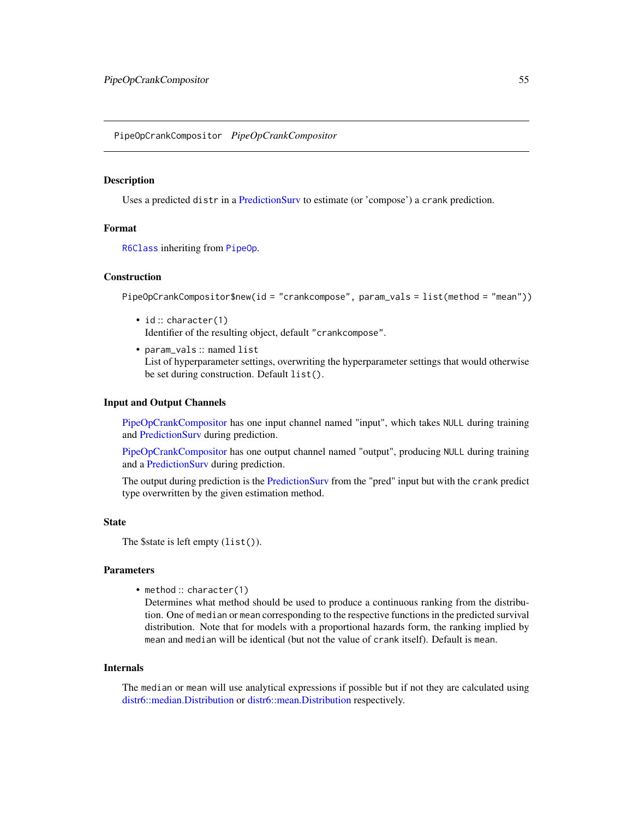<span id="page-54-1"></span><span id="page-54-0"></span>PipeOpCrankCompositor *PipeOpCrankCompositor*

#### Description

Uses a predicted distr in a [PredictionSurv](#page-58-1) to estimate (or 'compose') a crank prediction.

# Format

[R6Class](#page-0-0) inheriting from [PipeOp](#page-0-0).

#### Construction

PipeOpCrankCompositor\$new(id = "crankcompose", param\_vals = list(method = "mean"))

- id: character(1) Identifier of the resulting object, default "crankcompose".
- param\_vals :: named list List of hyperparameter settings, overwriting the hyperparameter settings that would otherwise be set during construction. Default list().

# Input and Output Channels

[PipeOpCrankCompositor](#page-54-1) has one input channel named "input", which takes NULL during training and [PredictionSurv](#page-58-1) during prediction.

[PipeOpCrankCompositor](#page-54-1) has one output channel named "output", producing NULL during training and a [PredictionSurv](#page-58-1) during prediction.

The output during prediction is the [PredictionSurv](#page-58-1) from the "pred" input but with the crank predict type overwritten by the given estimation method.

#### **State**

```
The $state is left empty (list()).
```
### Parameters

• method :: character(1)

Determines what method should be used to produce a continuous ranking from the distribution. One of median or mean corresponding to the respective functions in the predicted survival distribution. Note that for models with a proportional hazards form, the ranking implied by mean and median will be identical (but not the value of crank itself). Default is mean.

#### Internals

The median or mean will use analytical expressions if possible but if not they are calculated using [distr6::median.Distribution](#page-0-0) or [distr6::mean.Distribution](#page-0-0) respectively.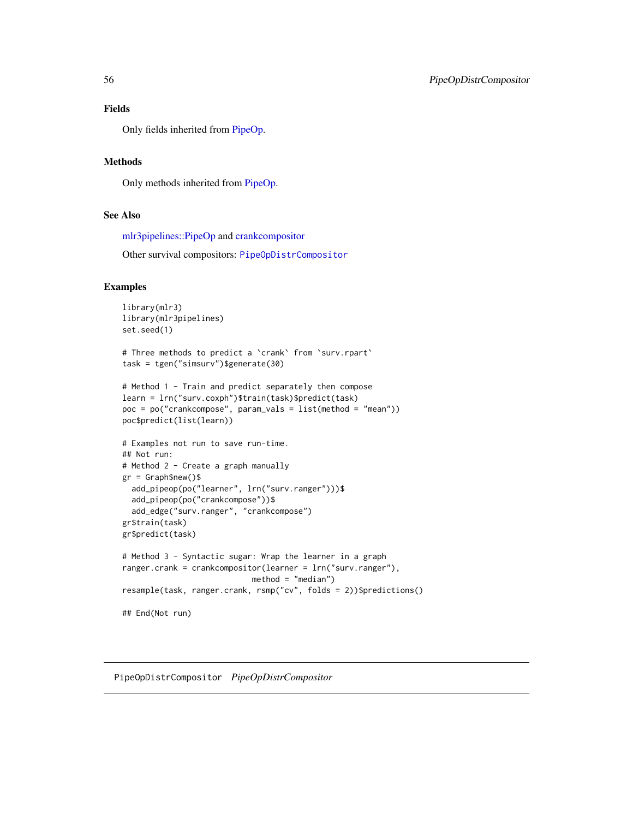# <span id="page-55-0"></span>Fields

Only fields inherited from [PipeOp.](#page-0-0)

# **Methods**

Only methods inherited from [PipeOp.](#page-0-0)

# See Also

[mlr3pipelines::PipeOp](#page-0-0) and [crankcompositor](#page-3-1)

Other survival compositors: [PipeOpDistrCompositor](#page-55-1)

#### Examples

```
library(mlr3)
library(mlr3pipelines)
set.seed(1)
# Three methods to predict a `crank` from `surv.rpart`
task = tgen("simsurv")$generate(30)
# Method 1 - Train and predict separately then compose
learn = lrn("surv.coxph")$train(task)$predict(task)
poc = po("crankcompose", param_vals = list(method = "mean"))
poc$predict(list(learn))
# Examples not run to save run-time.
## Not run:
# Method 2 - Create a graph manually
gr = Graph$new()$
 add_pipeop(po("learner", lrn("surv.ranger")))$
 add_pipeop(po("crankcompose"))$
 add_edge("surv.ranger", "crankcompose")
gr$train(task)
gr$predict(task)
# Method 3 - Syntactic sugar: Wrap the learner in a graph
ranger.crank = crankcompositor(learner = lrn("surv.ranger"),
                            method = "median")
resample(task, ranger.crank, rsmp("cv", folds = 2))$predictions()
## End(Not run)
```
<span id="page-55-1"></span>PipeOpDistrCompositor *PipeOpDistrCompositor*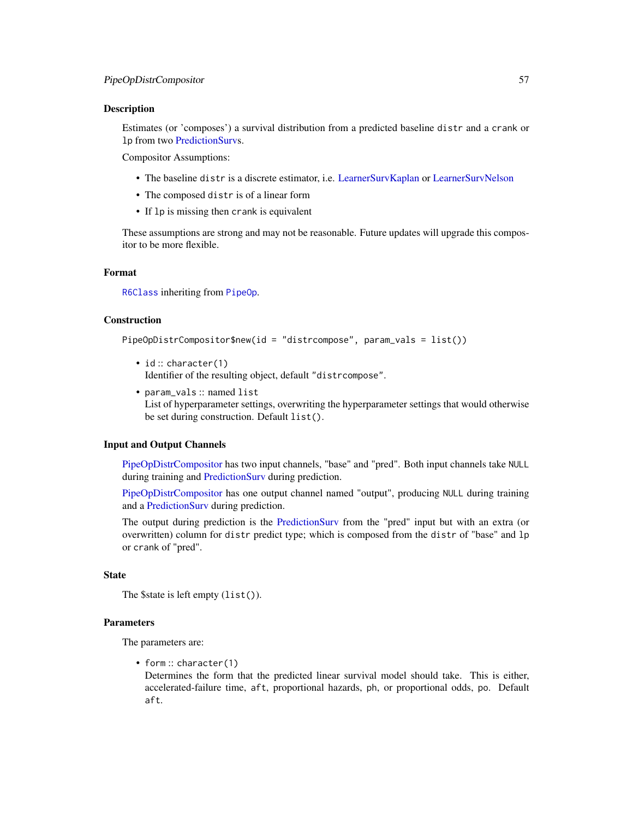#### <span id="page-56-0"></span>Description

Estimates (or 'composes') a survival distribution from a predicted baseline distr and a crank or lp from two [PredictionSurvs](#page-58-1).

Compositor Assumptions:

- The baseline distr is a discrete estimator, i.e. [LearnerSurvKaplan](#page-16-1) or [LearnerSurvNelson](#page-18-1)
- The composed distr is of a linear form
- If lp is missing then crank is equivalent

These assumptions are strong and may not be reasonable. Future updates will upgrade this compositor to be more flexible.

# Format

[R6Class](#page-0-0) inheriting from [PipeOp](#page-0-0).

# Construction

PipeOpDistrCompositor\$new(id = "distrcompose", param\_vals = list())

- id: character(1) Identifier of the resulting object, default "distrcompose".
- param\_vals :: named list List of hyperparameter settings, overwriting the hyperparameter settings that would otherwise be set during construction. Default list().

#### Input and Output Channels

[PipeOpDistrCompositor](#page-55-1) has two input channels, "base" and "pred". Both input channels take NULL during training and [PredictionSurv](#page-58-1) during prediction.

[PipeOpDistrCompositor](#page-55-1) has one output channel named "output", producing NULL during training and a [PredictionSurv](#page-58-1) during prediction.

The output during prediction is the [PredictionSurv](#page-58-1) from the "pred" input but with an extra (or overwritten) column for distr predict type; which is composed from the distr of "base" and lp or crank of "pred".

# **State**

The \$state is left empty (list()).

#### Parameters

The parameters are:

• form: character(1)

Determines the form that the predicted linear survival model should take. This is either, accelerated-failure time, aft, proportional hazards, ph, or proportional odds, po. Default aft.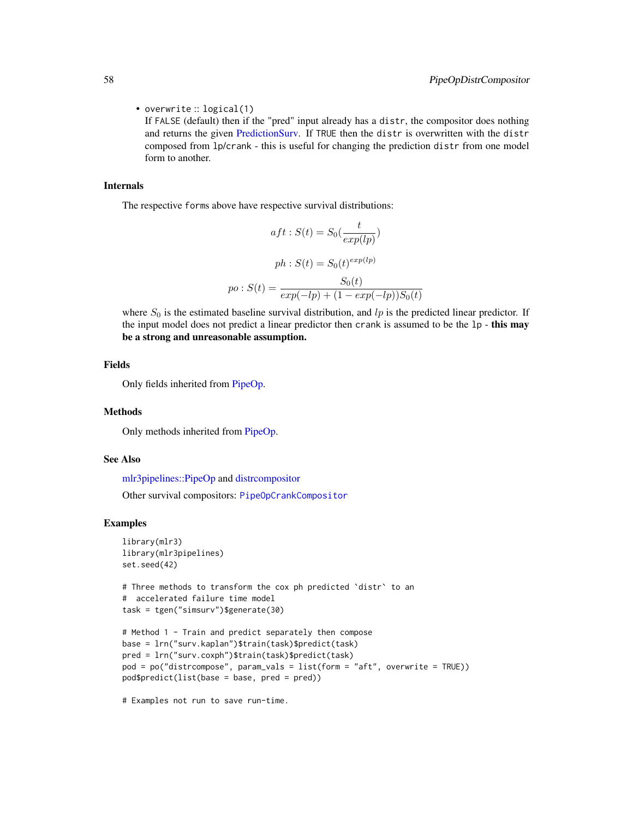• overwrite :: logical(1)

If FALSE (default) then if the "pred" input already has a distr, the compositor does nothing and returns the given [PredictionSurv.](#page-58-1) If TRUE then the distr is overwritten with the distr composed from lp/crank - this is useful for changing the prediction distr from one model form to another.

#### Internals

The respective forms above have respective survival distributions:

$$
aft: S(t) = S_0(\frac{t}{exp(lp)})
$$

$$
ph: S(t) = S_0(t)^{exp(lp)}
$$

$$
po: S(t) = \frac{S_0(t)}{exp(-lp) + (1 - exp(-lp))S_0(t)}
$$

where  $S_0$  is the estimated baseline survival distribution, and  $lp$  is the predicted linear predictor. If the input model does not predict a linear predictor then crank is assumed to be the 1p - this may be a strong and unreasonable assumption.

# Fields

Only fields inherited from [PipeOp.](#page-0-0)

#### Methods

Only methods inherited from [PipeOp.](#page-0-0)

# See Also

[mlr3pipelines::PipeOp](#page-0-0) and [distrcompositor](#page-4-1) Other survival compositors: [PipeOpCrankCompositor](#page-54-1)

#### Examples

```
library(mlr3)
library(mlr3pipelines)
set.seed(42)
# Three methods to transform the cox ph predicted `distr` to an
# accelerated failure time model
task = tgen("simsurv")$generate(30)
# Method 1 - Train and predict separately then compose
base = lrn("surv.kaplan")$train(task)$predict(task)
pred = lrn("surv.coxph")$train(task)$predict(task)
pod = po("distrcompose", param_vals = list(form = "aft", overwrite = TRUE))
pod$predict(list(base = base, pred = pred))
```
# Examples not run to save run-time.

<span id="page-57-0"></span>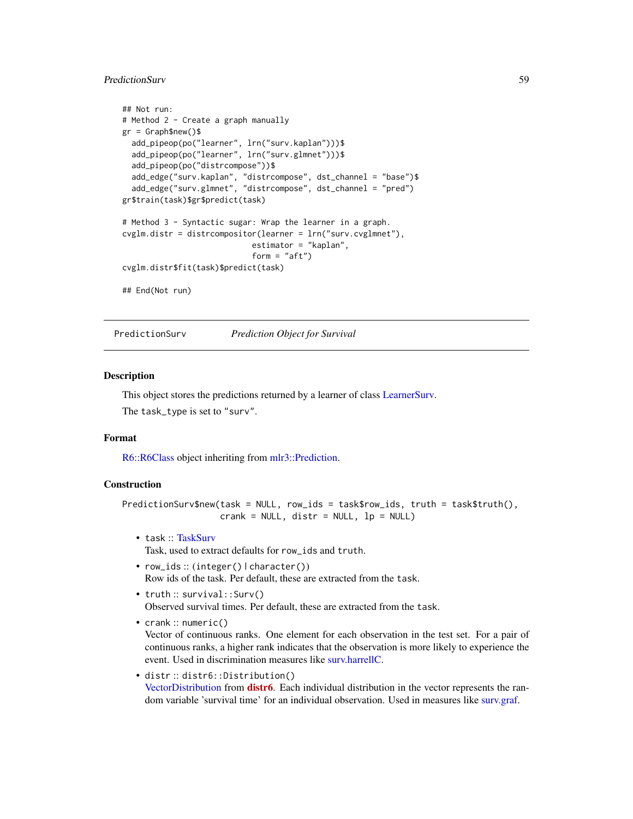# <span id="page-58-0"></span>PredictionSurv 59

```
## Not run:
# Method 2 - Create a graph manually
gr = Graph$new()$
 add_pipeop(po("learner", lrn("surv.kaplan")))$
 add_pipeop(po("learner", lrn("surv.glmnet")))$
 add_pipeop(po("distrcompose"))$
 add_edge("surv.kaplan", "distrcompose", dst_channel = "base")$
 add_edge("surv.glmnet", "distrcompose", dst_channel = "pred")
gr$train(task)$gr$predict(task)
# Method 3 - Syntactic sugar: Wrap the learner in a graph.
cvglm.distr = distrcompositor(learner = lrn("surv.cvglmnet"),
                            estimator = "kaplan",
                            form = "aft")
cvglm.distr$fit(task)$predict(task)
## End(Not run)
```
<span id="page-58-1"></span>PredictionSurv *Prediction Object for Survival*

#### Description

This object stores the predictions returned by a learner of class [LearnerSurv.](#page-5-1) The task\_type is set to "surv".

# Format

[R6::R6Class](#page-0-0) object inheriting from [mlr3::Prediction.](#page-0-0)

# Construction

```
PredictionSurv$new(task = NULL, row_ids = task$row_ids, truth = task$truth(),
                  crank = NULL, distr = NULL, lp = NULL)
```
- task :: [TaskSurv](#page-60-1) Task, used to extract defaults for row\_ids and truth.
- row\_ids :: (integer() | character()) Row ids of the task. Per default, these are extracted from the task.
- truth :: survival::Surv() Observed survival times. Per default, these are extracted from the task.
- crank :: numeric()

Vector of continuous ranks. One element for each observation in the test set. For a pair of continuous ranks, a higher rank indicates that the observation is more likely to experience the event. Used in discrimination measures like [surv.harrellC.](#page-33-2)

• distr :: distr6::Distribution() [VectorDistribution](#page-0-0) from **[distr6](https://CRAN.R-project.org/package=distr6)**. Each individual distribution in the vector represents the random variable 'survival time' for an individual observation. Used in measures like [surv.graf.](#page-30-2)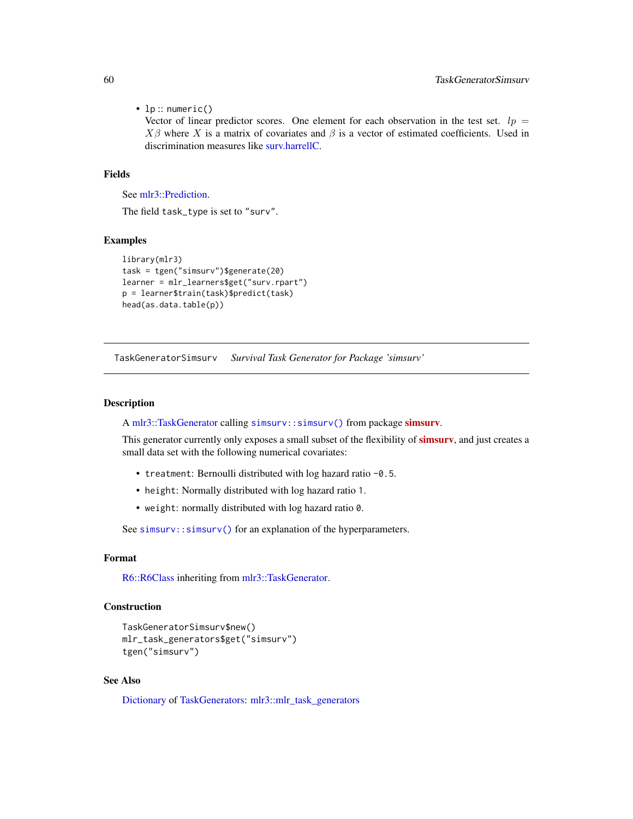<span id="page-59-0"></span>• lp :: numeric()

Vector of linear predictor scores. One element for each observation in the test set.  $lp =$  $X\beta$  where X is a matrix of covariates and  $\beta$  is a vector of estimated coefficients. Used in discrimination measures like [surv.harrellC.](#page-33-2)

## Fields

See [mlr3::Prediction.](#page-0-0)

The field task\_type is set to "surv".

#### Examples

```
library(mlr3)
task = tgen("simsurv")$generate(20)
learner = mlr_learners$get("surv.rpart")
p = learner$train(task)$predict(task)
head(as.data.table(p))
```
TaskGeneratorSimsurv *Survival Task Generator for Package 'simsurv'*

#### **Description**

A [mlr3::TaskGenerator](#page-0-0) calling [simsurv::simsurv\(\)](#page-0-0) from package [simsurv](https://CRAN.R-project.org/package=simsurv).

This generator currently only exposes a small subset of the flexibility of **simsury**, and just creates a small data set with the following numerical covariates:

- treatment: Bernoulli distributed with log hazard ratio -0.5.
- height: Normally distributed with log hazard ratio 1.
- weight: normally distributed with log hazard ratio 0.

See simsurv:: simsurv() for an explanation of the hyperparameters.

# Format

[R6::R6Class](#page-0-0) inheriting from [mlr3::TaskGenerator.](#page-0-0)

#### Construction

```
TaskGeneratorSimsurv$new()
mlr_task_generators$get("simsurv")
tgen("simsurv")
```
# See Also

[Dictionary](#page-0-0) of [TaskGenerators:](#page-0-0) [mlr3::mlr\\_task\\_generators](#page-0-0)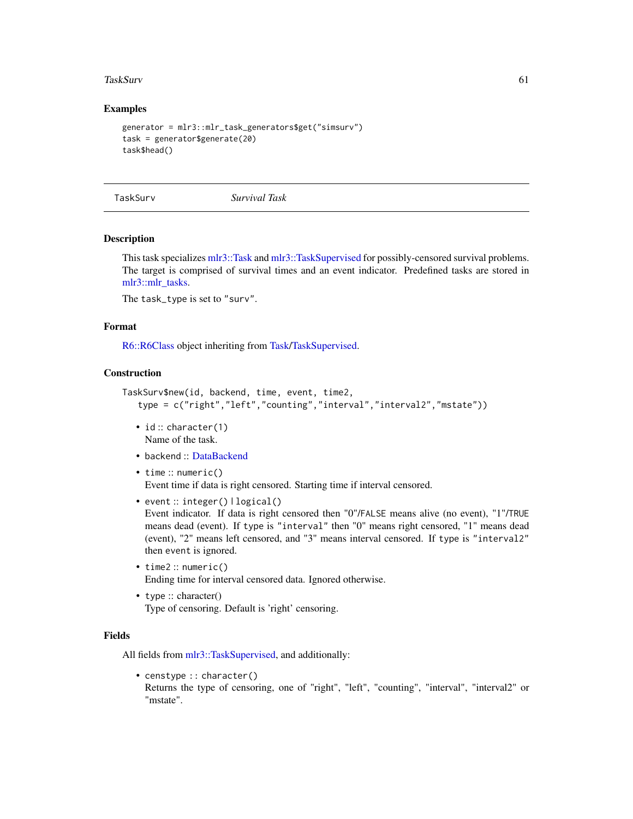#### <span id="page-60-0"></span>TaskSurv 61

# Examples

```
generator = mlr3::mlr_task_generators$get("simsurv")
task = generator$generate(20)
task$head()
```
<span id="page-60-1"></span>

TaskSurv *Survival Task*

#### Description

This task specializes [mlr3::Task](#page-0-0) and [mlr3::TaskSupervised](#page-0-0) for possibly-censored survival problems. The target is comprised of survival times and an event indicator. Predefined tasks are stored in [mlr3::mlr\\_tasks.](#page-0-0)

The task\_type is set to "surv".

#### Format

[R6::R6Class](#page-0-0) object inheriting from [Task/TaskSupervised.](#page-0-0)

# **Construction**

```
TaskSurv$new(id, backend, time, event, time2,
   type = c("right","left","counting","interval","interval2","mstate"))
```
- id: character(1) Name of the task.
- backend :: [DataBackend](#page-0-0)
- time :: numeric() Event time if data is right censored. Starting time if interval censored.
- event:: integer() | logical()

Event indicator. If data is right censored then "0"/FALSE means alive (no event), "1"/TRUE means dead (event). If type is "interval" then "0" means right censored, "1" means dead (event), "2" means left censored, and "3" means interval censored. If type is "interval2" then event is ignored.

- time2 :: numeric() Ending time for interval censored data. Ignored otherwise.
- type :: character() Type of censoring. Default is 'right' censoring.

# Fields

All fields from [mlr3::TaskSupervised,](#page-0-0) and additionally:

• censtype :: character()

Returns the type of censoring, one of "right", "left", "counting", "interval", "interval2" or "mstate".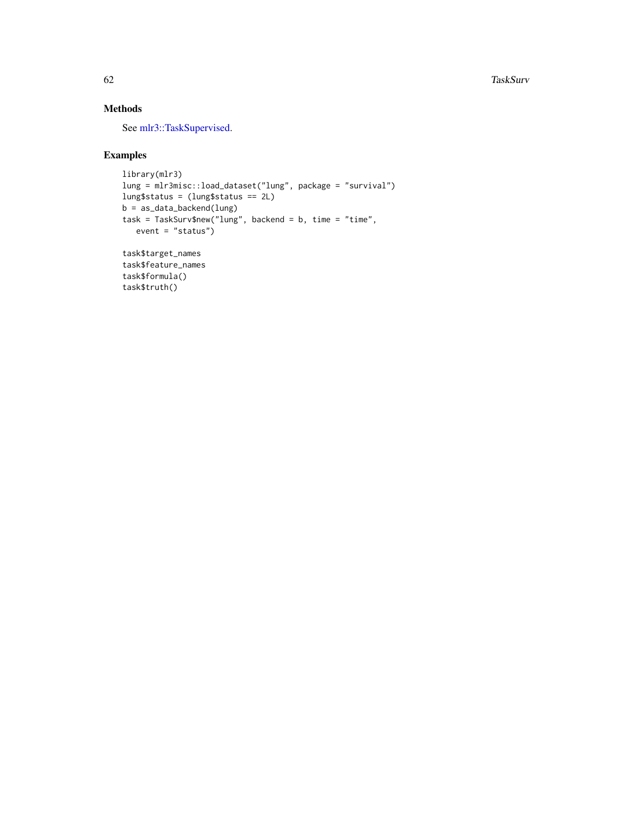# Methods

See [mlr3::TaskSupervised.](#page-0-0)

# Examples

```
library(mlr3)
lung = mlr3misc::load_dataset("lung", package = "survival")
lung$status = (lung$status == 2L)
b = as_data_backend(lung)
task = TaskSurv$new("lung", backend = b, time = "time",
   event = "status")
task$target_names
task$feature_names
task$formula()
task$truth()
```
<span id="page-61-0"></span>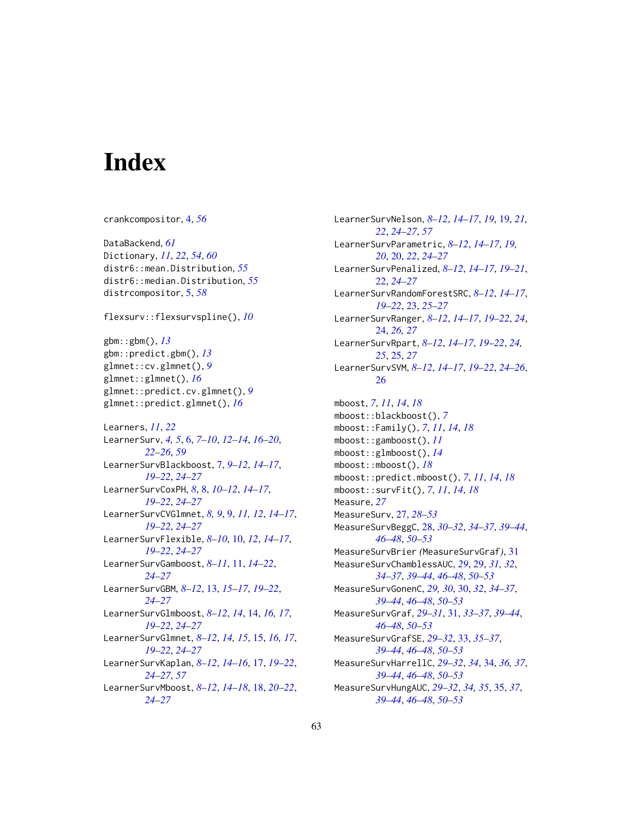# <span id="page-62-0"></span>**Index**

crankcompositor, [4,](#page-3-0) *[56](#page-55-0)* DataBackend, *[61](#page-60-0)* Dictionary, *[11](#page-10-0)*, *[22](#page-21-0)*, *[54](#page-53-0)*, *[60](#page-59-0)* distr6::mean.Distribution, *[55](#page-54-0)* distr6::median.Distribution, *[55](#page-54-0)* distrcompositor, [5,](#page-4-0) *[58](#page-57-0)* flexsurv::flexsurvspline(), *[10](#page-9-0)* gbm::gbm(), *[13](#page-12-0)* gbm::predict.gbm(), *[13](#page-12-0)* glmnet::cv.glmnet(), *[9](#page-8-0)* glmnet::glmnet(), *[16](#page-15-0)* glmnet::predict.cv.glmnet(), *[9](#page-8-0)* glmnet::predict.glmnet(), *[16](#page-15-0)* Learners, *[11](#page-10-0)*, *[22](#page-21-0)* LearnerSurv, *[4,](#page-3-0) [5](#page-4-0)*, [6,](#page-5-0) *[7–](#page-6-0)[10](#page-9-0)*, *[12–](#page-11-0)[14](#page-13-0)*, *[16–](#page-15-0)[20](#page-19-0)*, *[22](#page-21-0)[–26](#page-25-0)*, *[59](#page-58-0)* LearnerSurvBlackboost, [7,](#page-6-0) *[9–](#page-8-0)[12](#page-11-0)*, *[14–](#page-13-0)[17](#page-16-0)*, *[19](#page-18-0)[–22](#page-21-0)*, *[24](#page-23-0)[–27](#page-26-0)* LearnerSurvCoxPH, *[8](#page-7-0)*, [8,](#page-7-0) *[10–](#page-9-0)[12](#page-11-0)*, *[14–](#page-13-0)[17](#page-16-0)*, *[19](#page-18-0)[–22](#page-21-0)*, *[24](#page-23-0)[–27](#page-26-0)* LearnerSurvCVGlmnet, *[8,](#page-7-0) [9](#page-8-0)*, [9,](#page-8-0) *[11,](#page-10-0) [12](#page-11-0)*, *[14–](#page-13-0)[17](#page-16-0)*, *[19](#page-18-0)[–22](#page-21-0)*, *[24](#page-23-0)[–27](#page-26-0)* LearnerSurvFlexible, *[8–](#page-7-0)[10](#page-9-0)*, [10,](#page-9-0) *[12](#page-11-0)*, *[14–](#page-13-0)[17](#page-16-0)*, *[19](#page-18-0)[–22](#page-21-0)*, *[24](#page-23-0)[–27](#page-26-0)* LearnerSurvGamboost, *[8–](#page-7-0)[11](#page-10-0)*, [11,](#page-10-0) *[14–](#page-13-0)[22](#page-21-0)*, *[24](#page-23-0)[–27](#page-26-0)* LearnerSurvGBM, *[8](#page-7-0)[–12](#page-11-0)*, [13,](#page-12-0) *[15–](#page-14-0)[17](#page-16-0)*, *[19–](#page-18-0)[22](#page-21-0)*, *[24](#page-23-0)[–27](#page-26-0)* LearnerSurvGlmboost, *[8–](#page-7-0)[12](#page-11-0)*, *[14](#page-13-0)*, [14,](#page-13-0) *[16,](#page-15-0) [17](#page-16-0)*, *[19](#page-18-0)[–22](#page-21-0)*, *[24](#page-23-0)[–27](#page-26-0)* LearnerSurvGlmnet, *[8–](#page-7-0)[12](#page-11-0)*, *[14,](#page-13-0) [15](#page-14-0)*, [15,](#page-14-0) *[16,](#page-15-0) [17](#page-16-0)*, *[19](#page-18-0)[–22](#page-21-0)*, *[24](#page-23-0)[–27](#page-26-0)* LearnerSurvKaplan, *[8–](#page-7-0)[12](#page-11-0)*, *[14–](#page-13-0)[16](#page-15-0)*, [17,](#page-16-0) *[19–](#page-18-0)[22](#page-21-0)*, *[24](#page-23-0)[–27](#page-26-0)*, *[57](#page-56-0)* LearnerSurvMboost, *[8–](#page-7-0)[12](#page-11-0)*, *[14–](#page-13-0)[18](#page-17-0)*, [18,](#page-17-0) *[20–](#page-19-0)[22](#page-21-0)*, *[24](#page-23-0)[–27](#page-26-0)*

LearnerSurvNelson, *[8](#page-7-0)[–12](#page-11-0)*, *[14](#page-13-0)[–17](#page-16-0)*, *[19](#page-18-0)*, [19,](#page-18-0) *[21,](#page-20-0) [22](#page-21-0)*, *[24](#page-23-0)[–27](#page-26-0)*, *[57](#page-56-0)* LearnerSurvParametric, *[8](#page-7-0)[–12](#page-11-0)*, *[14](#page-13-0)[–17](#page-16-0)*, *[19,](#page-18-0) [20](#page-19-0)*, [20,](#page-19-0) *[22](#page-21-0)*, *[24](#page-23-0)[–27](#page-26-0)* LearnerSurvPenalized, *[8](#page-7-0)[–12](#page-11-0)*, *[14](#page-13-0)[–17](#page-16-0)*, *[19](#page-18-0)[–21](#page-20-0)*, [22,](#page-21-0) *[24](#page-23-0)[–27](#page-26-0)* LearnerSurvRandomForestSRC, *[8](#page-7-0)[–12](#page-11-0)*, *[14](#page-13-0)[–17](#page-16-0)*, *[19](#page-18-0)[–22](#page-21-0)*, [23,](#page-22-0) *[25](#page-24-0)[–27](#page-26-0)* LearnerSurvRanger, *[8](#page-7-0)[–12](#page-11-0)*, *[14](#page-13-0)[–17](#page-16-0)*, *[19](#page-18-0)[–22](#page-21-0)*, *[24](#page-23-0)*, [24,](#page-23-0) *[26,](#page-25-0) [27](#page-26-0)* LearnerSurvRpart, *[8](#page-7-0)[–12](#page-11-0)*, *[14](#page-13-0)[–17](#page-16-0)*, *[19](#page-18-0)[–22](#page-21-0)*, *[24,](#page-23-0) [25](#page-24-0)*, [25,](#page-24-0) *[27](#page-26-0)* LearnerSurvSVM, *[8](#page-7-0)[–12](#page-11-0)*, *[14](#page-13-0)[–17](#page-16-0)*, *[19](#page-18-0)[–22](#page-21-0)*, *[24](#page-23-0)[–26](#page-25-0)*, [26](#page-25-0) mboost, *[7](#page-6-0)*, *[11](#page-10-0)*, *[14](#page-13-0)*, *[18](#page-17-0)* mboost::blackboost(), *[7](#page-6-0)* mboost::Family(), *[7](#page-6-0)*, *[11](#page-10-0)*, *[14](#page-13-0)*, *[18](#page-17-0)* mboost::gamboost(), *[11](#page-10-0)* mboost::glmboost(), *[14](#page-13-0)* mboost::mboost(), *[18](#page-17-0)* mboost::predict.mboost(), *[7](#page-6-0)*, *[11](#page-10-0)*, *[14](#page-13-0)*, *[18](#page-17-0)* mboost::survFit(), *[7](#page-6-0)*, *[11](#page-10-0)*, *[14](#page-13-0)*, *[18](#page-17-0)* Measure, *[27](#page-26-0)* MeasureSurv, [27,](#page-26-0) *[28](#page-27-0)[–53](#page-52-0)* MeasureSurvBeggC, [28,](#page-27-0) *[30](#page-29-0)[–32](#page-31-0)*, *[34](#page-33-0)[–37](#page-36-0)*, *[39](#page-38-0)[–44](#page-43-0)*, *[46](#page-45-0)[–48](#page-47-0)*, *[50](#page-49-0)[–53](#page-52-0)* MeasureSurvBrier *(*MeasureSurvGraf*)*, [31](#page-30-0) MeasureSurvChamblessAUC, *[29](#page-28-0)*, [29,](#page-28-0) *[31,](#page-30-0) [32](#page-31-0)*, *[34](#page-33-0)[–37](#page-36-0)*, *[39](#page-38-0)[–44](#page-43-0)*, *[46](#page-45-0)[–48](#page-47-0)*, *[50](#page-49-0)[–53](#page-52-0)* MeasureSurvGonenC, *[29,](#page-28-0) [30](#page-29-0)*, [30,](#page-29-0) *[32](#page-31-0)*, *[34](#page-33-0)[–37](#page-36-0)*, *[39](#page-38-0)[–44](#page-43-0)*, *[46](#page-45-0)[–48](#page-47-0)*, *[50](#page-49-0)[–53](#page-52-0)* MeasureSurvGraf, *[29](#page-28-0)[–31](#page-30-0)*, [31,](#page-30-0) *[33](#page-32-0)[–37](#page-36-0)*, *[39](#page-38-0)[–44](#page-43-0)*, *[46](#page-45-0)[–48](#page-47-0)*, *[50](#page-49-0)[–53](#page-52-0)* MeasureSurvGrafSE, *[29](#page-28-0)[–32](#page-31-0)*, [33,](#page-32-0) *[35](#page-34-0)[–37](#page-36-0)*, *[39](#page-38-0)[–44](#page-43-0)*, *[46](#page-45-0)[–48](#page-47-0)*, *[50](#page-49-0)[–53](#page-52-0)* MeasureSurvHarrellC, *[29](#page-28-0)[–32](#page-31-0)*, *[34](#page-33-0)*, [34,](#page-33-0) *[36,](#page-35-0) [37](#page-36-0)*, *[39](#page-38-0)[–44](#page-43-0)*, *[46](#page-45-0)[–48](#page-47-0)*, *[50](#page-49-0)[–53](#page-52-0)* MeasureSurvHungAUC, *[29](#page-28-0)[–32](#page-31-0)*, *[34,](#page-33-0) [35](#page-34-0)*, [35,](#page-34-0) *[37](#page-36-0)*, *[39](#page-38-0)[–44](#page-43-0)*, *[46](#page-45-0)[–48](#page-47-0)*, *[50](#page-49-0)[–53](#page-52-0)*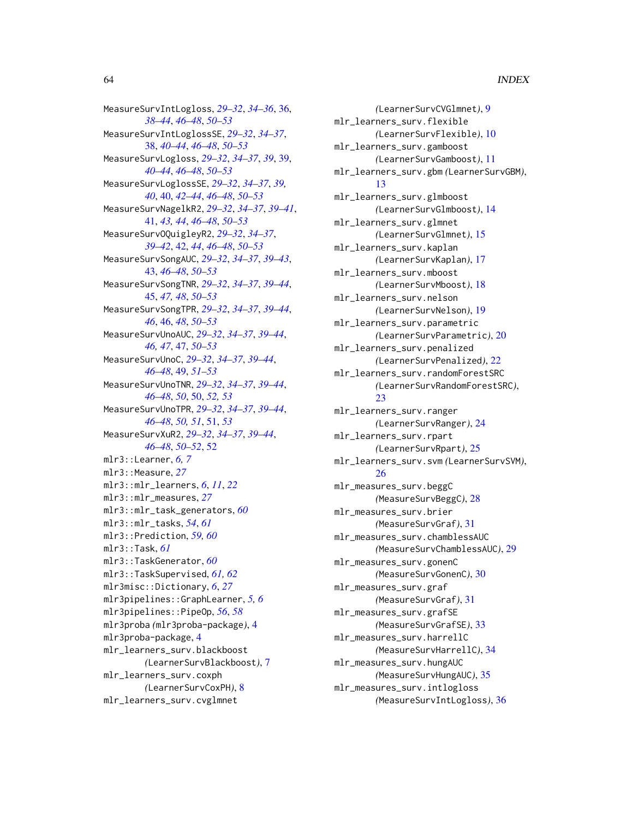MeasureSurvIntLogloss, *[29–](#page-28-0)[32](#page-31-0)*, *[34–](#page-33-0)[36](#page-35-0)*, [36,](#page-35-0) *[38](#page-37-0)[–44](#page-43-0)*, *[46](#page-45-0)[–48](#page-47-0)*, *[50–](#page-49-0)[53](#page-52-0)* MeasureSurvIntLoglossSE, *[29–](#page-28-0)[32](#page-31-0)*, *[34–](#page-33-0)[37](#page-36-0)*, [38,](#page-37-0) *[40](#page-39-0)[–44](#page-43-0)*, *[46–](#page-45-0)[48](#page-47-0)*, *[50–](#page-49-0)[53](#page-52-0)* MeasureSurvLogloss, *[29–](#page-28-0)[32](#page-31-0)*, *[34–](#page-33-0)[37](#page-36-0)*, *[39](#page-38-0)*, [39,](#page-38-0) *[40](#page-39-0)[–44](#page-43-0)*, *[46](#page-45-0)[–48](#page-47-0)*, *[50–](#page-49-0)[53](#page-52-0)* MeasureSurvLoglossSE, *[29–](#page-28-0)[32](#page-31-0)*, *[34–](#page-33-0)[37](#page-36-0)*, *[39,](#page-38-0) [40](#page-39-0)*, [40,](#page-39-0) *[42](#page-41-0)[–44](#page-43-0)*, *[46–](#page-45-0)[48](#page-47-0)*, *[50–](#page-49-0)[53](#page-52-0)* MeasureSurvNagelkR2, *[29–](#page-28-0)[32](#page-31-0)*, *[34–](#page-33-0)[37](#page-36-0)*, *[39–](#page-38-0)[41](#page-40-0)*, [41,](#page-40-0) *[43,](#page-42-0) [44](#page-43-0)*, *[46–](#page-45-0)[48](#page-47-0)*, *[50–](#page-49-0)[53](#page-52-0)* MeasureSurvOQuigleyR2, *[29–](#page-28-0)[32](#page-31-0)*, *[34–](#page-33-0)[37](#page-36-0)*, *[39](#page-38-0)[–42](#page-41-0)*, [42,](#page-41-0) *[44](#page-43-0)*, *[46–](#page-45-0)[48](#page-47-0)*, *[50–](#page-49-0)[53](#page-52-0)* MeasureSurvSongAUC, *[29–](#page-28-0)[32](#page-31-0)*, *[34–](#page-33-0)[37](#page-36-0)*, *[39–](#page-38-0)[43](#page-42-0)*, [43,](#page-42-0) *[46](#page-45-0)[–48](#page-47-0)*, *[50–](#page-49-0)[53](#page-52-0)* MeasureSurvSongTNR, *[29–](#page-28-0)[32](#page-31-0)*, *[34–](#page-33-0)[37](#page-36-0)*, *[39–](#page-38-0)[44](#page-43-0)*, [45,](#page-44-0) *[47,](#page-46-0) [48](#page-47-0)*, *[50–](#page-49-0)[53](#page-52-0)* MeasureSurvSongTPR, *[29–](#page-28-0)[32](#page-31-0)*, *[34–](#page-33-0)[37](#page-36-0)*, *[39–](#page-38-0)[44](#page-43-0)*, *[46](#page-45-0)*, [46,](#page-45-0) *[48](#page-47-0)*, *[50–](#page-49-0)[53](#page-52-0)* MeasureSurvUnoAUC, *[29–](#page-28-0)[32](#page-31-0)*, *[34–](#page-33-0)[37](#page-36-0)*, *[39–](#page-38-0)[44](#page-43-0)*, *[46,](#page-45-0) [47](#page-46-0)*, [47,](#page-46-0) *[50–](#page-49-0)[53](#page-52-0)* MeasureSurvUnoC, *[29](#page-28-0)[–32](#page-31-0)*, *[34–](#page-33-0)[37](#page-36-0)*, *[39–](#page-38-0)[44](#page-43-0)*, *[46](#page-45-0)[–48](#page-47-0)*, [49,](#page-48-0) *[51–](#page-50-0)[53](#page-52-0)* MeasureSurvUnoTNR, *[29–](#page-28-0)[32](#page-31-0)*, *[34–](#page-33-0)[37](#page-36-0)*, *[39–](#page-38-0)[44](#page-43-0)*, *[46](#page-45-0)[–48](#page-47-0)*, *[50](#page-49-0)*, [50,](#page-49-0) *[52,](#page-51-0) [53](#page-52-0)* MeasureSurvUnoTPR, *[29–](#page-28-0)[32](#page-31-0)*, *[34–](#page-33-0)[37](#page-36-0)*, *[39–](#page-38-0)[44](#page-43-0)*, *[46](#page-45-0)[–48](#page-47-0)*, *[50,](#page-49-0) [51](#page-50-0)*, [51,](#page-50-0) *[53](#page-52-0)* MeasureSurvXuR2, *[29](#page-28-0)[–32](#page-31-0)*, *[34–](#page-33-0)[37](#page-36-0)*, *[39–](#page-38-0)[44](#page-43-0)*, *[46](#page-45-0)[–48](#page-47-0)*, *[50](#page-49-0)[–52](#page-51-0)*, [52](#page-51-0) mlr3::Learner, *[6,](#page-5-0) [7](#page-6-0)* mlr3::Measure, *[27](#page-26-0)* mlr3::mlr\_learners, *[6](#page-5-0)*, *[11](#page-10-0)*, *[22](#page-21-0)* mlr3::mlr\_measures, *[27](#page-26-0)* mlr3::mlr\_task\_generators, *[60](#page-59-0)* mlr3::mlr\_tasks, *[54](#page-53-0)*, *[61](#page-60-0)* mlr3::Prediction, *[59,](#page-58-0) [60](#page-59-0)* mlr3::Task, *[61](#page-60-0)* mlr3::TaskGenerator, *[60](#page-59-0)* mlr3::TaskSupervised, *[61,](#page-60-0) [62](#page-61-0)* mlr3misc::Dictionary, *[6](#page-5-0)*, *[27](#page-26-0)* mlr3pipelines::GraphLearner, *[5,](#page-4-0) [6](#page-5-0)* mlr3pipelines::PipeOp, *[56](#page-55-0)*, *[58](#page-57-0)* mlr3proba *(*mlr3proba-package*)*, [4](#page-3-0) mlr3proba-package, [4](#page-3-0) mlr\_learners\_surv.blackboost *(*LearnerSurvBlackboost*)*, [7](#page-6-0) mlr\_learners\_surv.coxph *(*LearnerSurvCoxPH*)*, [8](#page-7-0) mlr\_learners\_surv.cvglmnet

*(*LearnerSurvCVGlmnet*)*, [9](#page-8-0) mlr\_learners\_surv.flexible *(*LearnerSurvFlexible*)*, [10](#page-9-0) mlr\_learners\_surv.gamboost *(*LearnerSurvGamboost*)*, [11](#page-10-0) mlr\_learners\_surv.gbm *(*LearnerSurvGBM*)*, [13](#page-12-0) mlr\_learners\_surv.glmboost *(*LearnerSurvGlmboost*)*, [14](#page-13-0) mlr\_learners\_surv.glmnet *(*LearnerSurvGlmnet*)*, [15](#page-14-0) mlr\_learners\_surv.kaplan *(*LearnerSurvKaplan*)*, [17](#page-16-0) mlr\_learners\_surv.mboost *(*LearnerSurvMboost*)*, [18](#page-17-0) mlr\_learners\_surv.nelson *(*LearnerSurvNelson*)*, [19](#page-18-0) mlr\_learners\_surv.parametric *(*LearnerSurvParametric*)*, [20](#page-19-0) mlr\_learners\_surv.penalized *(*LearnerSurvPenalized*)*, [22](#page-21-0) mlr\_learners\_surv.randomForestSRC *(*LearnerSurvRandomForestSRC*)*, [23](#page-22-0) mlr\_learners\_surv.ranger *(*LearnerSurvRanger*)*, [24](#page-23-0) mlr\_learners\_surv.rpart *(*LearnerSurvRpart*)*, [25](#page-24-0) mlr\_learners\_surv.svm *(*LearnerSurvSVM*)*, [26](#page-25-0) mlr\_measures\_surv.beggC *(*MeasureSurvBeggC*)*, [28](#page-27-0) mlr\_measures\_surv.brier *(*MeasureSurvGraf*)*, [31](#page-30-0) mlr\_measures\_surv.chamblessAUC *(*MeasureSurvChamblessAUC*)*, [29](#page-28-0) mlr\_measures\_surv.gonenC *(*MeasureSurvGonenC*)*, [30](#page-29-0) mlr\_measures\_surv.graf *(*MeasureSurvGraf*)*, [31](#page-30-0) mlr\_measures\_surv.grafSE *(*MeasureSurvGrafSE*)*, [33](#page-32-0) mlr\_measures\_surv.harrellC *(*MeasureSurvHarrellC*)*, [34](#page-33-0) mlr\_measures\_surv.hungAUC *(*MeasureSurvHungAUC*)*, [35](#page-34-0) mlr\_measures\_surv.intlogloss *(*MeasureSurvIntLogloss*)*, [36](#page-35-0)